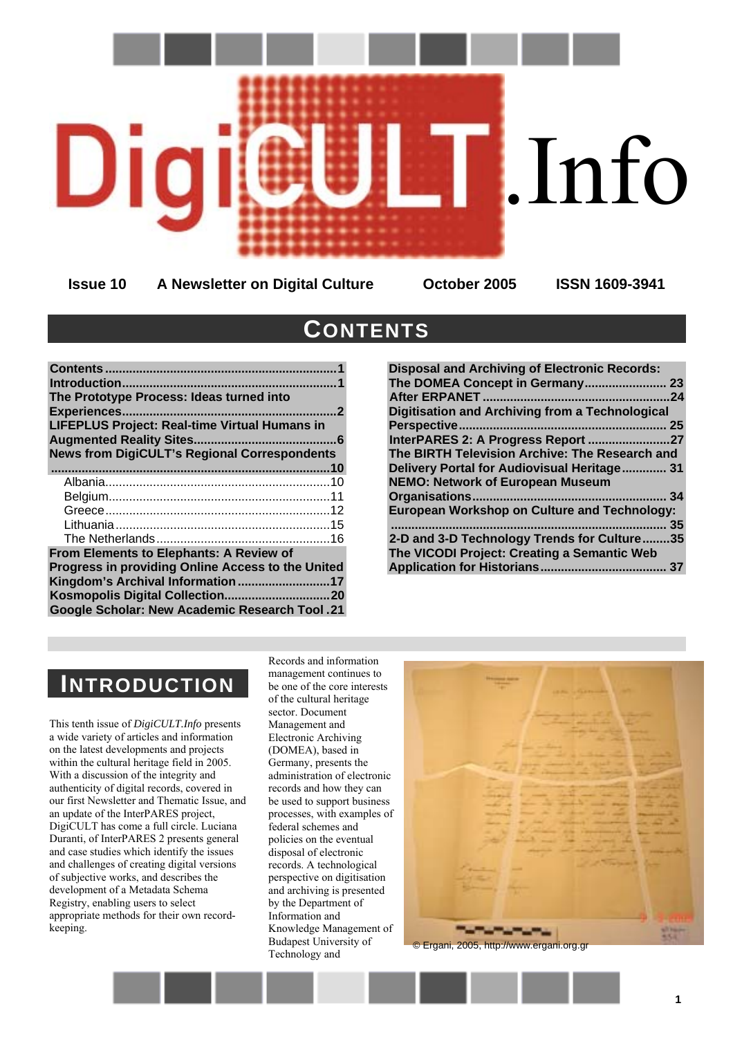

**Issue 10 A Newsletter on Digital Culture October 2005 ISSN 1609-3941** 

# <span id="page-0-0"></span>**CONTENTS**

| The Prototype Process: Ideas turned into             |
|------------------------------------------------------|
| <b>Experiences</b>                                   |
| <b>LIFEPLUS Project: Real-time Virtual Humans in</b> |
| <b>Augmented Reality Sites</b><br>6<br>              |
| <b>News from DigiCULT's Regional Correspondents</b>  |
|                                                      |
|                                                      |
|                                                      |
|                                                      |
|                                                      |
|                                                      |
| From Elements to Elephants: A Review of              |
| Progress in providing Online Access to the United    |
| Kingdom's Archival Information 17                    |
|                                                      |
| <b>Google Scholar: New Academic Research Tool.21</b> |
|                                                      |

| <b>Disposal and Archiving of Electronic Records:</b>   |     |
|--------------------------------------------------------|-----|
| The DOMEA Concept in Germany 23                        |     |
| <b>After ERPANET</b>                                   | 24  |
| <b>Digitisation and Archiving from a Technological</b> |     |
|                                                        | -25 |
| InterPARES 2: A Progress Report 27                     |     |
| The BIRTH Television Archive: The Research and         |     |
| Delivery Portal for Audiovisual Heritage 31            |     |
| <b>NEMO: Network of European Museum</b>                |     |
|                                                        | 34  |
| <b>European Workshop on Culture and Technology:</b>    |     |
|                                                        | 35  |
| 2-D and 3-D Technology Trends for Culture35            |     |
| The VICODI Project: Creating a Semantic Web            |     |
|                                                        | 37  |
|                                                        |     |

# <span id="page-0-1"></span>**INTRODUCTION**

This tenth issue of *DigiCULT.Info* presents a wide variety of articles and information on the latest developments and projects within the cultural heritage field in 2005. With a discussion of the integrity and authenticity of digital records, covered in our first Newsletter and Thematic Issue, and an update of the InterPARES project, DigiCULT has come a full circle. Luciana Duranti, of InterPARES 2 presents general and case studies which identify the issues and challenges of creating digital versions of subjective works, and describes the development of a Metadata Schema Registry, enabling users to select appropriate methods for their own recordkeeping.

Records and information management continues to be one of the core interests of the cultural heritage sector. Document Management and Electronic Archiving (DOMEA), based in Germany, presents the administration of electronic records and how they can be used to support business processes, with examples of federal schemes and policies on the eventual disposal of electronic records. A technological perspective on digitisation and archiving is presented by the Department of Information and Knowledge Management of Budapest University of Budapest University of Calendary Construction Construction Construction Technology and Technology and Technology and Technology and Technology and Technology and Technology and Technology and Technology and Technology and

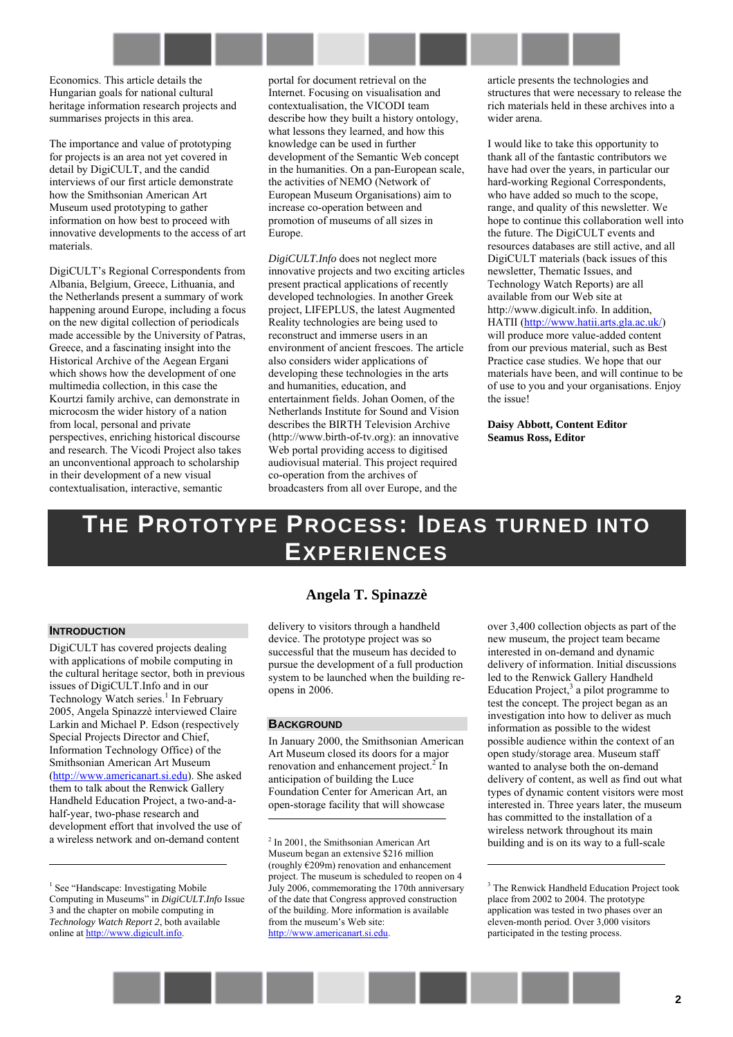Economics. This article details the Hungarian goals for national cultural heritage information research projects and summarises projects in this area.

The importance and value of prototyping for projects is an area not yet covered in detail by DigiCULT, and the candid interviews of our first article demonstrate how the Smithsonian American Art Museum used prototyping to gather information on how best to proceed with innovative developments to the access of art materials.

DigiCULT's Regional Correspondents from Albania, Belgium, Greece, Lithuania, and the Netherlands present a summary of work happening around Europe, including a focus on the new digital collection of periodicals made accessible by the University of Patras, Greece, and a fascinating insight into the Historical Archive of the Aegean Ergani which shows how the development of one multimedia collection, in this case the Kourtzi family archive, can demonstrate in microcosm the wider history of a nation from local, personal and private perspectives, enriching historical discourse and research. The Vicodi Project also takes an unconventional approach to scholarship in their development of a new visual contextualisation, interactive, semantic

portal for document retrieval on the Internet. Focusing on visualisation and contextualisation, the VICODI team describe how they built a history ontology, what lessons they learned, and how this knowledge can be used in further development of the Semantic Web concept in the humanities. On a pan-European scale, the activities of NEMO (Network of European Museum Organisations) aim to increase co-operation between and promotion of museums of all sizes in Europe.

*DigiCULT.Info* does not neglect more innovative projects and two exciting articles present practical applications of recently developed technologies. In another Greek project, LIFEPLUS, the latest Augmented Reality technologies are being used to reconstruct and immerse users in an environment of ancient frescoes. The article also considers wider applications of developing these technologies in the arts and humanities, education, and entertainment fields. Johan Oomen, of the Netherlands Institute for Sound and Vision describes the BIRTH Television Archive (http://[www.birth-of-tv.org\)](http://www.birth-of-tv.org/): an innovative Web portal providing access to digitised audiovisual material. This project required co-operation from the archives of broadcasters from all over Europe, and the

article presents the technologies and structures that were necessary to release the rich materials held in these archives into a wider arena.

I would like to take this opportunity to thank all of the fantastic contributors we have had over the years, in particular our hard-working Regional Correspondents, who have added so much to the scope, range, and quality of this newsletter. We hope to continue this collaboration well into the future. The DigiCULT events and resources databases are still active, and all DigiCULT materials (back issues of this newsletter, Thematic Issues, and Technology Watch Reports) are all available from our Web site at http://www.digicult.info. In addition, HATII ([http://www.hatii.arts.gla.ac.uk/\)](http://www.hatii.arts.gla.ac.uk/) will produce more value-added content from our previous material, such as Best Practice case studies. We hope that our materials have been, and will continue to be of use to you and your organisations. Enjoy the issue!

**Daisy Abbott, Content Editor Seamus Ross, Editor** 

# <span id="page-1-0"></span>**THE PROTOTYPE PROCESS: IDEAS TURNED INTO EXPERIENCES**

#### **INTRODUCTION**

 $\overline{a}$ 

DigiCULT has covered projects dealing with applications of mobile computing in the cultural heritage sector, both in previous issues of DigiCULT.Info and in our Technology Watch series.<sup>1</sup> In February 2005, Angela Spinazzè interviewed Claire Larkin and Michael P. Edson (respectively Special Projects Director and Chief Information Technology Office) of the Smithsonian American Art Museum [\(http://www.americanart.si.edu\)](http://www.americanart.si.edu/). She asked them to talk about the Renwick Gallery Handheld Education Project, a two-and-ahalf-year, two-phase research and development effort that involved the use of a wireless network and on-demand content

# **Angela T. Spinazzè**

delivery to visitors through a handheld device. The prototype project was so successful that the museum has decided to pursue the development of a full production system to be launched when the building reopens in 2006.

#### **BACKGROUND**

In January 2000, the Smithsonian American Art Museum closed its doors for a major renovation and enhancement project. $2^2$  In anticipation of building the Luce Foundation Center for American Art, an open-storage facility that will showcase l

over 3,400 collection objects as part of the new museum, the project team became interested in on-demand and dynamic delivery of information. Initial discussions led to the Renwick Gallery Handheld Education Project, $3$  a pilot programme to test the concept. The project began as an investigation into how to deliver as much information as possible to the widest possible audience within the context of an open study/storage area. Museum staff wanted to analyse both the on-demand delivery of content, as well as find out what types of dynamic content visitors were most interested in. Three years later, the museum has committed to the installation of a wireless network throughout its main building and is on its way to a full-scale



<sup>&</sup>lt;sup>1</sup> See "Handscape: Investigating Mobile Computing in Museums" in *DigiCULT.Info* Issue 3 and the chapter on mobile computing in *Technology Watch Report 2*, both available online at http://www.digicult.info.

<sup>&</sup>lt;sup>2</sup> In 2001, the Smithsonian American Art Museum began an extensive \$216 million (roughly  $E209m$ ) renovation and enhancement project. The museum is scheduled to reopen on 4 July 2006, commemorating the 170th anniversary of the date that Congress approved construction of the building. More information is available from the museum's Web site: http://www.americanart.si.edu.

<sup>&</sup>lt;sup>3</sup> The Renwick Handheld Education Project took place from 2002 to 2004. The prototype application was tested in two phases over an eleven-month period. Over 3,000 visitors participated in the testing process.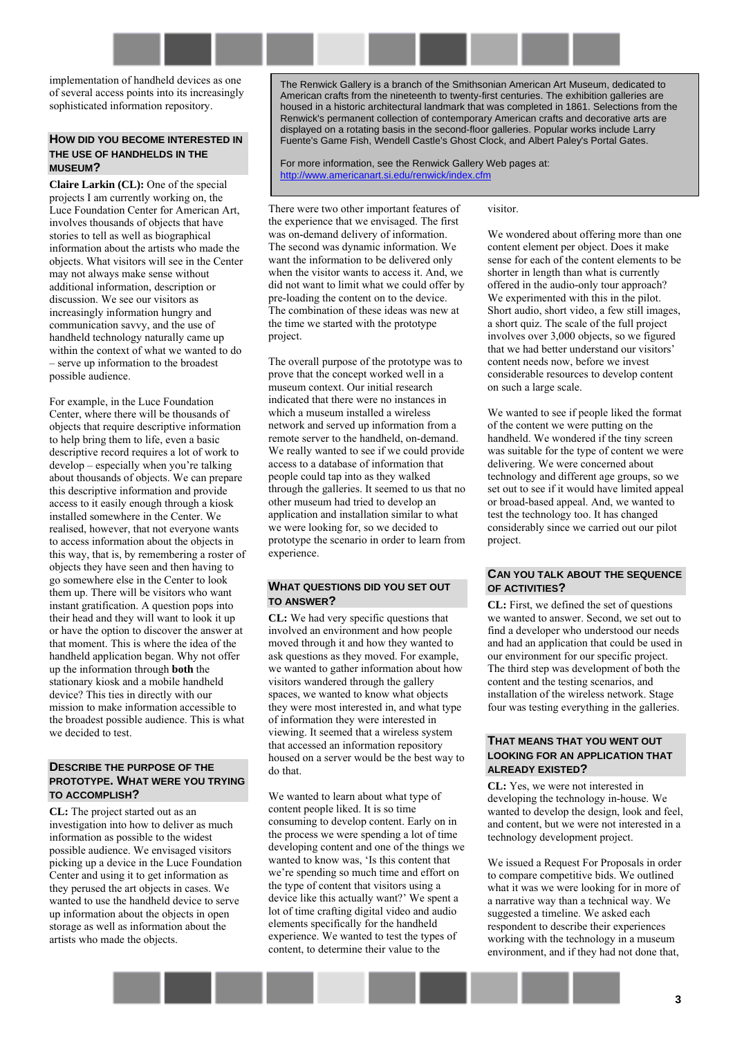implementation of handheld devices as one of several access points into its increasingly sophisticated information repository.

#### **HOW DID YOU BECOME INTERESTED IN THE USE OF HANDHELDS IN THE MUSEUM?**

**Claire Larkin (CL):** One of the special projects I am currently working on, the Luce Foundation Center for American Art, involves thousands of objects that have stories to tell as well as biographical information about the artists who made the objects. What visitors will see in the Center may not always make sense without additional information, description or discussion. We see our visitors as increasingly information hungry and communication savvy, and the use of handheld technology naturally came up within the context of what we wanted to do – serve up information to the broadest possible audience.

For example, in the Luce Foundation Center, where there will be thousands of objects that require descriptive information to help bring them to life, even a basic descriptive record requires a lot of work to  $develp - especially when you're talking$ about thousands of objects. We can prepare this descriptive information and provide access to it easily enough through a kiosk installed somewhere in the Center. We realised, however, that not everyone wants to access information about the objects in this way, that is, by remembering a roster of objects they have seen and then having to go somewhere else in the Center to look them up. There will be visitors who want instant gratification. A question pops into their head and they will want to look it up or have the option to discover the answer at that moment. This is where the idea of the handheld application began. Why not offer up the information through **both** the stationary kiosk and a mobile handheld device? This ties in directly with our mission to make information accessible to the broadest possible audience. This is what we decided to test.

### **DESCRIBE THE PURPOSE OF THE PROTOTYPE. WHAT WERE YOU TRYING TO ACCOMPLISH?**

**CL:** The project started out as an investigation into how to deliver as much information as possible to the widest possible audience. We envisaged visitors picking up a device in the Luce Foundation Center and using it to get information as they perused the art objects in cases. We wanted to use the handheld device to serve up information about the objects in open storage as well as information about the artists who made the objects.

The Renwick Gallery is a branch of the Smithsonian American Art Museum, dedicated to American crafts from the nineteenth to twenty-first centuries. The exhibition galleries are housed in a historic architectural landmark that was completed in 1861. Selections from the Renwick's permanent collection of contemporary American crafts and decorative arts are displayed on a rotating basis in the second-floor galleries. Popular works include Larry Fuente's Game Fish, Wendell Castle's Ghost Clock, and Albert Paley's Portal Gates.

For more information, see the Renwick Gallery Web pages at: <http://www.americanart.si.edu/renwick/index.cfm>

There were two other important features of the experience that we envisaged. The first was on-demand delivery of information. The second was dynamic information. We want the information to be delivered only when the visitor wants to access it. And, we did not want to limit what we could offer by pre-loading the content on to the device. The combination of these ideas was new at the time we started with the prototype project.

The overall purpose of the prototype was to prove that the concept worked well in a museum context. Our initial research indicated that there were no instances in which a museum installed a wireless network and served up information from a remote server to the handheld, on-demand. We really wanted to see if we could provide access to a database of information that people could tap into as they walked through the galleries. It seemed to us that no other museum had tried to develop an application and installation similar to what we were looking for, so we decided to prototype the scenario in order to learn from experience.

### **WHAT QUESTIONS DID YOU SET OUT TO ANSWER?**

**CL:** We had very specific questions that involved an environment and how people moved through it and how they wanted to ask questions as they moved. For example, we wanted to gather information about how visitors wandered through the gallery spaces, we wanted to know what objects they were most interested in, and what type of information they were interested in viewing. It seemed that a wireless system that accessed an information repository housed on a server would be the best way to do that.

We wanted to learn about what type of content people liked. It is so time consuming to develop content. Early on in the process we were spending a lot of time developing content and one of the things we wanted to know was, 'Is this content that we're spending so much time and effort on the type of content that visitors using a device like this actually want?' We spent a lot of time crafting digital video and audio elements specifically for the handheld experience. We wanted to test the types of content, to determine their value to the

visitor.

We wondered about offering more than one content element per object. Does it make sense for each of the content elements to be shorter in length than what is currently offered in the audio-only tour approach? We experimented with this in the pilot. Short audio, short video, a few still images, a short quiz. The scale of the full project involves over 3,000 objects, so we figured that we had better understand our visitors' content needs now, before we invest considerable resources to develop content on such a large scale.

We wanted to see if people liked the format of the content we were putting on the handheld. We wondered if the tiny screen was suitable for the type of content we were delivering. We were concerned about technology and different age groups, so we set out to see if it would have limited appeal or broad-based appeal. And, we wanted to test the technology too. It has changed considerably since we carried out our pilot project.

## **CAN YOU TALK ABOUT THE SEQUENCE OF ACTIVITIES?**

**CL:** First, we defined the set of questions we wanted to answer. Second, we set out to find a developer who understood our needs and had an application that could be used in our environment for our specific project. The third step was development of both the content and the testing scenarios, and installation of the wireless network. Stage four was testing everything in the galleries.

### **THAT MEANS THAT YOU WENT OUT LOOKING FOR AN APPLICATION THAT ALREADY EXISTED?**

**CL:** Yes, we were not interested in developing the technology in-house. We wanted to develop the design, look and feel, and content, but we were not interested in a technology development project.

We issued a Request For Proposals in order to compare competitive bids. We outlined what it was we were looking for in more of a narrative way than a technical way. We suggested a timeline. We asked each respondent to describe their experiences working with the technology in a museum environment, and if they had not done that,

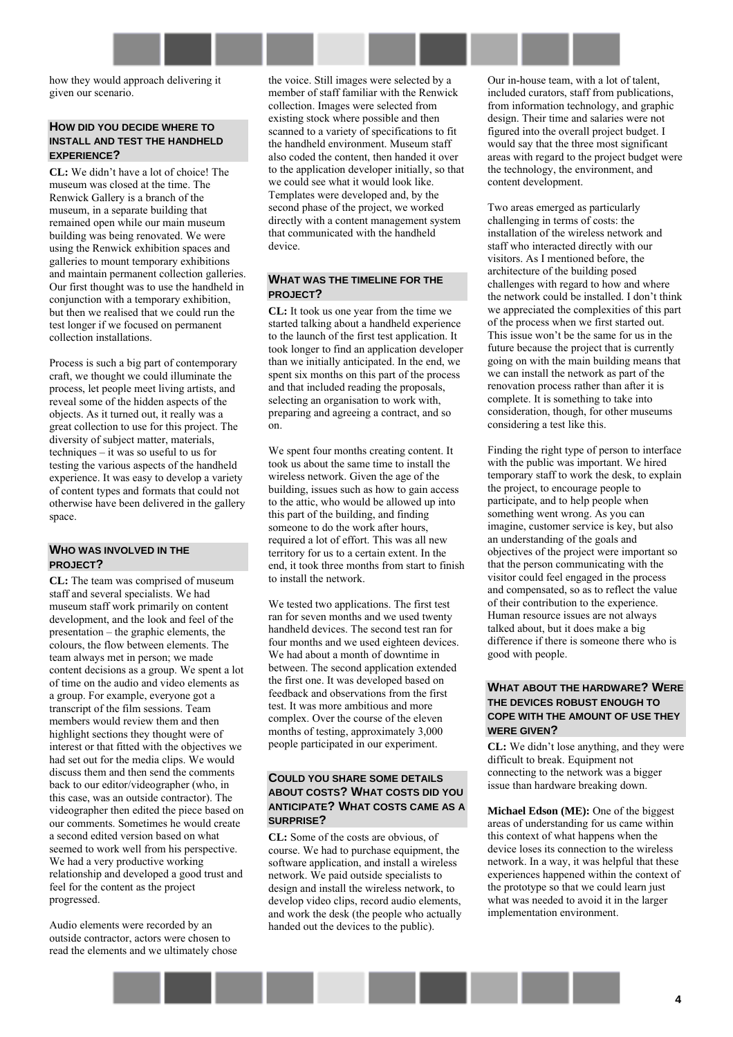how they would approach delivering it given our scenario.

### **HOW DID YOU DECIDE WHERE TO INSTALL AND TEST THE HANDHELD EXPERIENCE?**

**CL:** We didnít have a lot of choice! The museum was closed at the time. The Renwick Gallery is a branch of the museum, in a separate building that remained open while our main museum building was being renovated. We were using the Renwick exhibition spaces and galleries to mount temporary exhibitions and maintain permanent collection galleries. Our first thought was to use the handheld in conjunction with a temporary exhibition, but then we realised that we could run the test longer if we focused on permanent collection installations.

Process is such a big part of contemporary craft, we thought we could illuminate the process, let people meet living artists, and reveal some of the hidden aspects of the objects. As it turned out, it really was a great collection to use for this project. The diversity of subject matter, materials,  $techniques - it was so useful to us for$ testing the various aspects of the handheld experience. It was easy to develop a variety of content types and formats that could not otherwise have been delivered in the gallery space.

## **WHO WAS INVOLVED IN THE PROJECT?**

**CL:** The team was comprised of museum staff and several specialists. We had museum staff work primarily on content development, and the look and feel of the presentation  $-$  the graphic elements, the colours, the flow between elements. The team always met in person; we made content decisions as a group. We spent a lot of time on the audio and video elements as a group. For example, everyone got a transcript of the film sessions. Team members would review them and then highlight sections they thought were of interest or that fitted with the objectives we had set out for the media clips. We would discuss them and then send the comments back to our editor/videographer (who, in this case, was an outside contractor). The videographer then edited the piece based on our comments. Sometimes he would create a second edited version based on what seemed to work well from his perspective. We had a very productive working relationship and developed a good trust and feel for the content as the project progressed.

Audio elements were recorded by an outside contractor, actors were chosen to read the elements and we ultimately chose the voice. Still images were selected by a member of staff familiar with the Renwick collection. Images were selected from existing stock where possible and then scanned to a variety of specifications to fit the handheld environment. Museum staff also coded the content, then handed it over to the application developer initially, so that we could see what it would look like. Templates were developed and, by the second phase of the project, we worked directly with a content management system that communicated with the handheld device.

### **WHAT WAS THE TIMELINE FOR THE PROJECT?**

**CL:** It took us one year from the time we started talking about a handheld experience to the launch of the first test application. It took longer to find an application developer than we initially anticipated. In the end, we spent six months on this part of the process and that included reading the proposals, selecting an organisation to work with, preparing and agreeing a contract, and so on.

We spent four months creating content. It took us about the same time to install the wireless network. Given the age of the building, issues such as how to gain access to the attic, who would be allowed up into this part of the building, and finding someone to do the work after hours, required a lot of effort. This was all new territory for us to a certain extent. In the end, it took three months from start to finish to install the network.

We tested two applications. The first test ran for seven months and we used twenty handheld devices. The second test ran for four months and we used eighteen devices. We had about a month of downtime in between. The second application extended the first one. It was developed based on feedback and observations from the first test. It was more ambitious and more complex. Over the course of the eleven months of testing, approximately 3,000 people participated in our experiment.

# **COULD YOU SHARE SOME DETAILS ABOUT COSTS? WHAT COSTS DID YOU ANTICIPATE? WHAT COSTS CAME AS A SURPRISE?**

**CL:** Some of the costs are obvious, of course. We had to purchase equipment, the software application, and install a wireless network. We paid outside specialists to design and install the wireless network, to develop video clips, record audio elements, and work the desk (the people who actually handed out the devices to the public).

Our in-house team, with a lot of talent, included curators, staff from publications, from information technology, and graphic design. Their time and salaries were not figured into the overall project budget. I would say that the three most significant areas with regard to the project budget were the technology, the environment, and content development.

Two areas emerged as particularly challenging in terms of costs: the installation of the wireless network and staff who interacted directly with our visitors. As I mentioned before, the architecture of the building posed challenges with regard to how and where the network could be installed. I don't think we appreciated the complexities of this part of the process when we first started out. This issue won't be the same for us in the future because the project that is currently going on with the main building means that we can install the network as part of the renovation process rather than after it is complete. It is something to take into consideration, though, for other museums considering a test like this.

Finding the right type of person to interface with the public was important. We hired temporary staff to work the desk, to explain the project, to encourage people to participate, and to help people when something went wrong. As you can imagine, customer service is key, but also an understanding of the goals and objectives of the project were important so that the person communicating with the visitor could feel engaged in the process and compensated, so as to reflect the value of their contribution to the experience. Human resource issues are not always talked about, but it does make a big difference if there is someone there who is good with people.

### **WHAT ABOUT THE HARDWARE? WERE THE DEVICES ROBUST ENOUGH TO COPE WITH THE AMOUNT OF USE THEY WERE GIVEN?**

**CL:** We didn't lose anything, and they were difficult to break. Equipment not connecting to the network was a bigger issue than hardware breaking down.

**Michael Edson (ME):** One of the biggest areas of understanding for us came within this context of what happens when the device loses its connection to the wireless network. In a way, it was helpful that these experiences happened within the context of the prototype so that we could learn just what was needed to avoid it in the larger implementation environment.

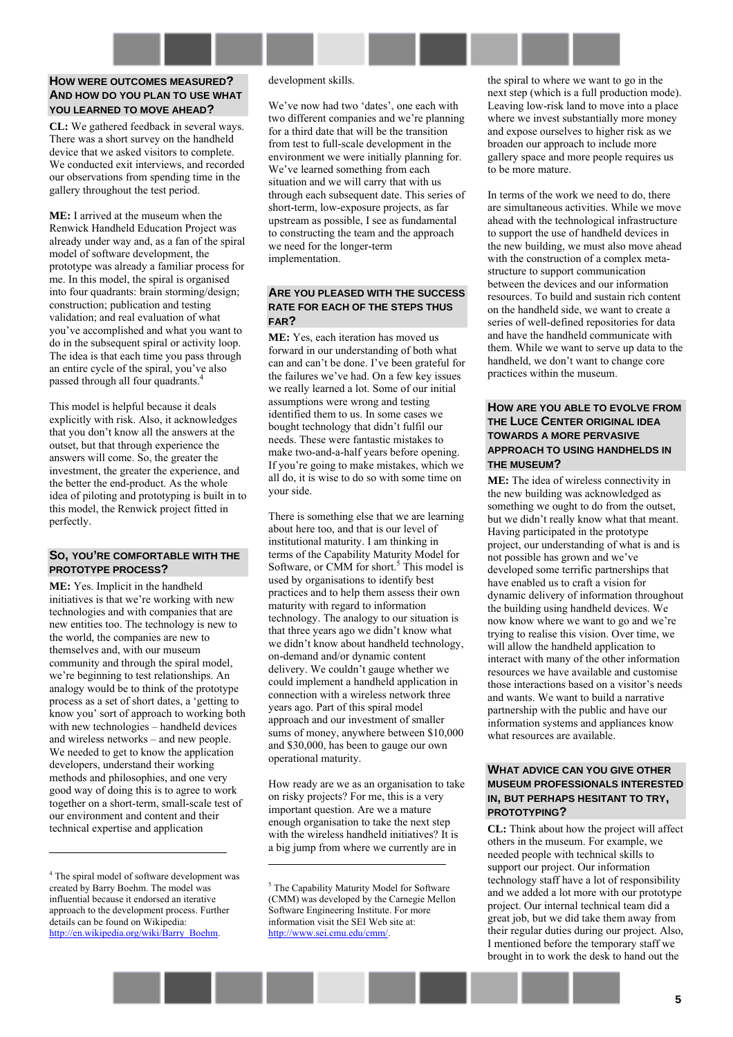## **HOW WERE OUTCOMES MEASURED? AND HOW DO YOU PLAN TO USE WHAT YOU LEARNED TO MOVE AHEAD?**

**CL:** We gathered feedback in several ways. There was a short survey on the handheld device that we asked visitors to complete. We conducted exit interviews, and recorded our observations from spending time in the gallery throughout the test period.

**ME:** I arrived at the museum when the Renwick Handheld Education Project was already under way and, as a fan of the spiral model of software development, the prototype was already a familiar process for me. In this model, the spiral is organised into four quadrants: brain storming/design; construction; publication and testing validation; and real evaluation of what you've accomplished and what you want to do in the subsequent spiral or activity loop. The idea is that each time you pass through an entire cycle of the spiral, you've also passed through all four quadrants.<sup>4</sup>

This model is helpful because it deals explicitly with risk. Also, it acknowledges that you don't know all the answers at the outset, but that through experience the answers will come. So, the greater the investment, the greater the experience, and the better the end-product. As the whole idea of piloting and prototyping is built in to this model, the Renwick project fitted in perfectly.

#### **SO, YOU'RE COMFORTABLE WITH THE PROTOTYPE PROCESS?**

**ME:** Yes. Implicit in the handheld initiatives is that we're working with new technologies and with companies that are new entities too. The technology is new to the world, the companies are new to themselves and, with our museum community and through the spiral model, we're beginning to test relationships. An analogy would be to think of the prototype process as a set of short dates, a ëgetting to know you' sort of approach to working both with new technologies – handheld devices and wireless networks – and new people. We needed to get to know the application developers, understand their working methods and philosophies, and one very good way of doing this is to agree to work together on a short-term, small-scale test of our environment and content and their technical expertise and application

 $\overline{a}$ 

#### development skills.

We've now had two 'dates', one each with two different companies and we're planning for a third date that will be the transition from test to full-scale development in the environment we were initially planning for. We've learned something from each situation and we will carry that with us through each subsequent date. This series of short-term, low-exposure projects, as far upstream as possible, I see as fundamental to constructing the team and the approach we need for the longer-term implementation.

# **ARE YOU PLEASED WITH THE SUCCESS RATE FOR EACH OF THE STEPS THUS FAR?**

**ME:** Yes, each iteration has moved us forward in our understanding of both what can and can't be done. I've been grateful for the failures we've had. On a few key issues we really learned a lot. Some of our initial assumptions were wrong and testing identified them to us. In some cases we bought technology that didn't fulfil our needs. These were fantastic mistakes to make two-and-a-half years before opening. If you're going to make mistakes, which we all do, it is wise to do so with some time on your side.

There is something else that we are learning about here too, and that is our level of institutional maturity. I am thinking in terms of the Capability Maturity Model for Software, or CMM for short.<sup>5</sup> This model is used by organisations to identify best practices and to help them assess their own maturity with regard to information technology. The analogy to our situation is that three years ago we didn't know what we didn't know about handheld technology, on-demand and/or dynamic content delivery. We couldn't gauge whether we could implement a handheld application in connection with a wireless network three years ago. Part of this spiral model approach and our investment of smaller sums of money, anywhere between \$10,000 and \$30,000, has been to gauge our own operational maturity.

How ready are we as an organisation to take on risky projects? For me, this is a very important question. Are we a mature enough organisation to take the next step with the wireless handheld initiatives? It is a big jump from where we currently are in

 $\overline{a}$ 

the spiral to where we want to go in the next step (which is a full production mode). Leaving low-risk land to move into a place where we invest substantially more money and expose ourselves to higher risk as we broaden our approach to include more gallery space and more people requires us to be more mature.

In terms of the work we need to do, there are simultaneous activities. While we move ahead with the technological infrastructure to support the use of handheld devices in the new building, we must also move ahead with the construction of a complex metastructure to support communication between the devices and our information resources. To build and sustain rich content on the handheld side, we want to create a series of well-defined repositories for data and have the handheld communicate with them. While we want to serve up data to the handheld, we don't want to change core practices within the museum.

### **HOW ARE YOU ABLE TO EVOLVE FROM THE LUCE CENTER ORIGINAL IDEA TOWARDS A MORE PERVASIVE APPROACH TO USING HANDHELDS IN THE MUSEUM?**

**ME:** The idea of wireless connectivity in the new building was acknowledged as something we ought to do from the outset, but we didn't really know what that meant. Having participated in the prototype project, our understanding of what is and is not possible has grown and we've developed some terrific partnerships that have enabled us to craft a vision for dynamic delivery of information throughout the building using handheld devices. We now know where we want to go and we're trying to realise this vision. Over time, we will allow the handheld application to interact with many of the other information resources we have available and customise those interactions based on a visitor's needs and wants. We want to build a narrative partnership with the public and have our information systems and appliances know what resources are available.

### **WHAT ADVICE CAN YOU GIVE OTHER MUSEUM PROFESSIONALS INTERESTED IN, BUT PERHAPS HESITANT TO TRY, PROTOTYPING?**

**CL:** Think about how the project will affect others in the museum. For example, we needed people with technical skills to support our project. Our information technology staff have a lot of responsibility and we added a lot more with our prototype project. Our internal technical team did a great job, but we did take them away from their regular duties during our project. Also, I mentioned before the temporary staff we brought in to work the desk to hand out the

<sup>4</sup> The spiral model of software development was created by Barry Boehm. The model was influential because it endorsed an iterative approach to the development process. Further details can be found on Wikipedia: http://en.wikipedia.org/wiki/Barry\_Boehm.

<sup>&</sup>lt;sup>5</sup> The Capability Maturity Model for Software (CMM) was developed by the Carnegie Mellon Software Engineering Institute. For more information visit the SEI Web site at: http://www.sei.cmu.edu/cmm/.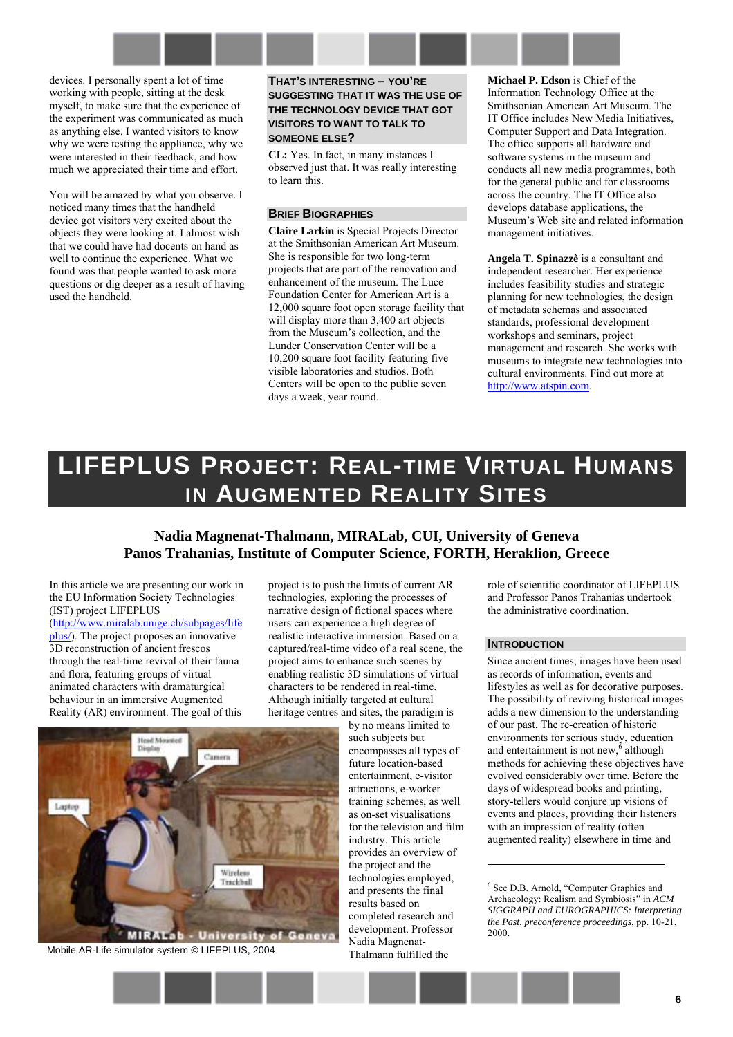devices. I personally spent a lot of time working with people, sitting at the desk myself, to make sure that the experience of the experiment was communicated as much as anything else. I wanted visitors to know why we were testing the appliance, why we were interested in their feedback, and how much we appreciated their time and effort.

You will be amazed by what you observe. I noticed many times that the handheld device got visitors very excited about the objects they were looking at. I almost wish that we could have had docents on hand as well to continue the experience. What we found was that people wanted to ask more questions or dig deeper as a result of having used the handheld.

**THAT'S INTERESTING – YOU'RE SUGGESTING THAT IT WAS THE USE OF THE TECHNOLOGY DEVICE THAT GOT VISITORS TO WANT TO TALK TO SOMEONE ELSE?** 

**CL:** Yes. In fact, in many instances I observed just that. It was really interesting to learn this.

## **BRIEF BIOGRAPHIES**

**Claire Larkin** is Special Projects Director at the Smithsonian American Art Museum. She is responsible for two long-term projects that are part of the renovation and enhancement of the museum. The Luce Foundation Center for American Art is a 12,000 square foot open storage facility that will display more than 3,400 art objects from the Museum's collection, and the Lunder Conservation Center will be a 10,200 square foot facility featuring five visible laboratories and studios. Both Centers will be open to the public seven days a week, year round.

**Michael P. Edson** is Chief of the Information Technology Office at the Smithsonian American Art Museum. The IT Office includes New Media Initiatives, Computer Support and Data Integration. The office supports all hardware and software systems in the museum and conducts all new media programmes, both for the general public and for classrooms across the country. The IT Office also develops database applications, the Museum's Web site and related information management initiatives.

**Angela T. Spinazzè** is a consultant and independent researcher. Her experience includes feasibility studies and strategic planning for new technologies, the design of metadata schemas and associated standards, professional development workshops and seminars, project management and research. She works with museums to integrate new technologies into cultural environments. Find out more at [http://www.atspin.com.](http://www.atspin.com/)

# <span id="page-5-0"></span>**LIFEPLUS PROJECT: REAL-TIME VIRTUAL HUMANS IN AUGMENTED REALITY SITES**

# **Nadia Magnenat-Thalmann, MIRALab, CUI, University of Geneva Panos Trahanias, Institute of Computer Science, FORTH, Heraklion, Greece**

In this article we are presenting our work in the EU Information Society Technologies (IST) project LIFEPLUS [\(http://www.miralab.unige.ch/subpages/life](http://www.miralab.unige.ch/subpages/lifeplus/) [plus/\)](http://www.miralab.unige.ch/subpages/lifeplus/). The project proposes an innovative 3D reconstruction of ancient frescos through the real-time revival of their fauna and flora, featuring groups of virtual animated characters with dramaturgical behaviour in an immersive Augmented Reality (AR) environment. The goal of this

project is to push the limits of current AR technologies, exploring the processes of narrative design of fictional spaces where users can experience a high degree of realistic interactive immersion. Based on a captured/real-time video of a real scene, the project aims to enhance such scenes by enabling realistic 3D simulations of virtual characters to be rendered in real-time. Although initially targeted at cultural heritage centres and sites, the paradigm is

by no means limited to such subjects but encompasses all types of future location-based entertainment, e-visitor attractions, e-worker training schemes, as well as on-set visualisations for the television and film industry. This article provides an overview of the project and the technologies employed, and presents the final results based on completed research and development. Professor Nadia Magnenat-Thalmann fulfilled the

role of scientific coordinator of LIFEPLUS and Professor Panos Trahanias undertook the administrative coordination.

#### **INTRODUCTION**

 $\overline{a}$ 

Since ancient times, images have been used as records of information, events and lifestyles as well as for decorative purposes. The possibility of reviving historical images adds a new dimension to the understanding of our past. The re-creation of historic environments for serious study, education and entertainment is not new, $\delta$  although methods for achieving these objectives have evolved considerably over time. Before the days of widespread books and printing, story-tellers would conjure up visions of events and places, providing their listeners with an impression of reality (often augmented reality) elsewhere in time and

<sup>6</sup> See D.B. Arnold, "Computer Graphics and Archaeology: Realism and Symbiosis" in *ACM SIGGRAPH and EUROGRAPHICS: Interpreting the Past, preconference proceedings*, pp. 10-21, 2000.



Mobile AR-Life simulator system © LIFEPLUS, 2004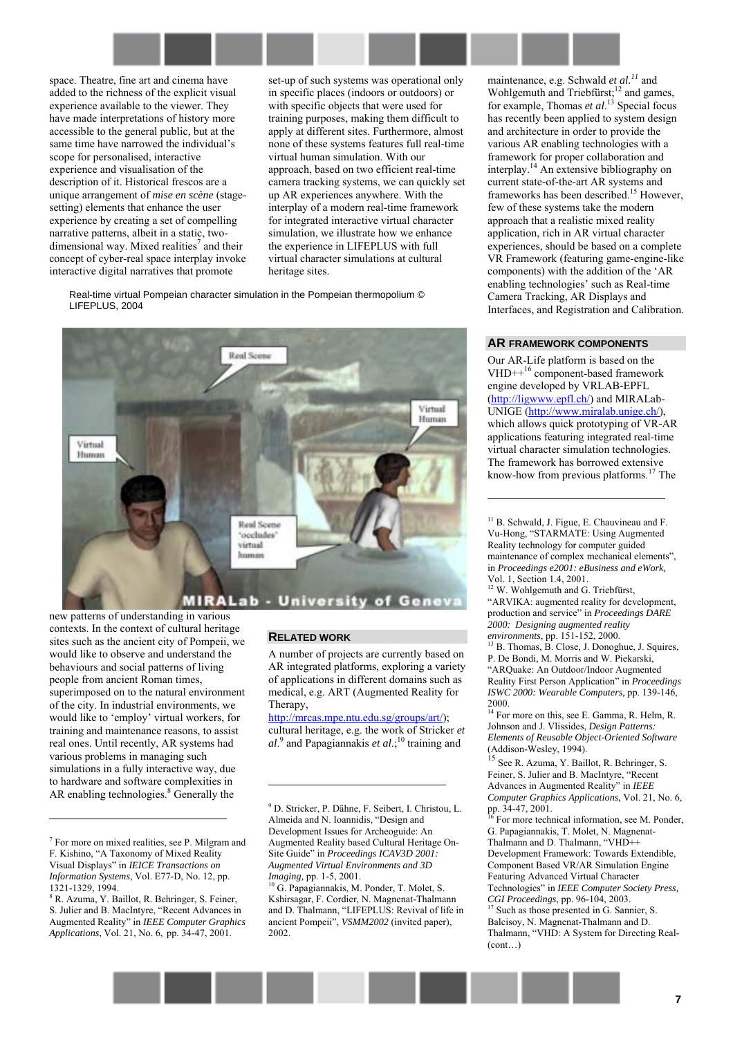

space. Theatre, fine art and cinema have added to the richness of the explicit visual experience available to the viewer. They have made interpretations of history more accessible to the general public, but at the same time have narrowed the individual's scope for personalised, interactive experience and visualisation of the description of it. Historical frescos are a unique arrangement of *mise en scène* (stagesetting) elements that enhance the user experience by creating a set of compelling narrative patterns, albeit in a static, twodimensional way. Mixed realities<sup>7</sup> and their concept of cyber-real space interplay invoke interactive digital narratives that promote

set-up of such systems was operational only in specific places (indoors or outdoors) or with specific objects that were used for training purposes, making them difficult to apply at different sites. Furthermore, almost none of these systems features full real-time virtual human simulation. With our approach, based on two efficient real-time camera tracking systems, we can quickly set up AR experiences anywhere. With the interplay of a modern real-time framework for integrated interactive virtual character simulation, we illustrate how we enhance the experience in LIFEPLUS with full virtual character simulations at cultural heritage sites.

Real-time virtual Pompeian character simulation in the Pompeian thermopolium © LIFEPLUS, 2004



new patterns of understanding in various contexts. In the context of cultural heritage sites such as the ancient city of Pompeii, we would like to observe and understand the behaviours and social patterns of living people from ancient Roman times, superimposed on to the natural environment of the city. In industrial environments, we would like to 'employ' virtual workers, for training and maintenance reasons, to assist real ones. Until recently, AR systems had various problems in managing such simulations in a fully interactive way, due to hardware and software complexities in AR enabling technologies.<sup>8</sup> Generally the

7 For more on mixed realities, see P. Milgram and F. Kishino, "A Taxonomy of Mixed Reality Visual Displaysî in *IEICE Transactions on Information Systems*, Vol. E77-D, No. 12, pp. 1321-1329, 1994.

l

8 R. Azuma, Y. Baillot, R. Behringer, S. Feiner, S. Julier and B. MacIntyre, "Recent Advances in Augmented Reality" in *IEEE Computer Graphics Applications*, Vol. 21, No. 6, pp. 34-47, 2001.

#### **RELATED WORK**

 $\overline{a}$ 

A number of projects are currently based on AR integrated platforms, exploring a variety of applications in different domains such as medical, e.g. ART (Augmented Reality for Therapy,

[http://mrcas.mpe.ntu.edu.sg/groups/art/\)](http://mrcas.mpe.ntu.edu.sg/groups/art/); cultural heritage, e.g. the work of Stricker *et*  al.<sup>9</sup> and Papagiannakis *et al*.;<sup>10</sup> training and

<sup>9</sup> D. Stricker, P. Dähne, F. Seibert, I. Christou, L. Almeida and N. Ioannidis, "Design and Development Issues for Archeoguide: An Augmented Reality based Cultural Heritage On-Site Guide" in *Proceedings ICAV3D 2001*: *Augmented Virtual Environments and 3D Imaging, pp. 1-5, 2001.*<br><sup>10</sup> G. Papagiannakis, M. Ponder, T. Molet, S.

Kshirsagar, F. Cordier, N. Magnenat-Thalmann and D. Thalmann, "LIFEPLUS: Revival of life in ancient Pompeii", *VSMM2002* (invited paper), 2002.

maintenance, e.g. Schwald *et al.11* and Wohlgemuth and Triebfürst;<sup>12</sup> and games, for example, Thomas *et al*. 13 Special focus has recently been applied to system design and architecture in order to provide the various AR enabling technologies with a framework for proper collaboration and interplay.14 An extensive bibliography on current state-of-the-art AR systems and frameworks has been described.<sup>15</sup> However, few of these systems take the modern approach that a realistic mixed reality application, rich in AR virtual character experiences, should be based on a complete VR Framework (featuring game-engine-like components) with the addition of the 'AR enabling technologies' such as Real-time Camera Tracking, AR Displays and Interfaces, and Registration and Calibration.

#### **AR FRAMEWORK COMPONENTS**

Our AR-Life platform is based on the VHD++16 component-based framework engine developed by VRLAB-EPFL ([http://ligwww.epfl.ch/\)](http://ligwww.epfl.ch/) and MIRALab-UNIGE ([http://www.miralab.unige.ch/\)](http://www.miralab.unige.ch/), which allows quick prototyping of VR-AR applications featuring integrated real-time virtual character simulation technologies. The framework has borrowed extensive know-how from previous platforms.17 The

<sup>11</sup> B. Schwald, J. Figue, E. Chauvineau and F. Vu-Hong, "STARMATE: Using Augmented Reality technology for computer guided maintenance of complex mechanical elements", in *Proceedings e2001: eBusiness and eWork,*  Vol. 1, Section 1.4, 2001.

 $\overline{a}$ 

 $12$  W. Wohlgemuth and G. Triebfürst, ìARVIKA: augmented reality for development, production and service" in *Proceedings DARE 2000: Designing augmented reality environments*, pp. 151-152, 2000.<br><sup>13</sup> B. Thomas, B. Close, J. Donoghue, J. Squires,

P. De Bondi, M. Morris and W. Piekarski, ìARQuake: An Outdoor/Indoor Augmented Reality First Person Application<sup>"</sup> in *Proceedings ISWC 2000: Wearable Computers,* pp. 139-146, 2000.

 $14$  For more on this, see E. Gamma, R. Helm, R. Johnson and J. Vlissides, *Design Patterns: Elements of Reusable Object-Oriented Software* (Addison-Wesley, 1994).

15 See R. Azuma, Y. Baillot, R. Behringer, S. Feiner, S. Julier and B. MacIntyre, "Recent Advances in Augmented Reality" in *IEEE Computer Graphics Applications,* Vol. 21, No. 6, pp. 34-47, 2001.

 $\frac{1}{6}$  For more technical information, see M. Ponder, G. Papagiannakis, T. Molet, N. Magnenat-Thalmann and D. Thalmann, "VHD++ Development Framework: Towards Extendible, Component Based VR/AR Simulation Engine Featuring Advanced Virtual Character Technologies" in *IEEE Computer Society Press, CGI Proceedings*, pp. 96-104, 2003.

<sup>17</sup> Such as those presented in G. Sannier, S. Balcisoy, N. Magnenat-Thalmann and D. Thalmann, "VHD: A System for Directing Real- $(cont)$ 

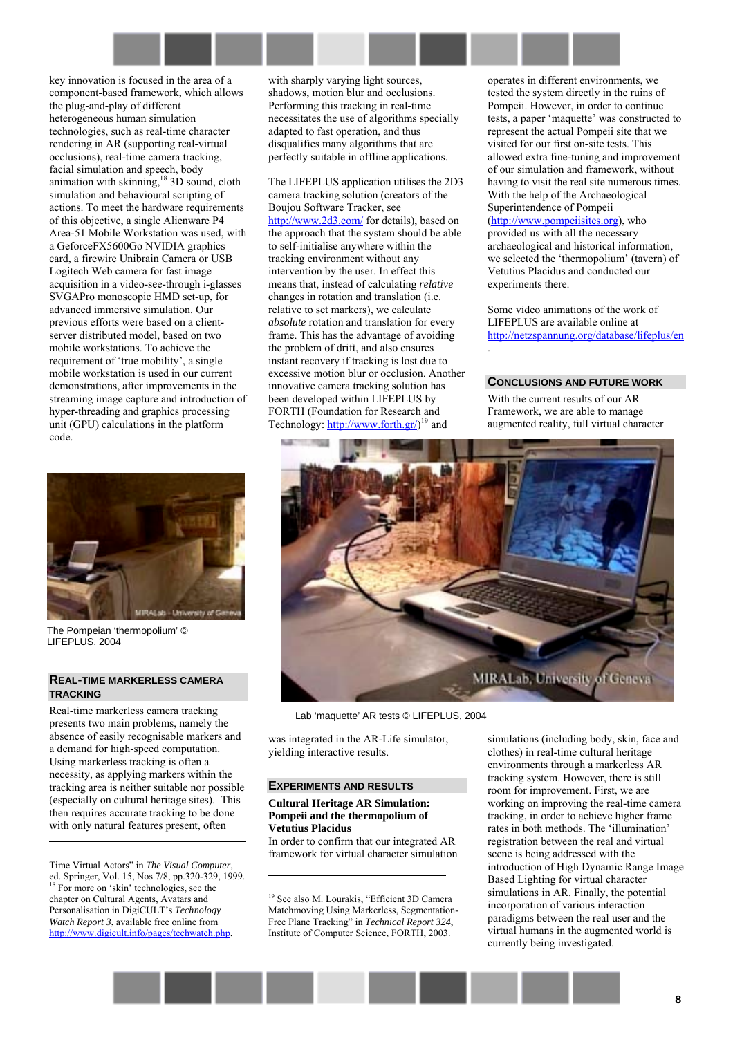

key innovation is focused in the area of a component-based framework, which allows the plug-and-play of different heterogeneous human simulation technologies, such as real-time character rendering in AR (supporting real-virtual occlusions), real-time camera tracking, facial simulation and speech, body animation with skinning, $^{18}$  3D sound, cloth simulation and behavioural scripting of actions. To meet the hardware requirements of this objective, a single Alienware P4 Area-51 Mobile Workstation was used, with a GeforceFX5600Go NVIDIA graphics card, a firewire Unibrain Camera or USB Logitech Web camera for fast image acquisition in a video-see-through i-glasses SVGAPro monoscopic HMD set-up, for advanced immersive simulation. Our previous efforts were based on a clientserver distributed model, based on two mobile workstations. To achieve the requirement of 'true mobility', a single mobile workstation is used in our current demonstrations, after improvements in the streaming image capture and introduction of hyper-threading and graphics processing unit (GPU) calculations in the platform code.



The Pompeian 'thermopolium' © LIFEPLUS, 2004

#### **REAL-TIME MARKERLESS CAMERA TRACKING**

Real-time markerless camera tracking presents two main problems, namely the absence of easily recognisable markers and a demand for high-speed computation. Using markerless tracking is often a necessity, as applying markers within the tracking area is neither suitable nor possible (especially on cultural heritage sites). This then requires accurate tracking to be done with only natural features present, often

Time Virtual Actors" in *The Visual Computer*, ed. Springer, Vol. 15, Nos 7/8, pp.320-329, 1999. <sup>18</sup> For more on 'skin' technologies, see the chapter on Cultural Agents, Avatars and Personalisation in DigiCULT's *Technology Watch Report 3*, available free online from http://www.digicult.info/pages/techwatch.php.

1

with sharply varying light sources, shadows, motion blur and occlusions. Performing this tracking in real-time necessitates the use of algorithms specially adapted to fast operation, and thus disqualifies many algorithms that are perfectly suitable in offline applications.

The LIFEPLUS application utilises the 2D3 camera tracking solution (creators of the Boujou Software Tracker, see [http://www.2d3.com/ f](http://www.2d3.com/)or details), based on the approach that the system should be able to self-initialise anywhere within the tracking environment without any intervention by the user. In effect this means that, instead of calculating *relative* changes in rotation and translation (i.e. relative to set markers), we calculate *absolute* rotation and translation for every frame. This has the advantage of avoiding the problem of drift, and also ensures instant recovery if tracking is lost due to excessive motion blur or occlusion. Another innovative camera tracking solution has been developed within LIFEPLUS by FORTH (Foundation for Research and Technology: [http://www.forth.gr/\)](http://www.forth.gr/)<sup>19</sup> and

operates in different environments, we tested the system directly in the ruins of Pompeii. However, in order to continue tests, a paper 'maquette' was constructed to represent the actual Pompeii site that we visited for our first on-site tests. This allowed extra fine-tuning and improvement of our simulation and framework, without having to visit the real site numerous times. With the help of the [Archaeological](http://www.pompeiisites.org/)  [Superintendence of Pompeii](http://www.pompeiisites.org/)  ([http://www.pompeiisites.org\)](http://www.pompeiisites.org/), who provided us with all the necessary archaeological and historical information, we selected the 'thermopolium' (tavern) of Vetutius Placidus and conducted our experiments there.

Some video animations of the work of LIFEPLUS are available online at <http://netzspannung.org/database/lifeplus/en> .

#### **CONCLUSIONS AND FUTURE WORK**

With the current results of our AR Framework, we are able to manage augmented reality, full virtual character



Lab 'maquette' AR tests © LIFEPLUS, 2004

was integrated in the AR-Life simulator, yielding interactive results.

#### **EXPERIMENTS AND RESULTS**

 $\overline{a}$ 

#### **Cultural Heritage AR Simulation: Pompeii and the thermopolium of Vetutius Placidus**

In order to confirm that our integrated AR framework for virtual character simulation

<sup>19</sup> See also M. Lourakis, "Efficient 3D Camera Matchmoving Using Markerless, Segmentation-Free Plane Tracking" in *Technical Report 324*, Institute of Computer Science, FORTH, 2003.

simulations (including body, skin, face and clothes) in real-time cultural heritage environments through a markerless AR tracking system. However, there is still room for improvement. First, we are working on improving the real-time camera tracking, in order to achieve higher frame rates in both methods. The 'illumination' registration between the real and virtual scene is being addressed with the introduction of High Dynamic Range Image Based Lighting for virtual character simulations in AR. Finally, the potential incorporation of various interaction paradigms between the real user and the virtual humans in the augmented world is currently being investigated.

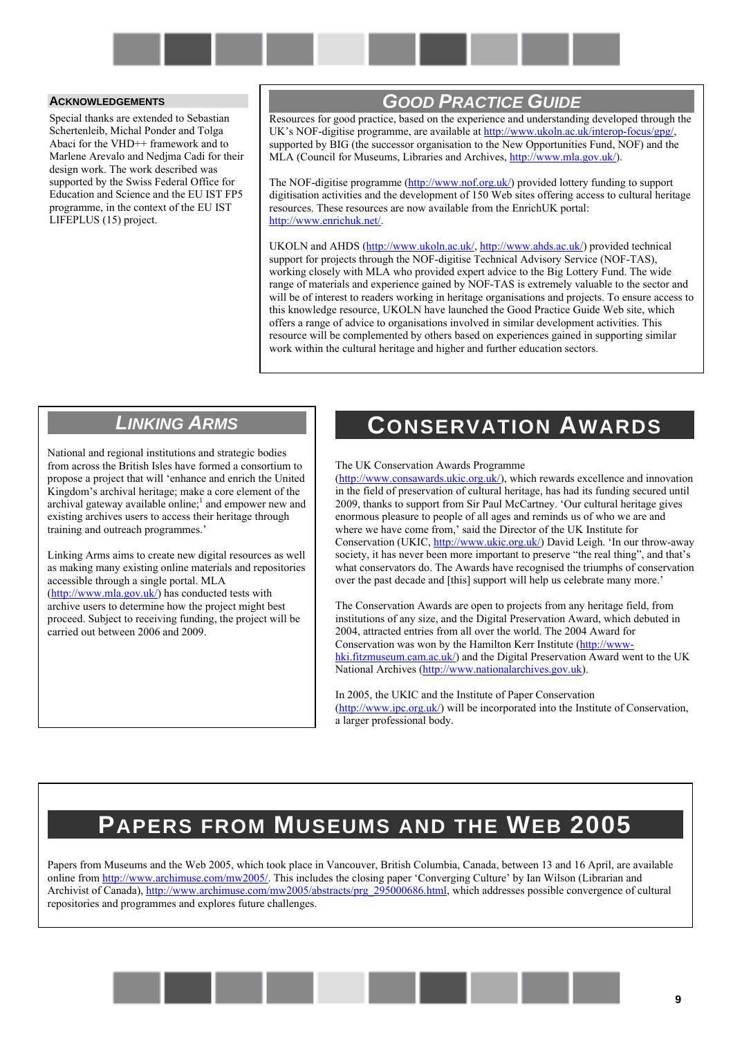

### **ACKNOWLEDGEMENTS**

Special thanks are extended to Sebastian Schertenleib, Michal Ponder and Tolga Abaci for the VHD++ framework and to Marlene Arevalo and Nedjma Cadi for their design work. The work described was supported by the Swiss Federal Office for Education and Science and the EU IST FP5 programme, in the context of the EU IST LIFEPLUS (15) project.

# *GOOD PRACTICE GUIDE*

Resources for good practice, based on the experience and understanding developed through the UK's NOF-digitise programme, are available at [http://www.ukoln.ac.uk/interop-focus/gpg/,](http://www.ukoln.ac.uk/interop-focus/gpg/) supported by BIG (the successor organisation to the New Opportunities Fund, NOF) and the MLA (Council for Museums, Libraries and Archives, [http://www.mla.gov.uk/\)](http://www.mla.gov.uk/).

The NOF-digitise programme [\(http://www.nof.org.uk/\)](http://www.nof.org.uk/) provided lottery funding to support digitisation activities and the development of 150 Web sites offering access to cultural heritage resources. These resources are now available from the EnrichUK portal: [http://www.enrichuk.net/.](http://www.enrichuk.net/) 

UKOLN and AHDS ([http://www.ukoln.ac.uk/,](http://www.ukoln.ac.uk/) [http://www.ahds.ac.uk/\)](http://www.ahds.ac.uk/) provided technical support for projects through the NOF-digitise Technical Advisory Service (NOF-TAS), working closely with MLA who provided expert advice to the Big Lottery Fund. The wide range of materials and experience gained by NOF-TAS is extremely valuable to the sector and will be of interest to readers working in heritage organisations and projects. To ensure access to this knowledge resource, UKOLN have launched the Good Practice Guide Web site, which offers a range of advice to organisations involved in similar development activities. This resource will be complemented by others based on experiences gained in supporting similar work within the cultural heritage and higher and further education sectors.

# *LINKING ARMS*

National and regional institutions and strategic bodies from across the British Isles have formed a consortium to propose a project that will ëenhance and enrich the United Kingdom's archival heritage; make a core element of the archival gateway available online;<sup>1</sup> and empower new and existing archives users to access their heritage through training and outreach programmes.'

Linking Arms aims to create new digital resources as well as making many existing online materials and repositories accessible through a single portal. MLA ([http://www.mla.gov.uk/\)](http://www.mla.gov.uk/) has conducted tests with archive users to determine how the project might best proceed. Subject to receiving funding, the project will be carried out between 2006 and 2009.

# **CONSERVATION AWARDS**

The UK Conservation Awards Programme

[\(http://www.consawards.ukic.org.uk/\)](http://www.consawards.ukic.org.uk/), which rewards excellence and innovation in the field of preservation of cultural heritage, has had its funding secured until 2009, thanks to support from Sir Paul McCartney. ëOur cultural heritage gives enormous pleasure to people of all ages and reminds us of who we are and where we have come from,' said the Director of the UK Institute for Conservation (UKIC, [http://www.ukic.org.uk/\)](http://www.ukic.org.uk/) David Leigh. 'In our throw-away society, it has never been more important to preserve "the real thing", and that's what conservators do. The Awards have recognised the triumphs of conservation over the past decade and [this] support will help us celebrate many more.<sup>7</sup>

The Conservation Awards are open to projects from any heritage field, from institutions of any size, and the Digital Preservation Award, which debuted in 2004, attracted entries from all over the world. The 2004 Award for Conservation was won by the Hamilton Kerr Institute ([http://www](http://www-hki.fitzmuseum.cam.ac.uk/)[hki.fitzmuseum.cam.ac.uk/\)](http://www-hki.fitzmuseum.cam.ac.uk/) and the Digital Preservation Award went to the UK National Archives [\(http://www.nationalarchives.gov.uk\)](http://www.nationalarchives.gov.uk/).

In 2005, the UKIC and the Institute of Paper Conservation [\(http://www.ipc.org.uk/\)](http://www.ipc.org.uk/) will be incorporated into the Institute of Conservation, a larger professional body.

# **PAPERS FROM MUSEUMS AND THE WEB 2005**

Papers from Museums and the Web 2005, which took place in Vancouver, British Columbia, Canada, between 13 and 16 April, are available online from [http://www.archimuse.com/mw2005/.](http://www.archimuse.com/mw2005/) This includes the closing paper 'Converging Culture' by Ian Wilson (Librarian and Archivist of Canada), [http://www.archimuse.com/mw2005/abstracts/prg\\_295000686.html,](http://www.archimuse.com/mw2005/abstracts/prg_295000686.html) which addresses possible convergence of cultural repositories and programmes and explores future challenges.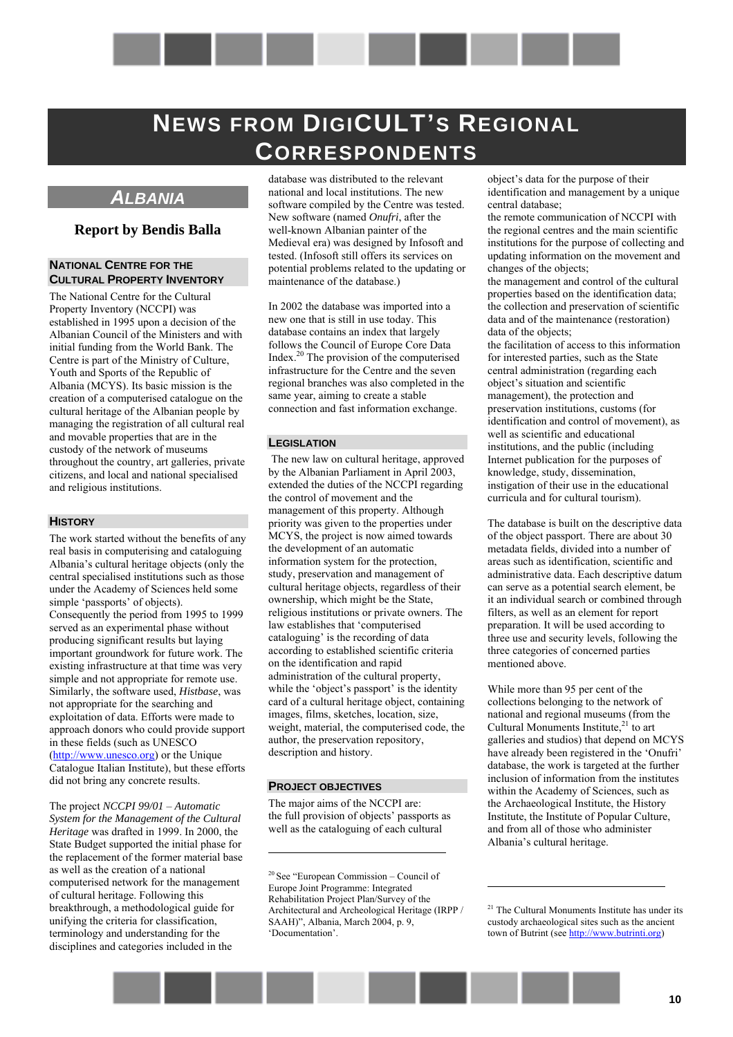# <span id="page-9-0"></span>**NEWS FROM DIGICULT'S REGIONAL CORRESPONDENTS**

# <span id="page-9-1"></span>*ALBANIA*

# **Report by Bendis Balla**

### **NATIONAL CENTRE FOR THE CULTURAL PROPERTY INVENTORY**

The National Centre for the Cultural Property Inventory (NCCPI) was established in 1995 upon a decision of the Albanian Council of the Ministers and with initial funding from the World Bank. The Centre is part of the Ministry of Culture, Youth and Sports of the Republic of Albania (MCYS). Its basic mission is the creation of a computerised catalogue on the cultural heritage of the Albanian people by managing the registration of all cultural real and movable properties that are in the custody of the network of museums throughout the country, art galleries, private citizens, and local and national specialised and religious institutions.

## **HISTORY**

The work started without the benefits of any real basis in computerising and cataloguing Albaniaís cultural heritage objects (only the central specialised institutions such as those under the Academy of Sciences held some simple 'passports' of objects). Consequently the period from 1995 to 1999 served as an experimental phase without producing significant results but laying important groundwork for future work. The existing infrastructure at that time was very simple and not appropriate for remote use. Similarly, the software used, *Histbase*, was not appropriate for the searching and exploitation of data. Efforts were made to approach donors who could provide support in these fields (such as UNESCO [\(http://www.unesco.org\)](http://www.unesco.org/) or the Unique Catalogue Italian Institute), but these efforts did not bring any concrete results.

The project *NCCPI 99/01* – Automatic *System for the Management of the Cultural Heritage* was drafted in 1999. In 2000, the State Budget supported the initial phase for the replacement of the former material base as well as the creation of a national computerised network for the management of cultural heritage. Following this breakthrough, a methodological guide for unifying the criteria for classification, terminology and understanding for the disciplines and categories included in the

database was distributed to the relevant national and local institutions. The new software compiled by the Centre was tested. New software (named *Onufri*, after the well-known Albanian painter of the Medieval era) was designed by Infosoft and tested. (Infosoft still offers its services on potential problems related to the updating or maintenance of the database.)

In 2002 the database was imported into a new one that is still in use today. This database contains an index that largely follows the Council of Europe Core Data Index.20 The provision of the computerised infrastructure for the Centre and the seven regional branches was also completed in the same year, aiming to create a stable connection and fast information exchange.

#### **LEGISLATION**

 The new law on cultural heritage, approved by the Albanian Parliament in April 2003, extended the duties of the NCCPI regarding the control of movement and the management of this property. Although priority was given to the properties under MCYS, the project is now aimed towards the development of an automatic information system for the protection, study, preservation and management of cultural heritage objects, regardless of their ownership, which might be the State, religious institutions or private owners. The law establishes that 'computerised cataloguing' is the recording of data according to established scientific criteria on the identification and rapid administration of the cultural property, while the 'object's passport' is the identity card of a cultural heritage object, containing images, films, sketches, location, size, weight, material, the computerised code, the author, the preservation repository, description and history.

#### **PROJECT OBJECTIVES**

 $\overline{a}$ 

The major aims of the NCCPI are: the full provision of objects' passports as well as the cataloguing of each cultural

object's data for the purpose of their identification and management by a unique central database;

the remote communication of NCCPI with the regional centres and the main scientific institutions for the purpose of collecting and updating information on the movement and changes of the objects;

the management and control of the cultural properties based on the identification data; the collection and preservation of scientific data and of the maintenance (restoration) data of the objects;

the facilitation of access to this information for interested parties, such as the State central administration (regarding each object's situation and scientific management), the protection and preservation institutions, customs (for identification and control of movement), as well as scientific and educational institutions, and the public (including Internet publication for the purposes of knowledge, study, dissemination, instigation of their use in the educational curricula and for cultural tourism).

The database is built on the descriptive data of the object passport. There are about 30 metadata fields, divided into a number of areas such as identification, scientific and administrative data. Each descriptive datum can serve as a potential search element, be it an individual search or combined through filters, as well as an element for report preparation. It will be used according to three use and security levels, following the three categories of concerned parties mentioned above.

While more than 95 per cent of the collections belonging to the network of national and regional museums (from the Cultural Monuments Institute, $21$  to art galleries and studios) that depend on MCYS have already been registered in the 'Onufri' database, the work is targeted at the further inclusion of information from the institutes within the Academy of Sciences, such as the Archaeological Institute, the History Institute, the Institute of Popular Culture, and from all of those who administer Albania's cultural heritage.

 $20$  See "European Commission – Council of Europe Joint Programme: Integrated Rehabilitation Project Plan/Survey of the Architectural and Archeological Heritage (IRPP / SAAH)", Albania, March 2004, p. 9, 'Documentation'.

<sup>&</sup>lt;sup>21</sup> The Cultural Monuments Institute has under its custody archaeological sites such as the ancient town of Butrint (see http://www.butrinti.org)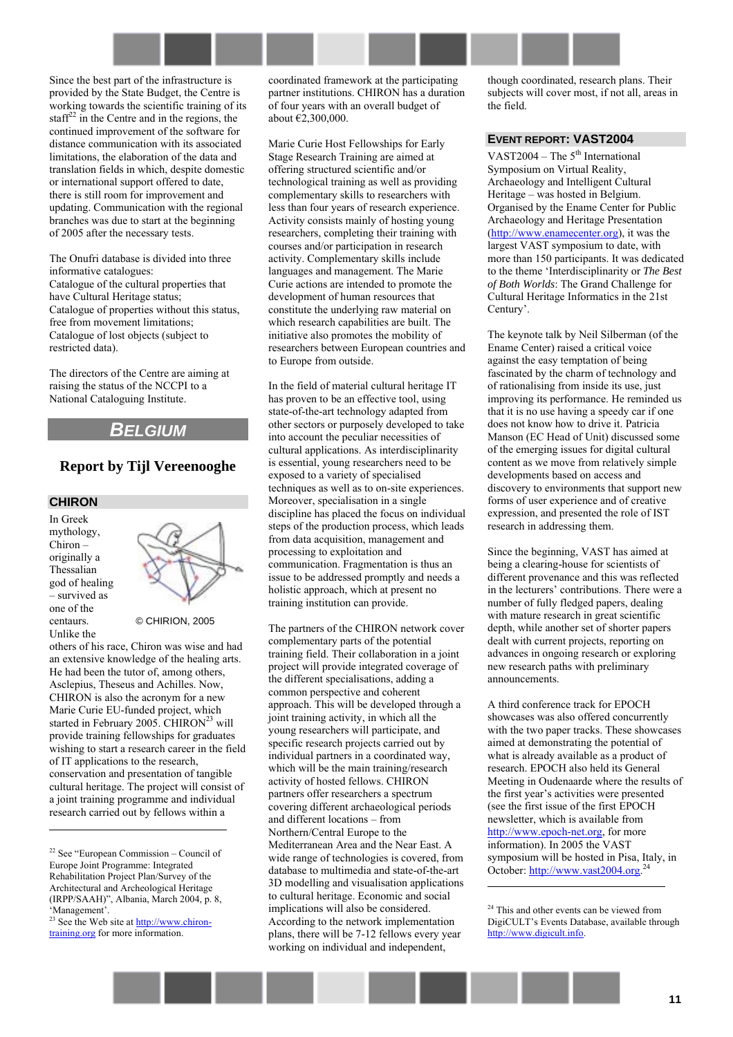Since the best part of the infrastructure is provided by the State Budget, the Centre is working towards the scientific training of its staff $^{22}$  in the Centre and in the regions, the continued improvement of the software for distance communication with its associated limitations, the elaboration of the data and translation fields in which, despite domestic or international support offered to date, there is still room for improvement and updating. Communication with the regional branches was due to start at the beginning of 2005 after the necessary tests.

The Onufri database is divided into three informative catalogues: Catalogue of the cultural properties that have Cultural Heritage status; Catalogue of properties without this status, free from movement limitations; Catalogue of lost objects (subject to restricted data).

The directors of the Centre are aiming at raising the status of the NCCPI to a National Cataloguing Institute.

# <span id="page-10-0"></span>*BELGIUM*

# **Report by Tijl Vereenooghe**

# **CHIRON**

In Greek mythology, Chiron originally a Thessalian god of healing  $=$  survived as one of the centaurs. Unlike the

 $\overline{a}$ 



#### © CHIRION, 2005

others of his race, Chiron was wise and had an extensive knowledge of the healing arts. He had been the tutor of, among others, Asclepius, Theseus and Achilles. Now, CHIRON is also the acronym for a new Marie Curie EU-funded project, which started in February 2005. CHIRON<sup>23</sup> will provide training fellowships for graduates wishing to start a research career in the field of IT applications to the research, conservation and presentation of tangible cultural heritage. The project will consist of a joint training programme and individual research carried out by fellows within a

coordinated framework at the participating partner institutions. CHIRON has a duration of four years with an overall budget of about  $\check{E2}$ , 300, 000.

Marie Curie Host Fellowships for Early Stage Research Training are aimed at offering structured scientific and/or technological training as well as providing complementary skills to researchers with less than four years of research experience. Activity consists mainly of hosting young researchers, completing their training with courses and/or participation in research activity. Complementary skills include languages and management. The Marie Curie actions are intended to promote the development of human resources that constitute the underlying raw material on which research capabilities are built. The initiative also promotes the mobility of researchers between European countries and to Europe from outside.

In the field of material cultural heritage IT has proven to be an effective tool, using state-of-the-art technology adapted from other sectors or purposely developed to take into account the peculiar necessities of cultural applications. As interdisciplinarity is essential, young researchers need to be exposed to a variety of specialised techniques as well as to on-site experiences. Moreover, specialisation in a single discipline has placed the focus on individual steps of the production process, which leads from data acquisition, management and processing to exploitation and communication. Fragmentation is thus an issue to be addressed promptly and needs a holistic approach, which at present no training institution can provide.

The partners of the CHIRON network cover complementary parts of the potential training field. Their collaboration in a joint project will provide integrated coverage of the different specialisations, adding a common perspective and coherent approach. This will be developed through a joint training activity, in which all the young researchers will participate, and specific research projects carried out by individual partners in a coordinated way, which will be the main training/research activity of hosted fellows. CHIRON partners offer researchers a spectrum covering different archaeological periods and different locations – from Northern/Central Europe to the Mediterranean Area and the Near East. A wide range of technologies is covered, from database to multimedia and state-of-the-art 3D modelling and visualisation applications to cultural heritage. Economic and social implications will also be considered. According to the network implementation plans, there will be 7-12 fellows every year working on individual and independent,

though coordinated, research plans. Their subjects will cover most, if not all, areas in the field.

### **EVENT REPORT: VAST2004**

VAST2004 – The  $5<sup>th</sup>$  International Symposium on Virtual Reality, Archaeology and Intelligent Cultural Heritage – was hosted in Belgium. Organised by the Ename Center for Public Archaeology and Heritage Presentation ([http://www.enamecenter.org\)](http://www.enamecenter.org/), it was the largest VAST symposium to date, with more than 150 participants. It was dedicated to the theme ëInterdisciplinarity or *The Best of Both Worlds*: The Grand Challenge for Cultural Heritage Informatics in the 21st Century<sup>'</sup>.

The keynote talk by Neil Silberman (of the Ename Center) raised a critical voice against the easy temptation of being fascinated by the charm of technology and of rationalising from inside its use, just improving its performance. He reminded us that it is no use having a speedy car if one does not know how to drive it. Patricia Manson (EC Head of Unit) discussed some of the emerging issues for digital cultural content as we move from relatively simple developments based on access and discovery to environments that support new forms of user experience and of creative expression, and presented the role of IST research in addressing them.

Since the beginning, VAST has aimed at being a clearing-house for scientists of different provenance and this was reflected in the lecturers' contributions. There were a number of fully fledged papers, dealing with mature research in great scientific depth, while another set of shorter papers dealt with current projects, reporting on advances in ongoing research or exploring new research paths with preliminary announcements.

A third conference track for EPOCH showcases was also offered concurrently with the two paper tracks. These showcases aimed at demonstrating the potential of what is already available as a product of research. EPOCH also held its General Meeting in Oudenaarde where the results of the first year's activities were presented (see the first issue of the first EPOCH newsletter, which is available from [http://www.epoch-net.org,](http://www.epoch-net.org/) for more information). In 2005 the VAST symposium will be hosted in Pisa, Italy, in October: [http://www.vast2004.org.](http://www.vast2004.org/)<sup>24</sup>

 $22$  See "European Commission – Council of Europe Joint Programme: Integrated Rehabilitation Project Plan/Survey of the Architectural and Archeological Heritage (IRPP/SAAH)", Albania, March 2004, p. 8, 'Management'.

 $23$  See the Web site at  $\frac{http://www.chiron-}{http://www.chiron-}$ training.org for more information.

<sup>&</sup>lt;sup>24</sup> This and other events can be viewed from DigiCULT's Events Database, available through http://www.digicult.info.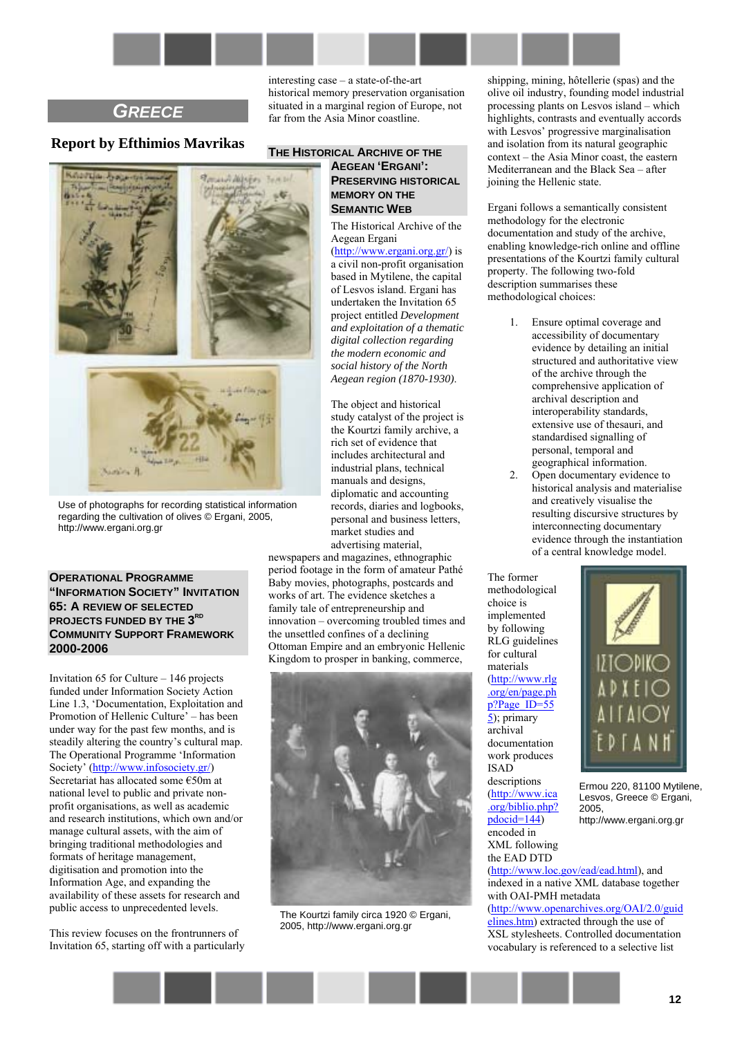# <span id="page-11-0"></span>*GREECE*

# **Report by Efthimios Mavrikas**



Use of photographs for recording statistical information regarding the cultivation of olives © Ergani, 2005, http://www.ergani.org.gr

**OPERATIONAL PROGRAMME "INFORMATION SOCIETY" INVITATION 65: A REVIEW OF SELECTED PROJECTS FUNDED BY THE 3RD COMMUNITY SUPPORT FRAMEWORK 2000-2006** 

Invitation  $65$  for Culture  $-146$  projects funded under Information Society Action Line 1.3, ëDocumentation, Exploitation and Promotion of Hellenic Culture<sup>'</sup> – has been under way for the past few months, and is steadily altering the country's cultural map. The Operational Programme 'Information Society<sup>'</sup> ([http://www.infosociety.gr/\)](http://www.infosociety.gr/) Secretariat has allocated some  $E$ 50m at national level to public and private nonprofit organisations, as well as academic and research institutions, which own and/or manage cultural assets, with the aim of bringing traditional methodologies and formats of heritage management, digitisation and promotion into the Information Age, and expanding the availability of these assets for research and public access to unprecedented levels.

This review focuses on the frontrunners of Invitation 65, starting off with a particularly

interesting case  $-$  a state-of-the-art historical memory preservation organisation situated in a marginal region of Europe, not far from the Asia Minor coastline.

### **THE HISTORICAL ARCHIVE OF THE AEGEAN 'ERGANI': PRESERVING HISTORICAL MEMORY ON THE SEMANTIC WEB**

The Historical Archive of the Aegean Ergani

([http://www.ergani.org.gr/\)](http://www.ergani.org.gr/) is a civil non-profit organisation based in Mytilene, the capital of Lesvos island. Ergani has undertaken the Invitation 65 project entitled *Development and exploitation of a thematic digital collection regarding the modern economic and social history of the North Aegean region (1870-1930)*.

The object and historical study catalyst of the project is the Kourtzi family archive, a rich set of evidence that includes architectural and industrial plans, technical manuals and designs, diplomatic and accounting records, diaries and logbooks, personal and business letters, market studies and advertising material,

newspapers and magazines, ethnographic period footage in the form of amateur PathÈ Baby movies, photographs, postcards and works of art. The evidence sketches a family tale of entrepreneurship and innovation – overcoming troubled times and the unsettled confines of a declining Ottoman Empire and an embryonic Hellenic Kingdom to prosper in banking, commerce,



The Kourtzi family circa 1920 © Ergani, 2005, http://www.ergani.org.gr

shipping, mining, hôtellerie (spas) and the olive oil industry, founding model industrial processing plants on Lesvos island - which highlights, contrasts and eventually accords with Lesvos' progressive marginalisation and isolation from its natural geographic  $context - the Asia Minor coast, the eastern$ Mediterranean and the Black Sea - after joining the Hellenic state.

Ergani follows a semantically consistent methodology for the electronic documentation and study of the archive, enabling knowledge-rich online and offline presentations of the Kourtzi family cultural property. The following two-fold description summarises these methodological choices:

- 1. Ensure optimal coverage and accessibility of documentary evidence by detailing an initial structured and authoritative view of the archive through the comprehensive application of archival description and interoperability standards, extensive use of thesauri, and standardised signalling of personal, temporal and geographical information.
- 2. Open documentary evidence to historical analysis and materialise and creatively visualise the resulting discursive structures by interconnecting documentary evidence through the instantiation of a central knowledge model.

methodological choice is implemented by following RLG guidelines for cultural materials ([http://www.rlg](http://www.rlg.org/en/page.php?Page_ID=555) [.org/en/page.ph](http://www.rlg.org/en/page.php?Page_ID=555) [p?Page\\_ID=55](http://www.rlg.org/en/page.php?Page_ID=555) 5[\);](http://www.rlg.org/en/page.php?Page_ID=555) primary archival documentation work produces ISAD descriptions ([http://www.ica](http://www.ica.org/biblio.php?pdocid=144) [.org/biblio.php?](http://www.ica.org/biblio.php?pdocid=144)  $pdocid=144$ ) encoded in XML following the EAD DTD

The former



Ermou 220, 81100 Mytilene, Lesvos, Greece © Ergani, 2005,

http://www.ergani.org.gr

([http://www.loc.gov/ead/ead.html\)](http://www.loc.gov/ead/ead.html), and indexed in a native XML database together with OAI-PMH metadata ([http://www.openarchives.org/OAI/2.0/guid](http://www.openarchives.org/OAI/2.0/guidelines.htm) [elines.htm\)](http://www.openarchives.org/OAI/2.0/guidelines.htm) extracted through the use of XSL stylesheets. Controlled documentation vocabulary is referenced to a selective list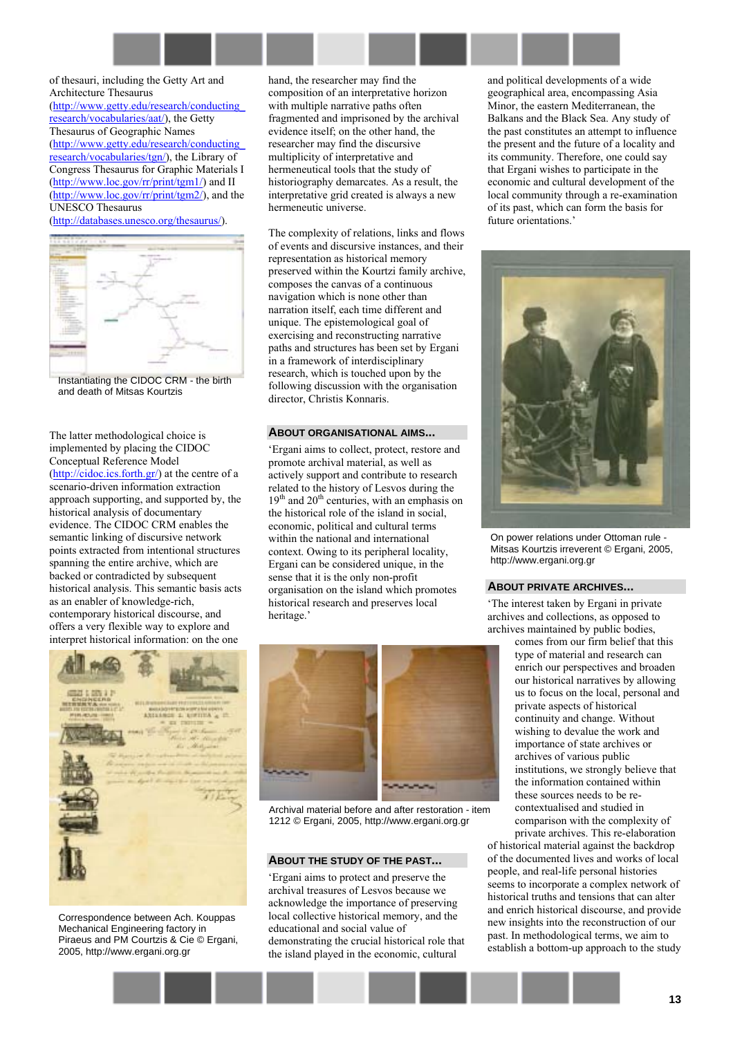of thesauri, including the Getty Art and Architecture Thesaurus [\(http://www.getty.edu/research/conducting\\_](http://www.getty.edu/research/conducting_research/vocabularies/aat/) [research/vocabularies/aat/\)](http://www.getty.edu/research/conducting_research/vocabularies/aat/), the Getty Thesaurus of Geographic Names [\(http://www.getty.edu/research/conducting\\_](http://www.getty.edu/research/conducting_research/vocabularies/tgn/) [research/vocabularies/tgn/\)](http://www.getty.edu/research/conducting_research/vocabularies/tgn/), the Library of Congress Thesaurus for Graphic Materials I [\(http://www.loc.gov/rr/print/tgm1/\)](http://www.loc.gov/rr/print/tgm1/) and II [\(http://www.loc.gov/rr/print/tgm2/\)](http://www.loc.gov/rr/print/tgm2/), and the UNESCO Thesaurus

[\(http://databases.unesco.org/thesaurus/\)](http://databases.unesco.org/thesaurus/).



Instantiating the CIDOC CRM - the birth and death of Mitsas Kourtzis

The latter methodological choice is implemented by placing the CIDOC Conceptual Reference Model [\(http://cidoc.ics.forth.gr/\)](http://cidoc.ics.forth.gr/) at the centre of a scenario-driven information extraction approach supporting, and supported by, the historical analysis of documentary evidence. The CIDOC CRM enables the semantic linking of discursive network points extracted from intentional structures spanning the entire archive, which are backed or contradicted by subsequent historical analysis. This semantic basis acts as an enabler of knowledge-rich, contemporary historical discourse, and offers a very flexible way to explore and interpret historical information: on the one



Correspondence between Ach. Kouppas Mechanical Engineering factory in Piraeus and PM Courtzis & Cie © Ergani, 2005, http://www.ergani.org.gr

hand, the researcher may find the composition of an interpretative horizon with multiple narrative paths often fragmented and imprisoned by the archival evidence itself; on the other hand, the researcher may find the discursive multiplicity of interpretative and hermeneutical tools that the study of historiography demarcates. As a result, the interpretative grid created is always a new hermeneutic universe.

The complexity of relations, links and flows of events and discursive instances, and their representation as historical memory preserved within the Kourtzi family archive, composes the canvas of a continuous navigation which is none other than narration itself, each time different and unique. The epistemological goal of exercising and reconstructing narrative paths and structures has been set by Ergani in a framework of interdisciplinary research, which is touched upon by the following discussion with the organisation director, Christis Konnaris.

#### **ABOUT ORGANISATIONAL AIMS...**

ëErgani aims to collect, protect, restore and promote archival material, as well as actively support and contribute to research related to the history of Lesvos during the  $19<sup>th</sup>$  and  $20<sup>th</sup>$  centuries, with an emphasis on the historical role of the island in social, economic, political and cultural terms within the national and international context. Owing to its peripheral locality, Ergani can be considered unique, in the sense that it is the only non-profit organisation on the island which promotes historical research and preserves local heritage.'



Archival material before and after restoration - item 1212 © Ergani, 2005, http://www.ergani.org.gr

#### **ABOUT THE STUDY OF THE PAST...**

ëErgani aims to protect and preserve the archival treasures of Lesvos because we acknowledge the importance of preserving local collective historical memory, and the educational and social value of demonstrating the crucial historical role that the island played in the economic, cultural

and political developments of a wide geographical area, encompassing Asia Minor, the eastern Mediterranean, the Balkans and the Black Sea. Any study of the past constitutes an attempt to influence the present and the future of a locality and its community. Therefore, one could say that Ergani wishes to participate in the economic and cultural development of the local community through a re-examination of its past, which can form the basis for future orientations.'



On power relations under Ottoman rule - Mitsas Kourtzis irreverent © Ergani, 2005, http://www.ergani.org.gr

#### **ABOUT PRIVATE ARCHIVES...**

ëThe interest taken by Ergani in private archives and collections, as opposed to archives maintained by public bodies,

> comes from our firm belief that this type of material and research can enrich our perspectives and broaden our historical narratives by allowing us to focus on the local, personal and private aspects of historical continuity and change. Without wishing to devalue the work and importance of state archives or archives of various public institutions, we strongly believe that the information contained within these sources needs to be recontextualised and studied in comparison with the complexity of private archives. This re-elaboration

of historical material against the backdrop of the documented lives and works of local people, and real-life personal histories seems to incorporate a complex network of historical truths and tensions that can alter and enrich historical discourse, and provide new insights into the reconstruction of our past. In methodological terms, we aim to establish a bottom-up approach to the study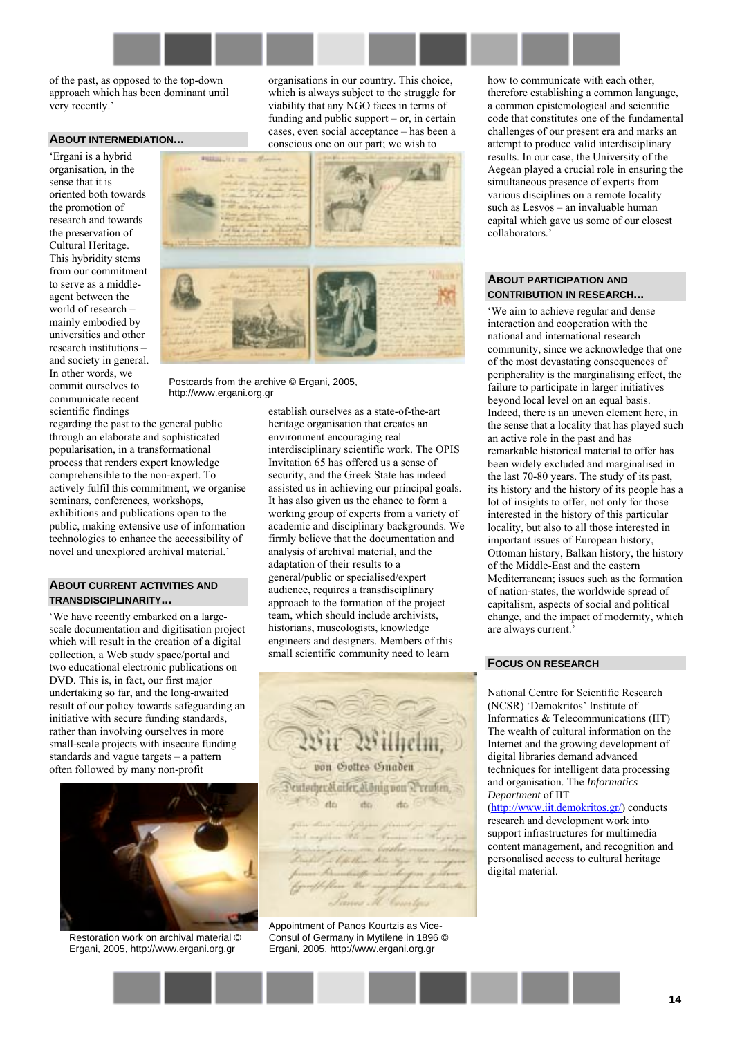of the past, as opposed to the top-down approach which has been dominant until very recently.'

#### **ABOUT INTERMEDIATION...**

ëErgani is a hybrid organisation, in the sense that it is oriented both towards the promotion of research and towards the preservation of Cultural Heritage. This hybridity stems from our commitment to serve as a middleagent between the world of research  $$ mainly embodied by universities and other research institutions and society in general. In other words, we commit ourselves to communicate recent scientific findings

regarding the past to the general public through an elaborate and sophisticated popularisation, in a transformational process that renders expert knowledge comprehensible to the non-expert. To actively fulfil this commitment, we organise seminars, conferences, workshops, exhibitions and publications open to the public, making extensive use of information technologies to enhance the accessibility of novel and unexplored archival material.

#### **ABOUT CURRENT ACTIVITIES AND TRANSDISCIPLINARITY...**

ëWe have recently embarked on a largescale documentation and digitisation project which will result in the creation of a digital collection, a Web study space/portal and two educational electronic publications on DVD. This is, in fact, our first major undertaking so far, and the long-awaited result of our policy towards safeguarding an initiative with secure funding standards, rather than involving ourselves in more small-scale projects with insecure funding standards and vague targets  $-$  a pattern often followed by many non-profit



Restoration work on archival material © Ergani, 2005, http://www.ergani.org.gr

organisations in our country. This choice, which is always subject to the struggle for viability that any NGO faces in terms of funding and public support  $-$  or, in certain  $cases, even social acceptance - has been a$ conscious one on our part; we wish to



Postcards from the archive © Ergani, 2005. http://www.ergani.org.gr

establish ourselves as a state-of-the-art heritage organisation that creates an environment encouraging real interdisciplinary scientific work. The OPIS Invitation 65 has offered us a sense of security, and the Greek State has indeed assisted us in achieving our principal goals. It has also given us the chance to form a working group of experts from a variety of academic and disciplinary backgrounds. We firmly believe that the documentation and analysis of archival material, and the adaptation of their results to a general/public or specialised/expert audience, requires a transdisciplinary approach to the formation of the project team, which should include archivists, historians, museologists, knowledge engineers and designers. Members of this small scientific community need to learn



Appointment of Panos Kourtzis as Vice-Consul of Germany in Mytilene in 1896 © Ergani, 2005, http://www.ergani.org.gr

how to communicate with each other, therefore establishing a common language, a common epistemological and scientific code that constitutes one of the fundamental challenges of our present era and marks an attempt to produce valid interdisciplinary results. In our case, the University of the Aegean played a crucial role in ensuring the simultaneous presence of experts from various disciplines on a remote locality such as Lesvos – an invaluable human capital which gave us some of our closest collaborators.

#### **ABOUT PARTICIPATION AND CONTRIBUTION IN RESEARCH...**

ëWe aim to achieve regular and dense interaction and cooperation with the national and international research community, since we acknowledge that one of the most devastating consequences of peripherality is the marginalising effect, the failure to participate in larger initiatives beyond local level on an equal basis. Indeed, there is an uneven element here, in the sense that a locality that has played such an active role in the past and has remarkable historical material to offer has been widely excluded and marginalised in the last 70-80 years. The study of its past, its history and the history of its people has a lot of insights to offer, not only for those interested in the history of this particular locality, but also to all those interested in important issues of European history, Ottoman history, Balkan history, the history of the Middle-East and the eastern Mediterranean; issues such as the formation of nation-states, the worldwide spread of capitalism, aspects of social and political change, and the impact of modernity, which are always current.<sup>7</sup>

#### **FOCUS ON RESEARCH**

National Centre for Scientific Research (NCSR) 'Demokritos' Institute of Informatics & Telecommunications (IIT) The wealth of cultural information on the Internet and the growing development of digital libraries demand advanced techniques for intelligent data processing and organisation. The *Informatics Department* of IIT

([http://www.iit.demokritos.gr/\)](http://www.iit.demokritos.gr/) conducts research and development work into support infrastructures for multimedia content management, and recognition and personalised access to cultural heritage digital material.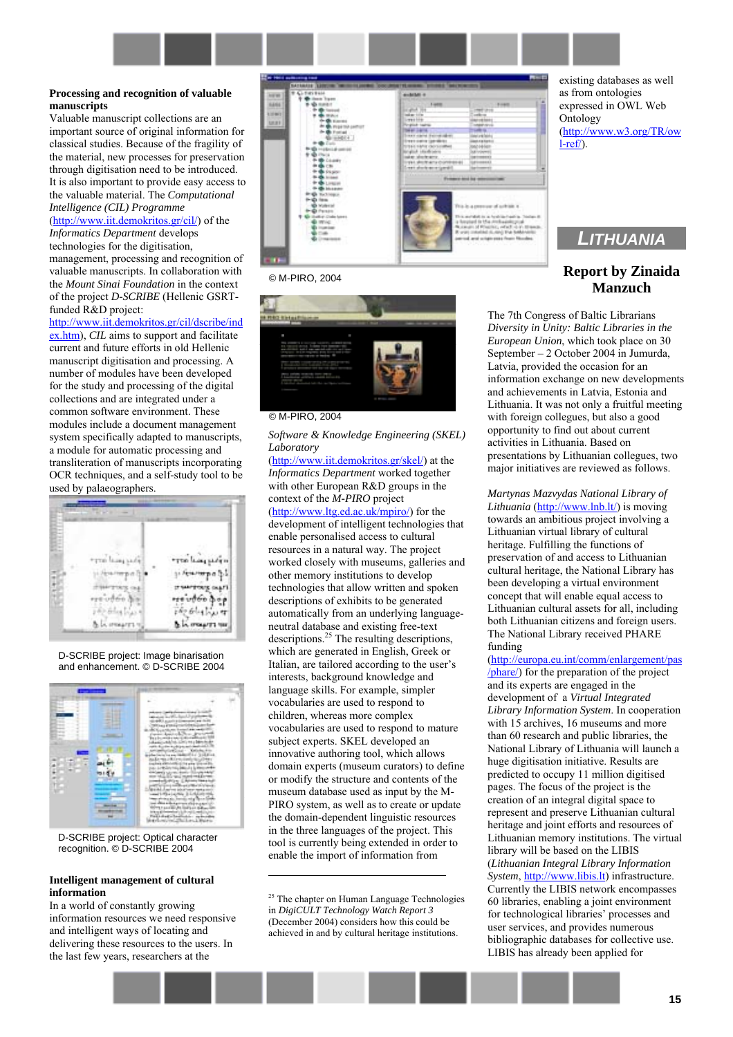#### **Processing and recognition of valuable manuscripts**

Valuable manuscript collections are an important source of original information for classical studies. Because of the fragility of the material, new processes for preservation through digitisation need to be introduced. It is also important to provide easy access to the valuable material. The *Computational Intelligence (CIL) Programme* 

[\(http://www.iit.demokritos.gr/cil/\)](http://www.iit.demokritos.gr/cil/) of the *Informatics Department* develops

technologies for the digitisation, management, processing and recognition of valuable manuscripts. In collaboration with the *Mount Sinai Foundation* in the context of the project *D-SCRIBE* (Hellenic GSRTfunded R&D project:

[http://www.iit.demokritos.gr/cil/dscribe/ind](http://www.iit.demokritos.gr/cil/dscribe/index.htm) [ex.htm\)](http://www.iit.demokritos.gr/cil/dscribe/index.htm), *CIL* aims to support and facilitate current and future efforts in old Hellenic manuscript digitisation and processing. A number of modules have been developed for the study and processing of the digital collections and are integrated under a common software environment. These modules include a document management system specifically adapted to manuscripts, a module for automatic processing and transliteration of manuscripts incorporating OCR techniques, and a self-study tool to be used by palaeographers.



#### D-SCRIBE project: Image binarisation and enhancement. © D-SCRIBE 2004



D-SCRIBE project: Optical character recognition. © D-SCRIBE 2004

#### **Intelligent management of cultural information**

In a world of constantly growing information resources we need responsive and intelligent ways of locating and delivering these resources to the users. In the last few years, researchers at the



#### © M-PIRO, 2004



© M-PIRO, 2004

*Software & Knowledge Engineering (SKEL) Laboratory*

([http://www.iit.demokritos.gr/skel/\)](http://www.iit.demokritos.gr/skel/) at the *Informatics Department* worked together with other European R&D groups in the context of the *M-PIRO* project ([http://www.ltg.ed.ac.uk/mpiro/\)](http://www.ltg.ed.ac.uk/mpiro/) for the development of intelligent technologies that enable personalised access to cultural resources in a natural way. The project worked closely with museums, galleries and other memory institutions to develop technologies that allow written and spoken descriptions of exhibits to be generated automatically from an underlying languageneutral database and existing free-text descriptions. $25$  The resulting descriptions, which are generated in English, Greek or Italian, are tailored according to the user's interests, background knowledge and language skills. For example, simpler vocabularies are used to respond to children, whereas more complex vocabularies are used to respond to mature subject experts. SKEL developed an innovative authoring tool, which allows domain experts (museum curators) to define or modify the structure and contents of the museum database used as input by the M-PIRO system, as well as to create or update the domain-dependent linguistic resources in the three languages of the project. This tool is currently being extended in order to enable the import of information from

<sup>25</sup> The chapter on Human Language Technologies in *DigiCULT Technology Watch Report 3* (December 2004) considers how this could be achieved in and by cultural heritage institutions.

 $\overline{a}$ 

existing databases as well as from ontologies expressed in OWL Web **Ontology** [\(http://www.w3.org/TR/ow](http://www.w3.org/TR/owl-ref/) [l-ref/\)](http://www.w3.org/TR/owl-ref/).

# <span id="page-14-0"></span>*LITHUANIA*

# **Report by Zinaida Manzuch**

The 7th Congress of Baltic Librarians *Diversity in Unity: Baltic Libraries in the European Union*, which took place on 30 September  $-2$  October 2004 in Jumurda, Latvia, provided the occasion for an information exchange on new developments and achievements in Latvia, Estonia and Lithuania. It was not only a fruitful meeting with foreign collegues, but also a good opportunity to find out about current activities in Lithuania. Based on presentations by Lithuanian collegues, two major initiatives are reviewed as follows.

*Martynas Mazvydas National Library of Lithuania* (*http://www.lnb.lt/*) is moving towards an ambitious project involving a Lithuanian virtual library of cultural heritage. Fulfilling the functions of preservation of and access to Lithuanian cultural heritage, the National Library has been developing a virtual environment concept that will enable equal access to Lithuanian cultural assets for all, including both Lithuanian citizens and foreign users. The National Library received PHARE funding

([http://europa.eu.int/comm/enlargement/pas](http://europa.eu.int/comm/enlargement/pas/phare/) [/phare/\)](http://europa.eu.int/comm/enlargement/pas/phare/) for the preparation of the project and its experts are engaged in the development of a *Virtual Integrated Library Information System*. In cooperation with 15 archives, 16 museums and more than 60 research and public libraries, the National Library of Lithuania will launch a huge digitisation initiative. Results are predicted to occupy 11 million digitised pages. The focus of the project is the creation of an integral digital space to represent and preserve Lithuanian cultural heritage and joint efforts and resources of Lithuanian memory institutions. The virtual library will be based on the LIBIS (*Lithuanian Integral Library Information System*, [http://www.libis.lt\)](http://www.libis.lt/) infrastructure. Currently the LIBIS network encompasses 60 libraries, enabling a joint environment for technological libraries' processes and user services, and provides numerous bibliographic databases for collective use. LIBIS has already been applied for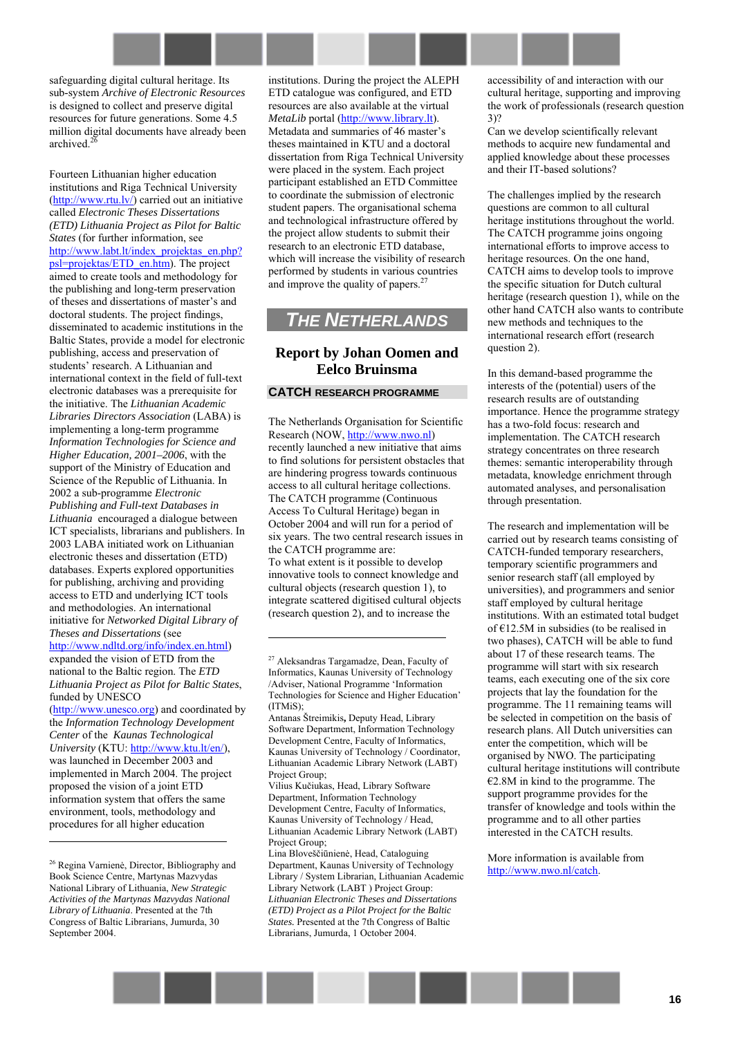

safeguarding digital cultural heritage. Its sub-system *Archive of Electronic Resources* is designed to collect and preserve digital resources for future generations. Some 4.5 million digital documents have already been archived.<sup>26</sup>

Fourteen Lithuanian higher education institutions and Riga Technical University [\(http://www.rtu.lv/\)](http://www.rtu.lv/) carried out an initiative called *Electronic Theses Dissertations (ETD) Lithuania Project as Pilot for Baltic States* (for further information, see [http://www.labt.lt/index\\_projektas\\_en.php?](http://www.labt.lt/index_projektas_en.php?psl=projektas/ETD_en.htm) [psl=projektas/ETD\\_en.htm\)](http://www.labt.lt/index_projektas_en.php?psl=projektas/ETD_en.htm). The project aimed to create tools and methodology for the publishing and long-term preservation of theses and dissertations of master's and doctoral students. The project findings, disseminated to academic institutions in the Baltic States, provide a model for electronic publishing, access and preservation of students' research. A Lithuanian and international context in the field of full-text electronic databases was a prerequisite for the initiative. The *Lithuanian Academic Libraries Directors Association* (LABA) is implementing a long-term programme *Information Technologies for Science and Higher Education, 2001–2006*, with the support of the Ministry of Education and Science of the Republic of Lithuania. In 2002 a sub-programme *Electronic Publishing and Full-text Databases in Lithuania* encouraged a dialogue between ICT specialists, librarians and publishers. In 2003 LABA initiated work on Lithuanian electronic theses and dissertation (ETD) databases. Experts explored opportunities for publishing, archiving and providing access to ETD and underlying ICT tools and methodologies. An international initiative for *Networked Digital Library of Theses and Dissertations* (see [http://www.ndltd.org/info/index.en.html\)](http://www.ndltd.org/info/index.en.html) expanded the vision of ETD from the

national to the Baltic region. The *ETD Lithuania Project as Pilot for Baltic States*, funded by UNESCO

[\(http://www.unesco.org\)](http://www.unesco.org/) and coordinated by the *Information Technology Development Center* of the *Kaunas Technological University* (KTU: [http://www.ktu.lt/en/\)](http://www.ktu.lt/en/), was launched in December 2003 and implemented in March 2004. The project proposed the vision of a joint ETD information system that offers the same environment, tools, methodology and procedures for all higher education

 $\overline{a}$ 

institutions. During the project the ALEPH ETD catalogue was configured, and ETD resources are also available at the virtual *MetaLib* portal ([http://www.library.lt\).](http://www.library.lt/) Metadata and summaries of 46 master's theses maintained in KTU and a doctoral dissertation from Riga Technical University were placed in the system. Each project participant established an ETD Committee to coordinate the submission of electronic student papers. The organisational schema and technological infrastructure offered by the project allow students to submit their research to an electronic ETD database, which will increase the visibility of research performed by students in various countries and improve the quality of papers.<sup>2</sup>

# <span id="page-15-0"></span>*THE NETHERLANDS*

# **Report by Johan Oomen and Eelco Bruinsma**

#### **CATCH RESEARCH PROGRAMME**

The Netherlands Organisation for Scientific Research (NOW, [http://www.nwo.nl\)](http://www.nwo.nl/) recently launched a new initiative that aims to find solutions for persistent obstacles that are hindering progress towards continuous access to all cultural heritage collections. The CATCH programme (Continuous Access To Cultural Heritage) began in October 2004 and will run for a period of six years. The two central research issues in the CATCH programme are: To what extent is it possible to develop innovative tools to connect knowledge and cultural objects (research question 1), to integrate scattered digitised cultural objects (research question 2), and to increase the

 $\overline{a}$ 

accessibility of and interaction with our cultural heritage, supporting and improving the work of professionals (research question 3)?

Can we develop scientifically relevant methods to acquire new fundamental and applied knowledge about these processes and their IT-based solutions?

The challenges implied by the research questions are common to all cultural heritage institutions throughout the world. The CATCH programme joins ongoing international efforts to improve access to heritage resources. On the one hand, CATCH aims to develop tools to improve the specific situation for Dutch cultural heritage (research question 1), while on the other hand CATCH also wants to contribute new methods and techniques to the international research effort (research question 2).

In this demand-based programme the interests of the (potential) users of the research results are of outstanding importance. Hence the programme strategy has a two-fold focus: research and implementation. The CATCH research strategy concentrates on three research themes: semantic interoperability through metadata, knowledge enrichment through automated analyses, and personalisation through presentation.

The research and implementation will be carried out by research teams consisting of CATCH-funded temporary researchers, temporary scientific programmers and senior research staff (all employed by universities), and programmers and senior staff employed by cultural heritage institutions. With an estimated total budget of  $E12.5M$  in subsidies (to be realised in two phases), CATCH will be able to fund about 17 of these research teams. The programme will start with six research teams, each executing one of the six core projects that lay the foundation for the programme. The 11 remaining teams will be selected in competition on the basis of research plans. All Dutch universities can enter the competition, which will be organised by NWO. The participating cultural heritage institutions will contribute  $E2.8M$  in kind to the programme. The support programme provides for the transfer of knowledge and tools within the programme and to all other parties interested in the CATCH results.

More information is available from [http://www.nwo.nl/catch.](http://www.nwo.nl/catch)



<sup>26</sup> Regina Varnienė, Director, Bibliography and Book Science Centre, Martynas Mazvydas National Library of Lithuania, *New Strategic Activities of the Martynas Mazvydas National Library of Lithuania*. Presented at the 7th Congress of Baltic Librarians, Jumurda, 30 September 2004.

<sup>27</sup> Aleksandras Targamadze, Dean, Faculty of Informatics, Kaunas University of Technology /Adviser, National Programme 'Information Technologies for Science and Higher Education<sup>7</sup> (ITMiS);

Antanas ätreimikis**,** Deputy Head, Library Software Department, Information Technology Development Centre, Faculty of Informatics, Kaunas University of Technology / Coordinator, Lithuanian Academic Library Network (LABT) Project Group;

Vilius Kučiukas, Head, Library Software Department, Information Technology Development Centre, Faculty of Informatics, Kaunas University of Technology / Head, Lithuanian Academic Library Network (LABT) Project Group;

Lina Bloveöčiūnienė, Head, Cataloguing Department, Kaunas University of Technology Library / System Librarian, Lithuanian Academic Library Network (LABT ) Project Group: *Lithuanian Electronic Theses and Dissertations (ETD) Project as a Pilot Project for the Baltic States.* Presented at the 7th Congress of Baltic Librarians, Jumurda, 1 October 2004.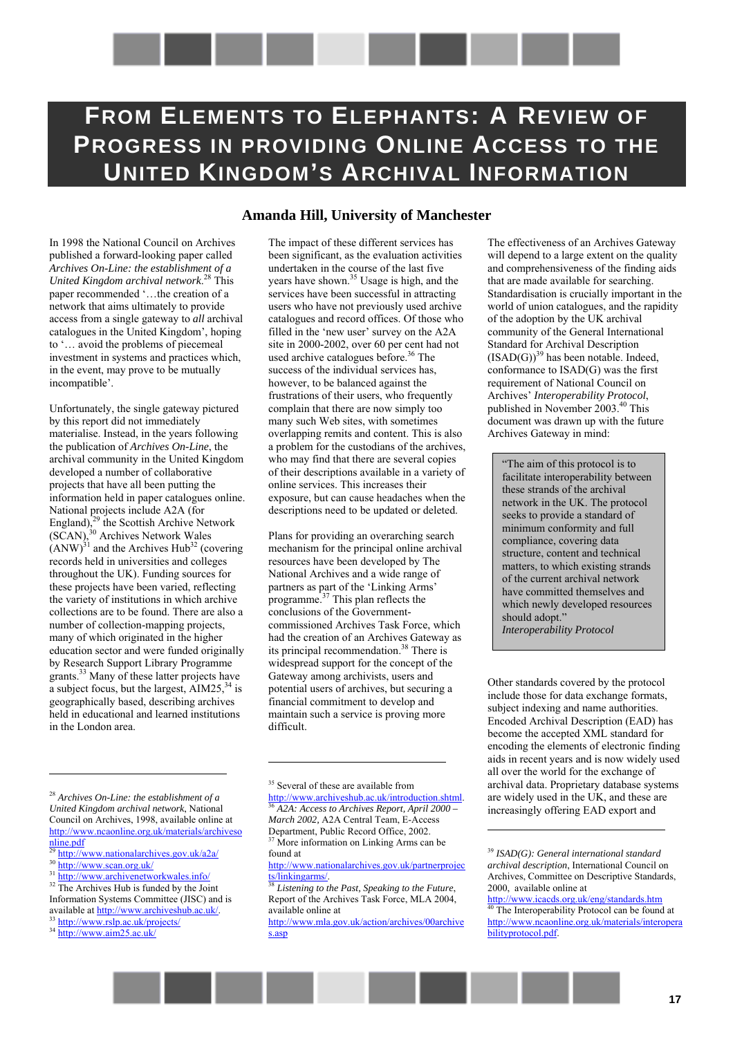# <span id="page-16-0"></span>**FROM ELEMENTS TO ELEPHANTS: A REVIEW OF PROGRESS IN PROVIDING ONLINE ACCESS TO THE UNITED KINGDOM'S ARCHIVAL INFORMATION**

In 1998 the National Council on Archives published a forward-looking paper called *Archives On-Line: the establishment of a United Kingdom archival network*. 28 This paper recommended '...the creation of a network that aims ultimately to provide access from a single gateway to *all* archival catalogues in the United Kingdom', hoping to '... avoid the problems of piecemeal investment in systems and practices which, in the event, may prove to be mutually incompatible'.

Unfortunately, the single gateway pictured by this report did not immediately materialise. Instead, in the years following the publication of *Archives On-Line*, the archival community in the United Kingdom developed a number of collaborative projects that have all been putting the information held in paper catalogues online. National projects include A2A (for England), $^{29}$  the Scottish Archive Network  $(\widetilde{SCAN})$ ,<sup>30</sup> Archives Network Wales  $(ANW)^{31}$  and the Archives Hub<sup>32</sup> (covering records held in universities and colleges throughout the UK). Funding sources for these projects have been varied, reflecting the variety of institutions in which archive collections are to be found. There are also a number of collection-mapping projects, many of which originated in the higher education sector and were funded originally by Research Support Library Programme grants.33 Many of these latter projects have a subject focus, but the largest,  $\text{AIM25}$ ,  $\frac{34}{3}$  is geographically based, describing archives held in educational and learned institutions in the London area.

#### <sup>28</sup> *Archives On-Line: the establishment of a United Kingdom archival network*, National Council on Archives, 1998, available online at http://www.ncaonline.org.uk/materials/archiveso nline.pdf

 $\overline{a}$ 

### **Amanda Hill, University of Manchester**

The impact of these different services has been significant, as the evaluation activities undertaken in the course of the last five years have shown.35 Usage is high, and the services have been successful in attracting users who have not previously used archive catalogues and record offices. Of those who filled in the 'new user' survey on the A2A site in 2000-2002, over 60 per cent had not used archive catalogues before.<sup>36</sup> The success of the individual services has, however, to be balanced against the frustrations of their users, who frequently complain that there are now simply too many such Web sites, with sometimes overlapping remits and content. This is also a problem for the custodians of the archives, who may find that there are several copies of their descriptions available in a variety of online services. This increases their exposure, but can cause headaches when the descriptions need to be updated or deleted.

Plans for providing an overarching search mechanism for the principal online archival resources have been developed by The National Archives and a wide range of partners as part of the 'Linking Arms' programme.<sup>37</sup> This plan reflects the conclusions of the Governmentcommissioned Archives Task Force, which had the creation of an Archives Gateway as its principal recommendation.<sup>38</sup> There is widespread support for the concept of the Gateway among archivists, users and potential users of archives, but securing a financial commitment to develop and maintain such a service is proving more difficult.

<sup>35</sup> Several of these are available from

 $\overline{a}$ 

http://www.archiveshub.ac.uk/introduction.shtml. 36 *A2A: Access to Archives Report, April 2000 – March 2002,* A2A Central Team, E-Access Department, Public Record Office, 2002. More information on Linking Arms can be found at

http://www.mla.gov.uk/action/archives/00archive s.asp

The effectiveness of an Archives Gateway will depend to a large extent on the quality and comprehensiveness of the finding aids that are made available for searching. Standardisation is crucially important in the world of union catalogues, and the rapidity of the adoption by the UK archival community of the General International Standard for Archival Description  $(ISAD(G))^{39}$  has been notable. Indeed, conformance to ISAD(G) was the first requirement of National Council on Archives' *Interoperability Protocol*, published in November 2003.40 This document was drawn up with the future Archives Gateway in mind:

"The aim of this protocol is to facilitate interoperability between these strands of the archival network in the UK. The protocol seeks to provide a standard of minimum conformity and full compliance, covering data structure, content and technical matters, to which existing strands of the current archival network have committed themselves and which newly developed resources should adopt." *Interoperability Protocol* 

Other standards covered by the protocol include those for data exchange formats, subject indexing and name authorities. Encoded Archival Description (EAD) has become the accepted XML standard for encoding the elements of electronic finding aids in recent years and is now widely used all over the world for the exchange of archival data. Proprietary database systems are widely used in the UK, and these are increasingly offering EAD export and

 $\frac{29 \text{ http://www.nationalarchives.gov.uk/a2a/}}{29 \text{ http://www.nationalarchives.gov.uk/a2a/}}$ 

http://www.scan.org.uk/

<sup>&</sup>lt;sup>31</sup> http://www.archivenetworkwales.info/

 $32$  The Archives Hub is funded by the Joint Information Systems Committee (JISC) and is

available at http://www.archiveshub.ac.uk/<br><sup>33</sup> http://www.rslp.ac.uk/projects/

<sup>34</sup> http://www.aim25.ac.uk/

http://www.nationalarchives.gov.uk/partnerproject/<br>ts/linkingarms/.<br>38 Listaning to the Duncan

Listening to the Past, Speaking to the Future, Report of the Archives Task Force, MLA 2004, available online at

<sup>39</sup> *ISAD(G): General international standard archival description*, International Council on Archives, Committee on Descriptive Standards, 2000, available online at

http://www.icacds.org.uk/eng/standards.htm The Interoperability Protocol can be found at http://www.ncaonline.org.uk/materials/interopera bilityprotocol.pdf.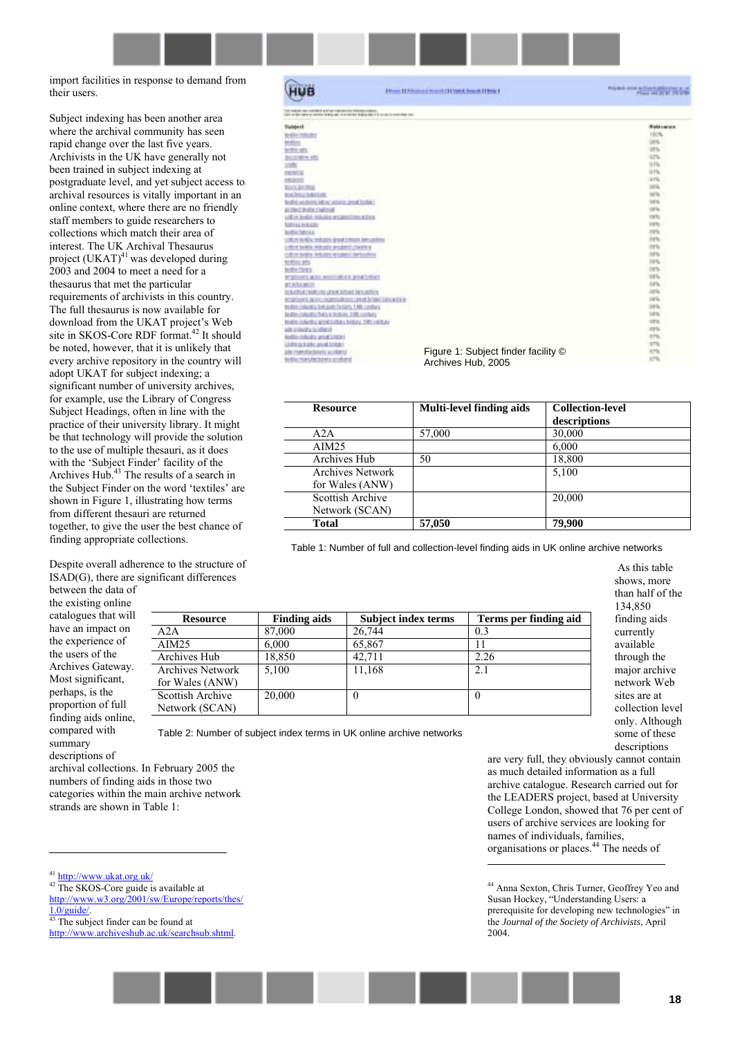import facilities in response to demand from their users.

Subject indexing has been another area where the archival community has seen rapid change over the last five years. Archivists in the UK have generally not been trained in subject indexing at postgraduate level, and yet subject access to archival resources is vitally important in an online context, where there are no friendly staff members to guide researchers to collections which match their area of interest. The UK Archival Thesaurus project  $(UKAT)^{41}$  was developed during 2003 and 2004 to meet a need for a thesaurus that met the particular requirements of archivists in this country. The full thesaurus is now available for download from the UKAT project's Web site in SKOS-Core RDF format.<sup>42</sup> It should be noted, however, that it is unlikely that every archive repository in the country will adopt UKAT for subject indexing; a significant number of university archives, for example, use the Library of Congress Subject Headings, often in line with the practice of their university library. It might be that technology will provide the solution to the use of multiple thesauri, as it does with the 'Subject Finder' facility of the Archives Hub.<sup>43</sup> The results of a search in the Subject Finder on the word 'textiles' are shown in Figure 1, illustrating how terms from different thesauri are returned together, to give the user the best chance of finding appropriate collections.

Despite overall adherence to the structure of ISAD(G), there are significant differences

between the data of the existing online catalogues that will have an impact on the experience of the users of the Archives Gateway. Most significant, perhaps, is the proportion of full finding aids online, compared with summary descriptions of

archival collections. In February 2005 the numbers of finding aids in those two categories within the main archive network

strands are shown in Table 1:

<sup>41</sup> http://www.ukat.org.uk/

 $\overline{a}$ 

<sup>42</sup> The SKOS-Core guide is available at http://www.w3.org/2001/sw/Europe/reports/thes/

 $\frac{1.0/guide}{^{43}}$  The subject finder can be found at

http://www.archiveshub.ac.uk/searchsub.shtml.

| HUB                                                                                                                                       | <b>Denn (1980) and Starri (11944 beach 119rg 1</b> | <b>Now of the American State</b> |
|-------------------------------------------------------------------------------------------------------------------------------------------|----------------------------------------------------|----------------------------------|
| or reason you yourseld action your control communities.<br>\$1.0 SE VER 1 (2015) THE SEA WAS CONTROLLED FOR DESIGNATION OF THE COMPANY OF |                                                    |                                  |
| Tallderf                                                                                                                                  |                                                    | <b>Reference</b>                 |
| <b>REPORT AND</b>                                                                                                                         |                                                    | 190%                             |
| <b>Modiver</b>                                                                                                                            |                                                    | on.                              |
| <b>SIVETA- UES</b>                                                                                                                        |                                                    | 10%                              |
| <b>BICOTABIN ATEL</b>                                                                                                                     |                                                    | <b>GOTH</b>                      |
| um                                                                                                                                        |                                                    | $91\%$                           |
| mining                                                                                                                                    |                                                    | 916                              |
| <b>CRUITES</b>                                                                                                                            |                                                    | irria.                           |
| <b>BOOK SEEMS</b>                                                                                                                         |                                                    | lor's.                           |
| to achieve motorcate                                                                                                                      |                                                    | larts.                           |
| to still and should little program in the first term                                                                                      |                                                    | ist'n.                           |
| as interd brights contribute                                                                                                              |                                                    | 107 No.                          |
| LODA 2010 6: AGLIED WEAPH                                                                                                                 | <b>USE A EXIS</b>                                  | <b>IVS</b>                       |
| futuras in Arctiv                                                                                                                         |                                                    | <b>IFS</b>                       |
| <b>Bandile Fatherings</b>                                                                                                                 |                                                    | <b>29%</b>                       |
| USEUM BENEN: MOLSEU @ ENECHTIQUE. ABMUSISCHE                                                                                              |                                                    | 2PS                              |
| a presenta controller dell'alterno che alla si                                                                                            |                                                    | <b>ITN</b>                       |
| The bellis industry artistics                                                                                                             | <b>Service Pro</b>                                 | 68%                              |
| te director                                                                                                                               |                                                    | 10%                              |
| <b>MODA-TONTS</b>                                                                                                                         |                                                    | 18%                              |
| engineers apply sentouslining programmes                                                                                                  |                                                    | 14%                              |
| <b>STARKS</b>                                                                                                                             |                                                    | 1076                             |
| <b>KIND OF BUILDING CONTROL CONTROL</b>                                                                                                   |                                                    | ors.                             |
| <b>CORPORATE DESCRIPTION INTO CARD DOWN TWO AT LA</b>                                                                                     |                                                    | 1976.                            |
| CRAWLER AND THREE TIME CORP.<br><b>Hollin</b>                                                                                             |                                                    | inti.                            |
| <b>Brailton/Audio/Safe to Brailey 1980 conflicts</b>                                                                                      |                                                    | 14TBL                            |
| Institute in Auditor served turbans, his boys 1981 and Lay                                                                                |                                                    | <b>SITE</b>                      |
| labe in sheat to close the site                                                                                                           |                                                    | <b>JUS</b>                       |
| <b>Institute Analysis's artist Little of</b>                                                                                              |                                                    | <b>STS</b>                       |
| Undhe sa teachic gescal turquest                                                                                                          |                                                    | <b>STS</b>                       |
| jate znatodiachstati iscollated                                                                                                           | Figure 1: Subject finder facility ©                | 376                              |
| textile manufacturers as alloyed                                                                                                          | Archives Hub, 2005                                 | 87%                              |

| <b>Resource</b>         | Multi-level finding aids | <b>Collection-level</b> |
|-------------------------|--------------------------|-------------------------|
|                         |                          | descriptions            |
| A2A                     | 57,000                   | 30,000                  |
| AIM25                   |                          | 6,000                   |
| Archives Hub            | 50                       | 18,800                  |
| <b>Archives Network</b> |                          | 5.100                   |
| for Wales (ANW)         |                          |                         |
| Scottish Archive        |                          | 20,000                  |
| Network (SCAN)          |                          |                         |
| <b>Total</b>            | 57,050                   | 79,900                  |

Table 1: Number of full and collection-level finding aids in UK online archive networks

 $\overline{a}$ 

| <b>Resource</b>         | <b>Finding aids</b> | <b>Subject index terms</b> | Terms per finding aid |
|-------------------------|---------------------|----------------------------|-----------------------|
| A2A                     | 87,000              | 26,744                     | 0.3                   |
| AIM25                   | 6.000               | 65,867                     |                       |
| Archives Hub            | 18,850              | 42.711                     | 2.26                  |
| <b>Archives Network</b> | 5,100               | 11,168                     | 2.1                   |
| for Wales (ANW)         |                     |                            |                       |
| Scottish Archive        | 20,000              | $\boldsymbol{0}$           |                       |
| Network (SCAN)          |                     |                            |                       |

Table 2: Number of subject index terms in UK online archive networks

 As this table shows, more than half of the 134,850 finding aids currently available through the major archive network Web sites are at collection level only. Although some of these descriptions

are very full, they obviously cannot contain as much detailed information as a full archive catalogue. Research carried out for the LEADERS project, based at University College London, showed that 76 per cent of users of archive services are looking for names of individuals, families, organisations or places.44 The needs of

44 Anna Sexton, Chris Turner, Geoffrey Yeo and Susan Hockey, "Understanding Users: a prerequisite for developing new technologies" in the *Journal of the Society of Archivists*, April 2004.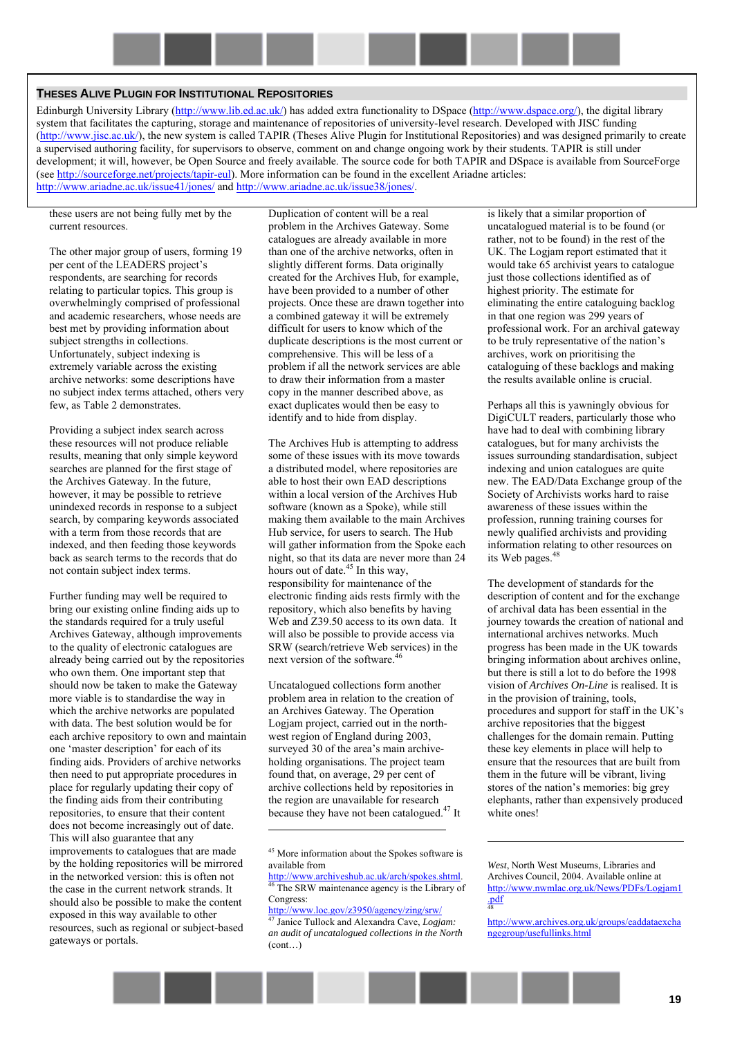#### **THESES ALIVE PLUGIN FOR INSTITUTIONAL REPOSITORIES**

Edinburgh University Library ([http://www.lib.ed.ac.uk/\)](http://www.lib.ed.ac.uk/) has added extra functionality to DSpace ([http://www.dspace.org/\)](http://www.dspace.org/), the digital library system that facilitates the capturing, storage and maintenance of repositories of university-level research. Developed with JISC funding ([http://www.jisc.ac.uk/\)](http://www.jisc.ac.uk/), the new system is called TAPIR (Theses Alive Plugin for Institutional Repositories) and was designed primarily to create a supervised authoring facility, for supervisors to observe, comment on and change ongoing work by their students. TAPIR is still under development; it will, however, be Open Source and freely available. The source code for both TAPIR and DSpace is available from SourceForge (see [http://sourceforge.net/projects/tapir-eul\)](http://sourceforge.net/projects/tapir-eul). More information can be found in the excellent Ariadne articles: <http://www.ariadne.ac.uk/issue41/jones/>and [http://www.ariadne.ac.uk/issue38/jones/.](http://www.ariadne.ac.uk/issue38/jones/)

these users are not being fully met by the current resources.

The other major group of users, forming 19 per cent of the LEADERS project's respondents, are searching for records relating to particular topics. This group is overwhelmingly comprised of professional and academic researchers, whose needs are best met by providing information about subject strengths in collections. Unfortunately, subject indexing is extremely variable across the existing archive networks: some descriptions have no subject index terms attached, others very few, as Table 2 demonstrates.

Providing a subject index search across these resources will not produce reliable results, meaning that only simple keyword searches are planned for the first stage of the Archives Gateway. In the future, however, it may be possible to retrieve unindexed records in response to a subject search, by comparing keywords associated with a term from those records that are indexed, and then feeding those keywords back as search terms to the records that do not contain subject index terms.

Further funding may well be required to bring our existing online finding aids up to the standards required for a truly useful Archives Gateway, although improvements to the quality of electronic catalogues are already being carried out by the repositories who own them. One important step that should now be taken to make the Gateway more viable is to standardise the way in which the archive networks are populated with data. The best solution would be for each archive repository to own and maintain one 'master description' for each of its finding aids. Providers of archive networks then need to put appropriate procedures in place for regularly updating their copy of the finding aids from their contributing repositories, to ensure that their content does not become increasingly out of date. This will also guarantee that any improvements to catalogues that are made by the holding repositories will be mirrored in the networked version: this is often not the case in the current network strands. It should also be possible to make the content exposed in this way available to other resources, such as regional or subject-based gateways or portals.

Duplication of content will be a real problem in the Archives Gateway. Some catalogues are already available in more than one of the archive networks, often in slightly different forms. Data originally created for the Archives Hub, for example, have been provided to a number of other projects. Once these are drawn together into a combined gateway it will be extremely difficult for users to know which of the duplicate descriptions is the most current or comprehensive. This will be less of a problem if all the network services are able to draw their information from a master copy in the manner described above, as exact duplicates would then be easy to identify and to hide from display.

The Archives Hub is attempting to address some of these issues with its move towards a distributed model, where repositories are able to host their own EAD descriptions within a local version of the Archives Hub software (known as a Spoke), while still making them available to the main Archives Hub service, for users to search. The Hub will gather information from the Spoke each night, so that its data are never more than 24 hours out of date. $45$  In this way, responsibility for maintenance of the electronic finding aids rests firmly with the repository, which also benefits by having Web and Z39.50 access to its own data. It will also be possible to provide access via SRW (search/retrieve Web services) in the next version of the software.<sup>4</sup>

Uncatalogued collections form another problem area in relation to the creation of an Archives Gateway. The Operation Logjam project, carried out in the northwest region of England during 2003, surveyed 30 of the area's main archiveholding organisations. The project team found that, on average, 29 per cent of archive collections held by repositories in the region are unavailable for research because they have not been catalogued.47 It

 $\overline{a}$ 

http://www.loc.gov/z3950/agency/zing/srw/ Janice Tullock and Alexandra Cave, *Logjam*: *an audit of uncatalogued collections in the North*   $(cont)$ 

is likely that a similar proportion of uncatalogued material is to be found (or rather, not to be found) in the rest of the UK. The Logjam report estimated that it would take 65 archivist years to catalogue just those collections identified as of highest priority. The estimate for eliminating the entire cataloguing backlog in that one region was 299 years of professional work. For an archival gateway to be truly representative of the nation's archives, work on prioritising the cataloguing of these backlogs and making the results available online is crucial.

Perhaps all this is yawningly obvious for DigiCULT readers, particularly those who have had to deal with combining library catalogues, but for many archivists the issues surrounding standardisation, subject indexing and union catalogues are quite new. The EAD/Data Exchange group of the Society of Archivists works hard to raise awareness of these issues within the profession, running training courses for newly qualified archivists and providing information relating to other resources on its Web pages.<sup>48</sup>

The development of standards for the description of content and for the exchange of archival data has been essential in the journey towards the creation of national and international archives networks. Much progress has been made in the UK towards bringing information about archives online, but there is still a lot to do before the 1998 vision of *Archives On-Line* is realised. It is in the provision of training, tools, procedures and support for staff in the UK's archive repositories that the biggest challenges for the domain remain. Putting these key elements in place will help to ensure that the resources that are built from them in the future will be vibrant, living stores of the nation's memories: big grey elephants, rather than expensively produced white ones!

<sup>45</sup> More information about the Spokes software is available from

http://www.archiveshub.ac.uk/arch/spokes.shtml.<br><sup>46</sup> The SRW maintenance agency is the Library of Congress:

*West*, North West Museums, Libraries and Archives Council, 2004. Available online at http://www.nwmlac.org.uk/News/PDFs/Logjam1 .pdf 48

http://www.archives.org.uk/groups/eaddataexcha ngegroup/usefullinks.html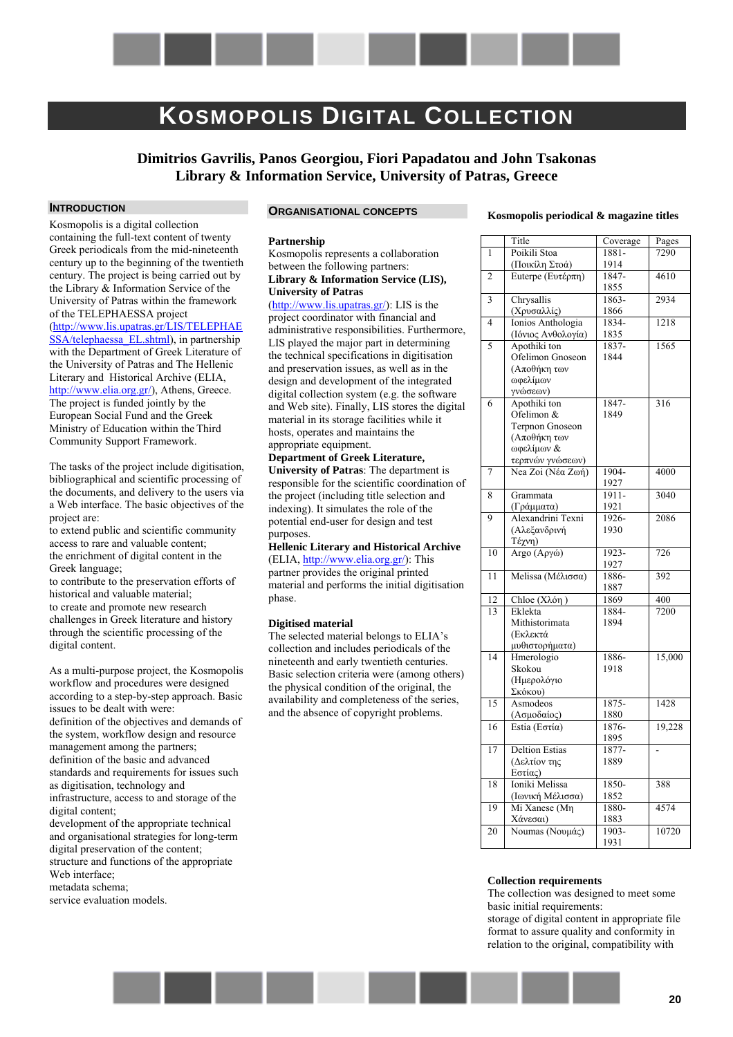# <span id="page-19-0"></span>**KOSMOPOLIS DIGITAL COLLECTION**

**Dimitrios Gavrilis, Panos Georgiou, Fiori Papadatou and John Tsakonas Library & Information Service, University of Patras, Greece** 

#### **INTRODUCTION**

Kosmopolis is a digital collection containing the full-text content of twenty Greek periodicals from the mid-nineteenth century up to the beginning of the twentieth century. The project is being carried out by the Library & Information Service of the University of Patras within the framework of the TELEPHAESSA project [\(http://www.lis.upatras.gr/LIS/TELEPHAE](http://www.lis.upatras.gr/LIS/TELEPHAESSA/telephaessa_EL.shtml) [SSA/telephaessa\\_EL.shtml\)](http://www.lis.upatras.gr/LIS/TELEPHAESSA/telephaessa_EL.shtml), in partnership with the Department of Greek Literature of the University of Patras and The Hellenic Literary and Historical Archive (ELIA, [http://www.elia.org.gr/\)](http://www.elia.org.gr/), Athens, Greece. The project is funded jointly by the European Social Fund and the Greek Ministry of Education within the Third Community Support Framework.

The tasks of the project include digitisation, bibliographical and scientific processing of the documents, and delivery to the users via a Web interface. The basic objectives of the project are:

to extend public and scientific community access to rare and valuable content; the enrichment of digital content in the Greek language;

to contribute to the preservation efforts of historical and valuable material; to create and promote new research challenges in Greek literature and history through the scientific processing of the digital content.

As a multi-purpose project, the Kosmopolis workflow and procedures were designed according to a step-by-step approach. Basic issues to be dealt with were: definition of the objectives and demands of the system, workflow design and resource management among the partners; definition of the basic and advanced standards and requirements for issues such as digitisation, technology and infrastructure, access to and storage of the digital content;

development of the appropriate technical and organisational strategies for long-term digital preservation of the content; structure and functions of the appropriate

Web interface:

metadata schema;

service evaluation models.

#### **ORGANISATIONAL CONCEPTS**

#### **Partnership**

Kosmopolis represents a collaboration between the following partners: **Library & Information Service (LIS), University of Patras** 

([http://www.lis.upatras.gr/\)](http://www.lis.upatras.gr/): LIS is the project coordinator with financial and administrative responsibilities. Furthermore, LIS played the major part in determining the technical specifications in digitisation and preservation issues, as well as in the design and development of the integrated digital collection system (e.g. the software and Web site). Finally, LIS stores the digital material in its storage facilities while it hosts, operates and maintains the appropriate equipment.

**Department of Greek Literature, University of Patras**: The department is responsible for the scientific coordination of the project (including title selection and indexing). It simulates the role of the potential end-user for design and test purposes.

**Hellenic Literary and Historical Archive**

(ELIA, [http://www.elia.org.gr/\)](http://www.elia.org.gr/): This partner provides the original printed material and performs the initial digitisation phase.

#### **Digitised material**

The selected material belongs to ELIA's collection and includes periodicals of the nineteenth and early twentieth centuries. Basic selection criteria were (among others) the physical condition of the original, the availability and completeness of the series, and the absence of copyright problems.

#### **Kosmopolis periodical & magazine titles**

|                          | Title                           |          |                 |
|--------------------------|---------------------------------|----------|-----------------|
|                          |                                 | Coverage | Pages           |
| 1                        | Poikili Stoa                    | 1881-    | 7290            |
|                          | (Ποικίλη Στοά)                  | 1914     |                 |
| $\overline{2}$           | Euterpe (Ευτέρπη)               | 1847-    | 4610            |
|                          |                                 | 1855     |                 |
| $\overline{\mathbf{3}}$  | Chrysallis                      | 1863-    | 2934            |
|                          | (Χρυσαλλίς)                     | 1866     | 1218            |
| $\overline{\mathcal{L}}$ | Ionios Anthologia               | 1834-    |                 |
|                          | (Ιόνιος Ανθολογία)              | 1835     |                 |
| 5                        | Apothiki ton                    | 1837-    | 1565            |
|                          | Ofelimon Gnoseon                | 1844     |                 |
|                          | (Αποθήκη των                    |          |                 |
|                          | ωφελίμων                        |          |                 |
| 6                        | γνώσεων)<br>Apothiki ton        | $1847 -$ | $\frac{316}{ }$ |
|                          | Ofelimon &                      | 1849     |                 |
|                          |                                 |          |                 |
|                          | Terpnon Gnoseon<br>(Αποθήκη των |          |                 |
|                          |                                 |          |                 |
|                          | ωφελίμων &<br>τερπνών γνώσεων)  |          |                 |
| $\overline{7}$           | Nea Zoi (Νέα Ζωή)               | 1904-    | 4000            |
|                          |                                 | 1927     |                 |
| 8                        | Grammata                        | 1911-    | 3040            |
|                          | (Γράμματα)                      | 1921     |                 |
| 9                        | Alexandrini Texni               | 1926-    | 2086            |
|                          | (Αλεξανδρινή                    | 1930     |                 |
|                          | Τέχνη)                          |          |                 |
| 10                       | Argo (Αργώ)                     | 1923-    | 726             |
|                          |                                 | 1927     |                 |
| 11                       | Melissa (Μέλισσα)               | 1886-    | 392             |
|                          |                                 | 1887     |                 |
| $\overline{12}$          | Chloe (Χλόη)                    | 1869     | 400             |
| 13                       | Eklekta                         | 1884-    | 7200            |
|                          | Mithistorimata                  | 1894     |                 |
|                          | (Εκλεκτά                        |          |                 |
|                          | μυθιστορήματα)                  |          |                 |
| $\overline{14}$          | Hmerologio                      | 1886-    | 15,000          |
|                          | Skokou                          | 1918     |                 |
|                          | (Ημερολόγιο                     |          |                 |
|                          | Σκόκου)                         |          |                 |
| 15                       | Asmodeos                        | 1875-    | 1428            |
|                          | (Ασμοδαίος)                     | 1880     |                 |
| 16                       | Estia (Εστία)                   | 1876-    | 19,228          |
|                          |                                 | 1895     |                 |
| 17                       | <b>Deltion Estias</b>           | 1877-    |                 |
|                          | (Δελτίον της                    | 1889     |                 |
|                          | Εστίας)                         |          |                 |
| 18                       | Ioniki Melissa                  | 1850-    | 388             |
|                          | (Ιωνική Μέλισσα)                | 1852     |                 |
| 19                       | Mi Xanese (Mn                   | 1880-    | 4574            |
|                          | Χάνεσαι)                        | 1883     |                 |
| 20                       | Noumas (Νουμάς)                 | 1903-    | 10720           |
|                          |                                 | 1931     |                 |

#### **Collection requirements**

The collection was designed to meet some basic initial requirements: storage of digital content in appropriate file format to assure quality and conformity in relation to the original, compatibility with

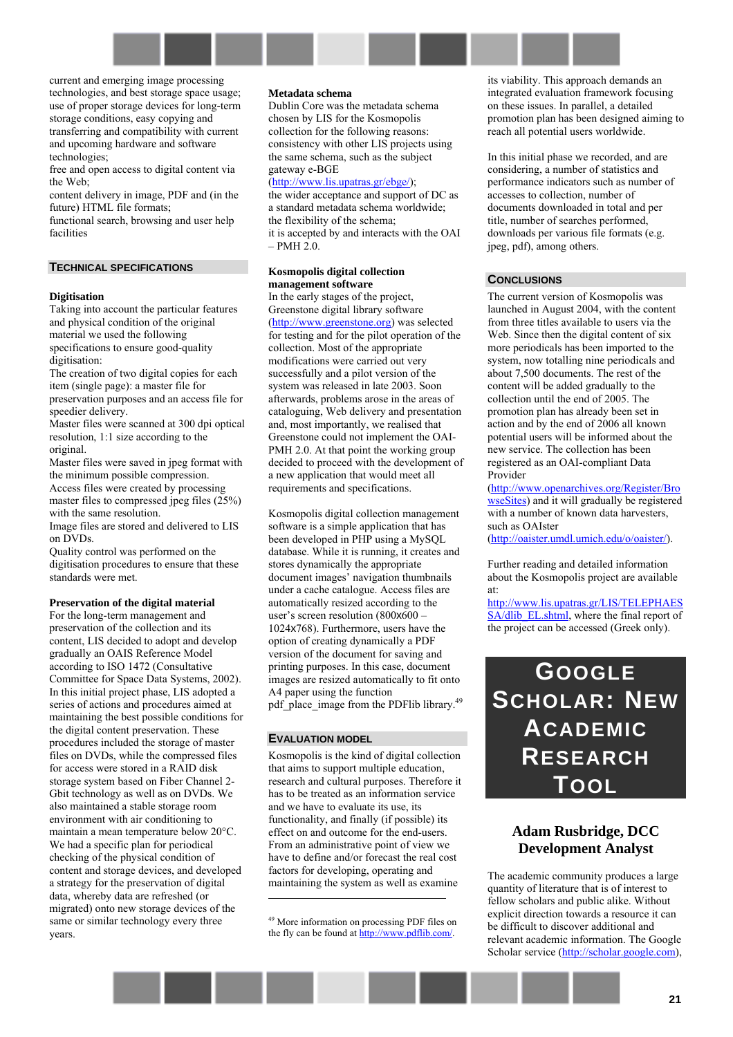current and emerging image processing technologies, and best storage space usage; use of proper storage devices for long-term storage conditions, easy copying and transferring and compatibility with current and upcoming hardware and software technologies;

free and open access to digital content via the Web;

content delivery in image, PDF and (in the future) HTML file formats;

functional search, browsing and user help facilities

## **TECHNICAL SPECIFICATIONS**

#### **Digitisation**

Taking into account the particular features and physical condition of the original material we used the following specifications to ensure good-quality digitisation:

The creation of two digital copies for each item (single page): a master file for preservation purposes and an access file for speedier delivery.

Master files were scanned at 300 dpi optical resolution, 1:1 size according to the original.

Master files were saved in jpeg format with the minimum possible compression. Access files were created by processing

master files to compressed jpeg files (25%) with the same resolution.

Image files are stored and delivered to LIS on DVDs.

Quality control was performed on the digitisation procedures to ensure that these standards were met.

#### **Preservation of the digital material**

For the long-term management and preservation of the collection and its content, LIS decided to adopt and develop gradually an OAIS Reference Model according to ISO 1472 (Consultative Committee for Space Data Systems, 2002). In this initial project phase, LIS adopted a series of actions and procedures aimed at maintaining the best possible conditions for the digital content preservation. These procedures included the storage of master files on DVDs, while the compressed files for access were stored in a RAID disk storage system based on Fiber Channel 2- Gbit technology as well as on DVDs. We also maintained a stable storage room environment with air conditioning to maintain a mean temperature below 20°C. We had a specific plan for periodical checking of the physical condition of content and storage devices, and developed a strategy for the preservation of digital data, whereby data are refreshed (or migrated) onto new storage devices of the same or similar technology every three years.

#### **Metadata schema**

Dublin Core was the metadata schema chosen by LIS for the Kosmopolis collection for the following reasons: consistency with other LIS projects using the same schema, such as the subject gateway e-BGE

#### ([http://www.lis.upatras.gr/ebge/\)](http://www.lis.upatras.gr/ebge/);

the wider acceptance and support of DC as a standard metadata schema worldwide; the flexibility of the schema; it is accepted by and interacts with the OAI  $-$  PMH 2.0.

#### **Kosmopolis digital collection management software**

In the early stages of the project, Greenstone digital library software ([http://www.greenstone.org\)](http://www.greenstone.org/) was selected for testing and for the pilot operation of the collection. Most of the appropriate modifications were carried out very successfully and a pilot version of the system was released in late 2003. Soon afterwards, problems arose in the areas of cataloguing, Web delivery and presentation and, most importantly, we realised that Greenstone could not implement the OAI-PMH 2.0. At that point the working group decided to proceed with the development of a new application that would meet all requirements and specifications.

Kosmopolis digital collection management software is a simple application that has been developed in PHP using a MySQL database. While it is running, it creates and stores dynamically the appropriate document images' navigation thumbnails under a cache catalogue. Access files are automatically resized according to the user's screen resolution  $(800x600 -$ 1024x768). Furthermore, users have the option of creating dynamically a PDF version of the document for saving and printing purposes. In this case, document images are resized automatically to fit onto A4 paper using the function pdf\_place\_image from the PDFlib library.<sup>49</sup>

### **EVALUATION MODEL**

 $\overline{a}$ 

Kosmopolis is the kind of digital collection that aims to support multiple education, research and cultural purposes. Therefore it has to be treated as an information service and we have to evaluate its use, its functionality, and finally (if possible) its effect on and outcome for the end-users. From an administrative point of view we have to define and/or forecast the real cost factors for developing, operating and maintaining the system as well as examine

its viability. This approach demands an integrated evaluation framework focusing on these issues. In parallel, a detailed promotion plan has been designed aiming to reach all potential users worldwide.

In this initial phase we recorded, and are considering, a number of statistics and performance indicators such as number of accesses to collection, number of documents downloaded in total and per title, number of searches performed, downloads per various file formats (e.g. jpeg, pdf), among others.

#### **CONCLUSIONS**

The current version of Kosmopolis was launched in August 2004, with the content from three titles available to users via the Web. Since then the digital content of six more periodicals has been imported to the system, now totalling nine periodicals and about 7,500 documents. The rest of the content will be added gradually to the collection until the end of 2005. The promotion plan has already been set in action and by the end of 2006 all known potential users will be informed about the new service. The collection has been registered as an OAI-compliant Data Provider

([http://www.openarchives.org/Register/Bro](http://www.openarchives.org/Register/BrowseSites) [wseSites\)](http://www.openarchives.org/Register/BrowseSites) and it will gradually be registered with a number of known data harvesters, such as OAIster

([http://oaister.umdl.umich.edu/o/oaister/\)](http://oaister.umdl.umich.edu/o/oaister/).

Further reading and detailed information about the Kosmopolis project are available at:

[http://www.lis.upatras.gr/LIS/TELEPHAES](http://www.lis.upatras.gr/LIS/TELEPHAESSA/dlib_EL.shtml) SA/dlib EL.shtml, where the final report of the project can be accessed (Greek only).

# <span id="page-20-0"></span>**GOOGLE SCHOLAR: NEW ACADEMIC RESEARCH TOOL**

# **Adam Rusbridge, DCC Development Analyst**

The academic community produces a large quantity of literature that is of interest to fellow scholars and public alike. Without explicit direction towards a resource it can be difficult to discover additional and relevant academic information. The Google Scholar service [\(http://scholar.google.com\)](http://scholar.google.com/),

<sup>49</sup> More information on processing PDF files on the fly can be found at http://www.pdflib.com/.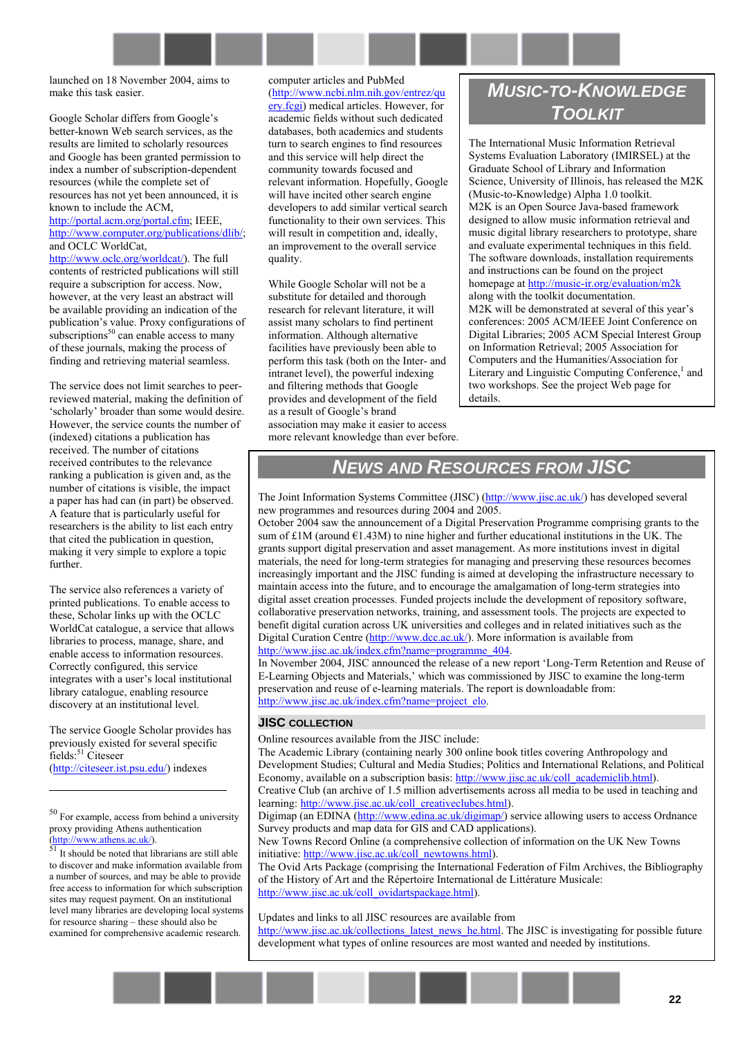launched on 18 November 2004, aims to make this task easier.

Google Scholar differs from Google's better-known Web search services, as the results are limited to scholarly resources and Google has been granted permission to index a number of subscription-dependent resources (while the complete set of resources has not yet been announced, it is known to include the ACM, [http://portal.acm.org/portal.cfm;](http://portal.acm.org/portal.cfm) IEEE,

[http://www.computer.org/publications/dlib/;](http://www.computer.org/publications/dlib/) and OCLC WorldCat,

[http://www.oclc.org/worldcat/\)](http://www.oclc.org/worldcat/). The full contents of restricted publications will still require a subscription for access. Now, however, at the very least an abstract will be available providing an indication of the publication's value. Proxy configurations of subscriptions $50$  can enable access to many of these journals, making the process of finding and retrieving material seamless.

The service does not limit searches to peerreviewed material, making the definition of 'scholarly' broader than some would desire. However, the service counts the number of (indexed) citations a publication has received. The number of citations received contributes to the relevance ranking a publication is given and, as the number of citations is visible, the impact a paper has had can (in part) be observed. A feature that is particularly useful for researchers is the ability to list each entry that cited the publication in question, making it very simple to explore a topic further.

The service also references a variety of printed publications. To enable access to these, Scholar links up with the OCLC WorldCat catalogue, a service that allows libraries to process, manage, share, and enable access to information resources. Correctly configured, this service integrates with a user's local institutional library catalogue, enabling resource discovery at an institutional level.

The service Google Scholar provides has previously existed for several specific  $\text{fields}:$ <sup>51</sup> Citeseer [\(http://citeseer.ist.psu.edu/\)](http://citeseer.ist.psu.edu/) indexes

 $\overline{a}$ 

50 For example, access from behind a university proxy providing Athens authentication  $\frac{(\text{http://www.athens.ac.uk/})}{\text{51}}$  It should be noted that librarians are still able

to discover and make information available from a number of sources, and may be able to provide free access to information for which subscription sites may request payment. On an institutional level many libraries are developing local systems for resource sharing - these should also be examined for comprehensive academic research.

computer articles and PubMed ([http://www.ncbi.nlm.nih.gov/entrez/qu](http://www.ncbi.nlm.nih.gov/entrez/query.fcgi) [ery.fcgi\)](http://www.ncbi.nlm.nih.gov/entrez/query.fcgi) medical articles. However, for academic fields without such dedicated databases, both academics and students turn to search engines to find resources and this service will help direct the community towards focused and relevant information. Hopefully, Google will have incited other search engine developers to add similar vertical search functionality to their own services. This will result in competition and, ideally, an improvement to the overall service quality.

While Google Scholar will not be a substitute for detailed and thorough research for relevant literature, it will assist many scholars to find pertinent information. Although alternative facilities have previously been able to perform this task (both on the Inter- and intranet level), the powerful indexing and filtering methods that Google provides and development of the field as a result of Google's brand association may make it easier to access more relevant knowledge than ever before.

# *MUSIC-TO-KNOWLEDGE TOOLKIT*

The International Music Information Retrieval Systems Evaluation Laboratory (IMIRSEL) at the Graduate School of Library and Information Science, University of Illinois, has released the M2K (Music-to-Knowledge) Alpha 1.0 toolkit. M2K is an Open Source Java-based framework designed to allow music information retrieval and music digital library researchers to prototype, share and evaluate experimental techniques in this field. The software downloads, installation requirements and instructions can be found on the project homepage at <http://music-ir.org/evaluation/m2k> along with the toolkit documentation. M2K will be demonstrated at several of this year's conferences: 2005 ACM/IEEE Joint Conference on Digital Libraries; 2005 ACM Special Interest Group on Information Retrieval; 2005 Association for Computers and the Humanities/Association for Literary and Linguistic Computing Conference, $<sup>1</sup>$  and</sup> two workshops. See the project Web page for details.

# *NEWS AND RESOURCES FROM JISC*

The Joint Information Systems Committee (JISC) ([http://www.jisc.ac.uk/\)](http://www.jisc.ac.uk/) has developed several new programmes and resources during 2004 and 2005.

October 2004 saw the announcement of a Digital Preservation Programme comprising grants to the sum of  $\text{\pounds}1M$  (around  $\text{\pounds}1.43M$ ) to nine higher and further educational institutions in the UK. The grants support digital preservation and asset management. As more institutions invest in digital materials, the need for long-term strategies for managing and preserving these resources becomes increasingly important and the JISC funding is aimed at developing the infrastructure necessary to maintain access into the future, and to encourage the amalgamation of long-term strategies into digital asset creation processes. Funded projects include the development of repository software, collaborative preservation networks, training, and assessment tools. The projects are expected to benefit digital curation across UK universities and colleges and in related initiatives such as the Digital Curation Centre ([http://www.dcc.ac.uk/\)](http://www.dcc.ac.uk/). More information is available from [http://www.jisc.ac.uk/index.cfm?name=programme\\_404.](http://www.jisc.ac.uk/index.cfm?name=programme_404)

In November 2004, JISC announced the release of a new report 'Long-Term Retention and Reuse of E-Learning Objects and Materials,' which was commissioned by JISC to examine the long-term preservation and reuse of e-learning materials. The report is downloadable from: http://www.jisc.ac.uk/index.cfm?name=project\_elo.

# **JISC COLLECTION**

Online resources available from the JISC include:

The Academic Library (containing nearly 300 online book titles covering Anthropology and Development Studies; Cultural and Media Studies; Politics and International Relations, and Political Economy, available on a subscription basis: [http://www.jisc.ac.uk/coll\\_academiclib.html\)](http://www.jisc.ac.uk/coll_academiclib.html).

Creative Club (an archive of 1.5 million advertisements across all media to be used in teaching and learning: [http://www.jisc.ac.uk/coll\\_creativeclubcs.html\)](http://www.jisc.ac.uk/coll_creativeclubcs.html).

Digimap (an EDINA ([http://www.edina.ac.uk/digimap/\)](http://www.edina.ac.uk/digimap/) service allowing users to access Ordnance Survey products and map data for GIS and CAD applications).

New Towns Record Online (a comprehensive collection of information on the UK New Towns initiative: [http://www.jisc.ac.uk/coll\\_newtowns.html\)](http://www.jisc.ac.uk/coll_newtowns.html).

The Ovid Arts Package (comprising the International Federation of Film Archives, the Bibliography of the History of Art and the Répertoire International de Littérature Musicale: [http://www.jisc.ac.uk/coll\\_ovidartspackage.html\)](http://www.jisc.ac.uk/coll_ovidartspackage.html).

Updates and links to all JISC resources are available from [http://www.jisc.ac.uk/collections\\_latest\\_news\\_he.html.](http://www.jisc.ac.uk/collections_latest_news_he.html) The JISC is investigating for possible future development what types of online resources are most wanted and needed by institutions.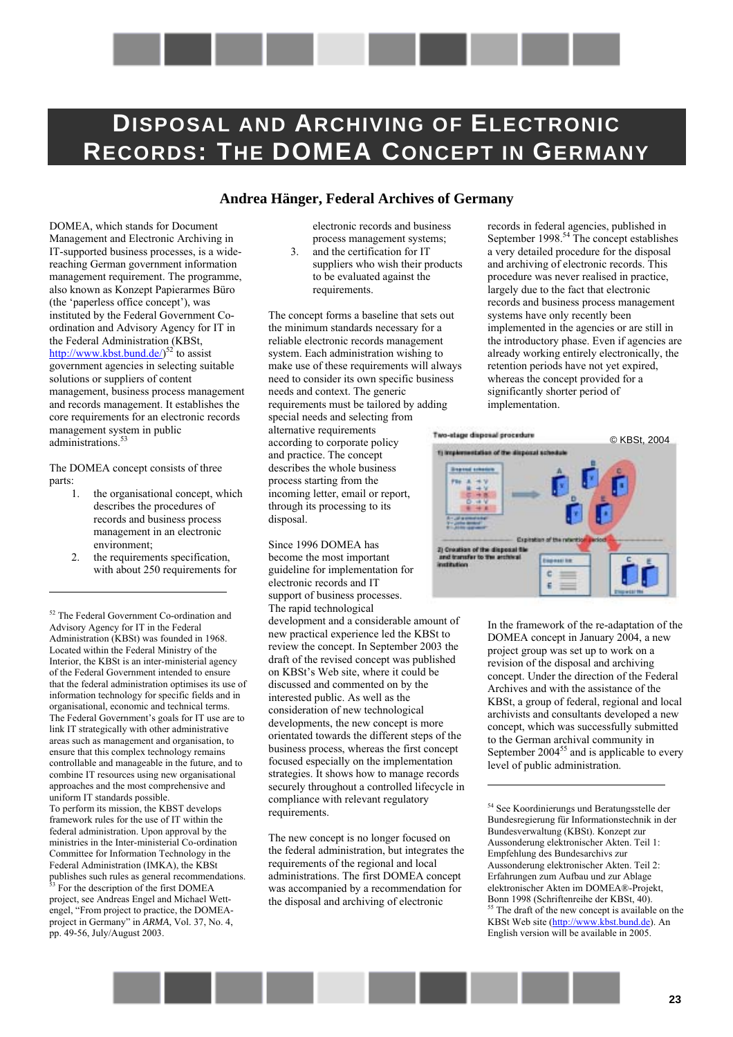# <span id="page-22-0"></span>**DISPOSAL AND ARCHIVING OF ELECTRONIC RECORDS: THE DOMEA CONCEPT IN GERMANY**

# **Andrea Hänger, Federal Archives of Germany**

DOMEA, which stands for Document Management and Electronic Archiving in IT-supported business processes, is a widereaching German government information management requirement. The programme, also known as Konzept Papierarmes Büro (the 'paperless office concept'), was instituted by the Federal Government Coordination and Advisory Agency for IT in the Federal Administration (KBSt, [http://www.kbst.bund.de/\)](http://www.kbst.bund.de/)<sup>52</sup> to assist government agencies in selecting suitable solutions or suppliers of content management, business process management and records management. It establishes the core requirements for an electronic records management system in public administrations.<sup>53</sup>

The DOMEA concept consists of three parts:

 $\overline{a}$ 

- 1. the organisational concept, which describes the procedures of records and business process management in an electronic environment;
- 2. the requirements specification, with about 250 requirements for

52 The Federal Government Co-ordination and Advisory Agency for IT in the Federal Administration (KBSt) was founded in 1968. Located within the Federal Ministry of the Interior, the KBSt is an inter-ministerial agency of the Federal Government intended to ensure that the federal administration optimises its use of information technology for specific fields and in organisational, economic and technical terms. The Federal Government's goals for IT use are to link IT strategically with other administrative areas such as management and organisation, to ensure that this complex technology remains controllable and manageable in the future, and to combine IT resources using new organisational approaches and the most comprehensive and uniform IT standards possible. To perform its mission, the KBST develops framework rules for the use of IT within the federal administration. Upon approval by the ministries in the Inter-ministerial Co-ordination Committee for Information Technology in the Federal Administration (IMKA), the KBSt publishes such rules as general recommendations. <sup>5</sup> For the description of the first DOMEA project, see Andreas Engel and Michael Wettengel, "From project to practice, the DOMEAproject in Germany" in *ARMA*, Vol. 37, No. 4, pp. 49-56, July/August 2003.

electronic records and business process management systems;

3. and the certification for IT suppliers who wish their products to be evaluated against the requirements.

The concept forms a baseline that sets out the minimum standards necessary for a reliable electronic records management system. Each administration wishing to make use of these requirements will always need to consider its own specific business needs and context. The generic requirements must be tailored by adding special needs and selecting from alternative requirements according to corporate policy and practice. The concept describes the whole business process starting from the incoming letter, email or report, through its processing to its disposal.

Since 1996 DOMEA has become the most important guideline for implementation for electronic records and IT support of business processes. The rapid technological

development and a considerable amount of new practical experience led the KBSt to review the concept. In September 2003 the draft of the revised concept was published on KBSt's Web site, where it could be discussed and commented on by the interested public. As well as the consideration of new technological developments, the new concept is more orientated towards the different steps of the business process, whereas the first concept focused especially on the implementation strategies. It shows how to manage records securely throughout a controlled lifecycle in compliance with relevant regulatory requirements.

The new concept is no longer focused on the federal administration, but integrates the requirements of the regional and local administrations. The first DOMEA concept was accompanied by a recommendation for the disposal and archiving of electronic

records in federal agencies, published in September 1998.<sup>54</sup> The concept establishes a very detailed procedure for the disposal and archiving of electronic records. This procedure was never realised in practice, largely due to the fact that electronic records and business process management systems have only recently been implemented in the agencies or are still in the introductory phase. Even if agencies are already working entirely electronically, the retention periods have not yet expired, whereas the concept provided for a significantly shorter period of implementation.



In the framework of the re-adaptation of the DOMEA concept in January 2004, a new project group was set up to work on a revision of the disposal and archiving concept. Under the direction of the Federal Archives and with the assistance of the KBSt, a group of federal, regional and local archivists and consultants developed a new concept, which was successfully submitted to the German archival community in September  $2004^{55}$  and is applicable to every level of public administration.

54 See Koordinierungs und Beratungsstelle der Bundesregierung für Informationstechnik in der Bundesverwaltung (KBSt). Konzept zur Aussonderung elektronischer Akten. Teil 1: Empfehlung des Bundesarchivs zur Aussonderung elektronischer Akten. Teil 2: Erfahrungen zum Aufbau und zur Ablage elektronischer Akten im DOMEAÆ-Projekt, Bonn 1998 (Schriftenreihe der KBSt, 40). <sup>55</sup> The draft of the new concept is available on the KBSt Web site (http://www.kbst.bund.de). An English version will be available in 2005.

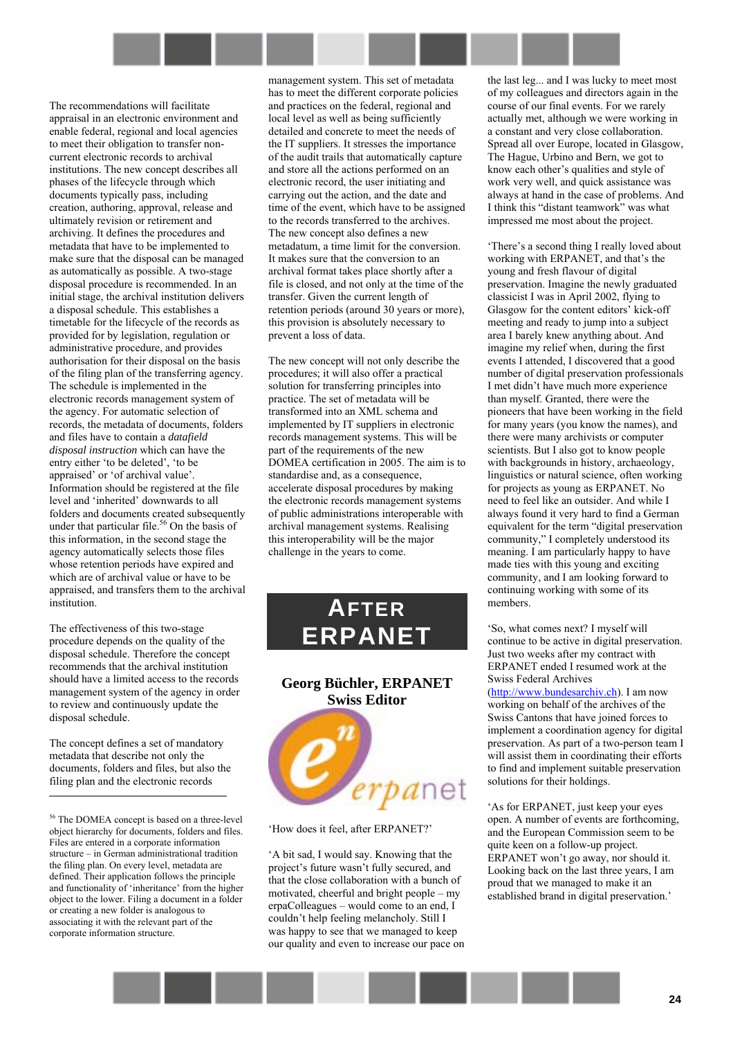

The recommendations will facilitate appraisal in an electronic environment and enable federal, regional and local agencies to meet their obligation to transfer noncurrent electronic records to archival institutions. The new concept describes all phases of the lifecycle through which documents typically pass, including creation, authoring, approval, release and ultimately revision or retirement and archiving. It defines the procedures and metadata that have to be implemented to make sure that the disposal can be managed as automatically as possible. A two-stage disposal procedure is recommended. In an initial stage, the archival institution delivers a disposal schedule. This establishes a timetable for the lifecycle of the records as provided for by legislation, regulation or administrative procedure, and provides authorisation for their disposal on the basis of the filing plan of the transferring agency. The schedule is implemented in the electronic records management system of the agency. For automatic selection of records, the metadata of documents, folders and files have to contain a *datafield disposal instruction* which can have the entry either 'to be deleted', 'to be appraised' or 'of archival value'. Information should be registered at the file level and 'inherited' downwards to all folders and documents created subsequently under that particular file.<sup>56</sup> On the basis of this information, in the second stage the agency automatically selects those files whose retention periods have expired and which are of archival value or have to be appraised, and transfers them to the archival institution.

The effectiveness of this two-stage procedure depends on the quality of the disposal schedule. Therefore the concept recommends that the archival institution should have a limited access to the records management system of the agency in order to review and continuously update the disposal schedule.

The concept defines a set of mandatory metadata that describe not only the documents, folders and files, but also the filing plan and the electronic records

 $\overline{a}$ 

management system. This set of metadata has to meet the different corporate policies and practices on the federal, regional and local level as well as being sufficiently detailed and concrete to meet the needs of the IT suppliers. It stresses the importance of the audit trails that automatically capture and store all the actions performed on an electronic record, the user initiating and carrying out the action, and the date and time of the event, which have to be assigned to the records transferred to the archives. The new concept also defines a new metadatum, a time limit for the conversion. It makes sure that the conversion to an archival format takes place shortly after a file is closed, and not only at the time of the transfer. Given the current length of retention periods (around 30 years or more), this provision is absolutely necessary to prevent a loss of data.

The new concept will not only describe the procedures; it will also offer a practical solution for transferring principles into practice. The set of metadata will be transformed into an XML schema and implemented by IT suppliers in electronic records management systems. This will be part of the requirements of the new DOMEA certification in 2005. The aim is to standardise and, as a consequence, accelerate disposal procedures by making the electronic records management systems of public administrations interoperable with archival management systems. Realising this interoperability will be the major challenge in the years to come.

<span id="page-23-0"></span>

**Georg Büchler, ERPANET Swiss Editor**  erpanet

'How does it feel, after ERPANET?'

ëA bit sad, I would say. Knowing that the project's future wasn't fully secured, and that the close collaboration with a bunch of motivated, cheerful and bright people  $-$  my  $erpaColleagues - would come to an end, I$ couldn't help feeling melancholy. Still I was happy to see that we managed to keep our quality and even to increase our pace on the last leg... and I was lucky to meet most of my colleagues and directors again in the course of our final events. For we rarely actually met, although we were working in a constant and very close collaboration. Spread all over Europe, located in Glasgow, The Hague, Urbino and Bern, we got to know each other's qualities and style of work very well, and quick assistance was always at hand in the case of problems. And I think this "distant teamwork" was what impressed me most about the project.

'There's a second thing I really loved about working with ERPANET, and that's the young and fresh flavour of digital preservation. Imagine the newly graduated classicist I was in April 2002, flying to Glasgow for the content editors' kick-off meeting and ready to jump into a subject area I barely knew anything about. And imagine my relief when, during the first events I attended, I discovered that a good number of digital preservation professionals I met didn't have much more experience than myself. Granted, there were the pioneers that have been working in the field for many years (you know the names), and there were many archivists or computer scientists. But I also got to know people with backgrounds in history, archaeology, linguistics or natural science, often working for projects as young as ERPANET. No need to feel like an outsider. And while I always found it very hard to find a German equivalent for the term "digital preservation community," I completely understood its meaning. I am particularly happy to have made ties with this young and exciting community, and I am looking forward to continuing working with some of its members.

ëSo, what comes next? I myself will continue to be active in digital preservation. Just two weeks after my contract with ERPANET ended I resumed work at the Swiss Federal Archives ([http://www.bundesarchiv.ch\)](http://www.bundesarchiv.ch/). I am now working on behalf of the archives of the Swiss Cantons that have joined forces to implement a coordination agency for digital preservation. As part of a two-person team I will assist them in coordinating their efforts to find and implement suitable preservation solutions for their holdings.

ëAs for ERPANET, just keep your eyes open. A number of events are forthcoming, and the European Commission seem to be quite keen on a follow-up project. ERPANET won't go away, nor should it. Looking back on the last three years, I am proud that we managed to make it an established brand in digital preservation.<sup>7</sup>



<sup>56</sup> The DOMEA concept is based on a three-level object hierarchy for documents, folders and files. Files are entered in a corporate information structure  $-$  in German administrational tradition the filing plan. On every level, metadata are defined. Their application follows the principle and functionality of 'inheritance' from the higher object to the lower. Filing a document in a folder or creating a new folder is analogous to associating it with the relevant part of the corporate information structure.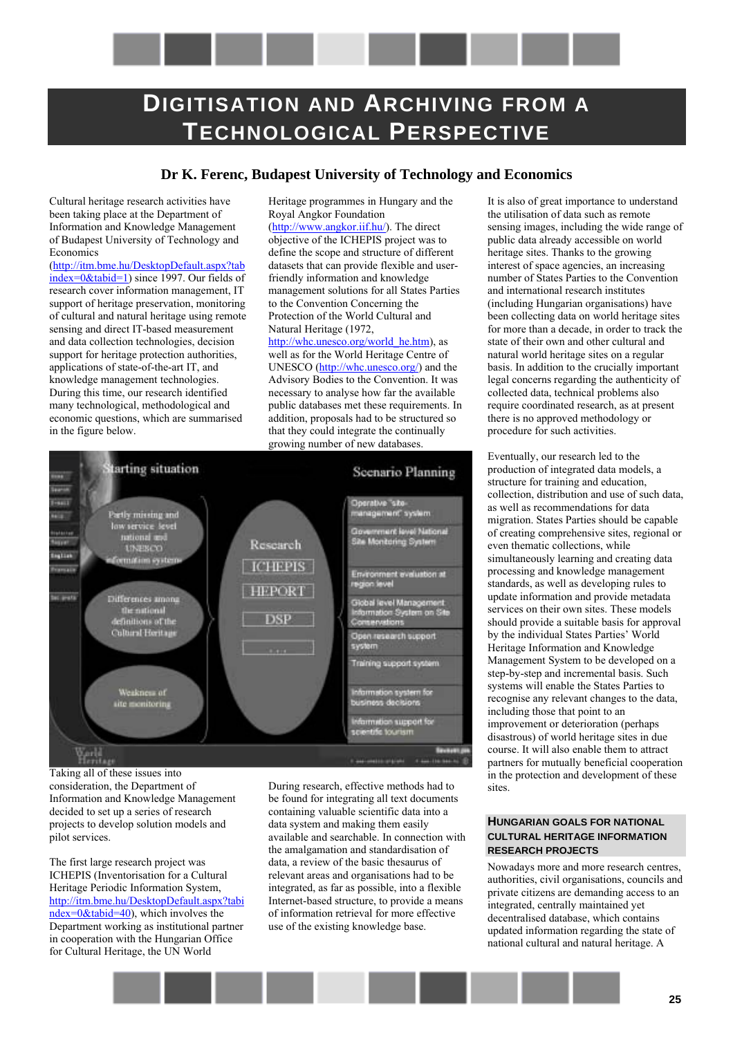<span id="page-24-0"></span>

# **Dr K. Ferenc, Budapest University of Technology and Economics**

Heritage programmes in Hungary and the

Cultural heritage research activities have been taking place at the Department of Information and Knowledge Management of Budapest University of Technology and Economics

[\(http://itm.bme.hu/DesktopDefault.aspx?tab](http://itm.bme.hu/DesktopDefault.aspx?tabindex=0&tabid=1) [index=0&tabid=1\)](http://itm.bme.hu/DesktopDefault.aspx?tabindex=0&tabid=1) since 1997. Our fields of research cover information management, IT support of heritage preservation, monitoring of cultural and natural heritage using remote sensing and direct IT-based measurement and data collection technologies, decision support for heritage protection authorities, applications of state-of-the-art IT, and knowledge management technologies. During this time, our research identified many technological, methodological and economic questions, which are summarised in the figure below.

Royal Angkor Foundation ([http://www.angkor.iif.hu/\)](http://www.angkor.iif.hu/). The direct objective of the ICHEPIS project was to define the scope and structure of different datasets that can provide flexible and userfriendly information and knowledge management solutions for all States Parties to the Convention Concerning the Protection of the World Cultural and

Natural Heritage (1972, [http://whc.unesco.org/world\\_he.htm\)](http://whc.unesco.org/world_he.htm), as well as for the World Heritage Centre of UNESCO ([http://whc.unesco.org/\)](http://whc.unesco.org/) and the Advisory Bodies to the Convention. It was necessary to analyse how far the available public databases met these requirements. In addition, proposals had to be structured so that they could integrate the continually growing number of new databases.



Taking all of these issues into consideration, the Department of Information and Knowledge Management decided to set up a series of research projects to develop solution models and pilot services.

The first large research project was ICHEPIS (Inventorisation for a Cultural Heritage Periodic Information System, [http://itm.bme.hu/DesktopDefault.aspx?tabi](http://itm.bme.hu/DesktopDefault.aspx?tabindex=0&tabid=40) [ndex=0&tabid=40\)](http://itm.bme.hu/DesktopDefault.aspx?tabindex=0&tabid=40), which involves the Department working as institutional partner in cooperation with the Hungarian Office for Cultural Heritage, the UN World

During research, effective methods had to be found for integrating all text documents containing valuable scientific data into a data system and making them easily available and searchable. In connection with the amalgamation and standardisation of data, a review of the basic thesaurus of relevant areas and organisations had to be integrated, as far as possible, into a flexible Internet-based structure, to provide a means of information retrieval for more effective use of the existing knowledge base.

It is also of great importance to understand the utilisation of data such as remote sensing images, including the wide range of public data already accessible on world heritage sites. Thanks to the growing interest of space agencies, an increasing number of States Parties to the Convention and international research institutes (including Hungarian organisations) have been collecting data on world heritage sites for more than a decade, in order to track the state of their own and other cultural and natural world heritage sites on a regular basis. In addition to the crucially important legal concerns regarding the authenticity of collected data, technical problems also require coordinated research, as at present there is no approved methodology or procedure for such activities.

Eventually, our research led to the production of integrated data models, a structure for training and education, collection, distribution and use of such data, as well as recommendations for data migration. States Parties should be capable of creating comprehensive sites, regional or even thematic collections, while simultaneously learning and creating data processing and knowledge management standards, as well as developing rules to update information and provide metadata services on their own sites. These models should provide a suitable basis for approval by the individual States Parties' World Heritage Information and Knowledge Management System to be developed on a step-by-step and incremental basis. Such systems will enable the States Parties to recognise any relevant changes to the data, including those that point to an improvement or deterioration (perhaps disastrous) of world heritage sites in due course. It will also enable them to attract partners for mutually beneficial cooperation in the protection and development of these sites.

### **HUNGARIAN GOALS FOR NATIONAL CULTURAL HERITAGE INFORMATION RESEARCH PROJECTS**

Nowadays more and more research centres, authorities, civil organisations, councils and private citizens are demanding access to an integrated, centrally maintained yet decentralised database, which contains updated information regarding the state of national cultural and natural heritage. A

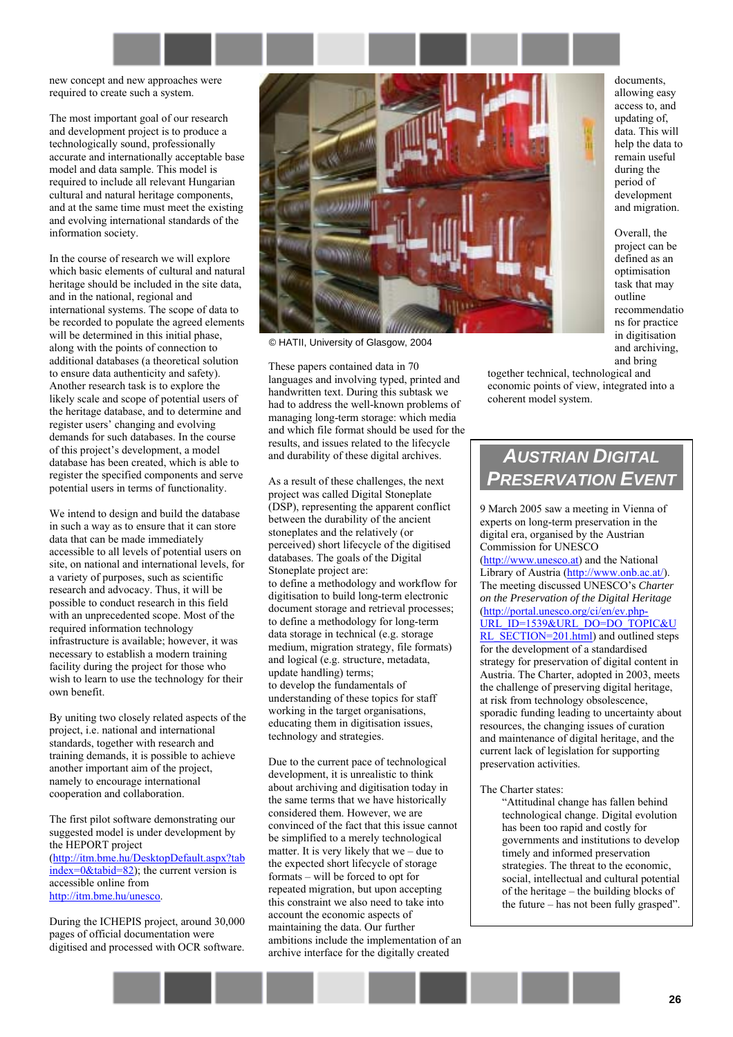

new concept and new approaches were required to create such a system.

The most important goal of our research and development project is to produce a technologically sound, professionally accurate and internationally acceptable base model and data sample. This model is required to include all relevant Hungarian cultural and natural heritage components, and at the same time must meet the existing and evolving international standards of the information society.

In the course of research we will explore which basic elements of cultural and natural heritage should be included in the site data, and in the national, regional and international systems. The scope of data to be recorded to populate the agreed elements will be determined in this initial phase, along with the points of connection to additional databases (a theoretical solution to ensure data authenticity and safety). Another research task is to explore the likely scale and scope of potential users of the heritage database, and to determine and register users' changing and evolving demands for such databases. In the course of this project's development, a model database has been created, which is able to register the specified components and serve potential users in terms of functionality.

We intend to design and build the database in such a way as to ensure that it can store data that can be made immediately accessible to all levels of potential users on site, on national and international levels, for a variety of purposes, such as scientific research and advocacy. Thus, it will be possible to conduct research in this field with an unprecedented scope. Most of the required information technology infrastructure is available; however, it was necessary to establish a modern training facility during the project for those who wish to learn to use the technology for their own benefit.

By uniting two closely related aspects of the project, i.e. national and international standards, together with research and training demands, it is possible to achieve another important aim of the project, namely to encourage international cooperation and collaboration.

The first pilot software demonstrating our suggested model is under development by the HEPORT project [\(http://itm.bme.hu/DesktopDefault.aspx?tab](http://itm.bme.hu/DesktopDefault.aspx?tabindex=0&tabid=82)  $index=0\&tabid=82$ ; the current version is accessible online from [http://itm.bme.hu/unesco.](http://itm.bme.hu/unesco)

During the ICHEPIS project, around 30,000 pages of official documentation were digitised and processed with OCR software.



© HATII, University of Glasgow, 2004

These papers contained data in 70 languages and involving typed, printed and handwritten text. During this subtask we had to address the well-known problems of managing long-term storage: which media and which file format should be used for the results, and issues related to the lifecycle and durability of these digital archives.

As a result of these challenges, the next project was called Digital Stoneplate (DSP), representing the apparent conflict between the durability of the ancient stoneplates and the relatively (or perceived) short lifecycle of the digitised databases. The goals of the Digital Stoneplate project are: to define a methodology and workflow for digitisation to build long-term electronic document storage and retrieval processes; to define a methodology for long-term data storage in technical (e.g. storage medium, migration strategy, file formats) and logical (e.g. structure, metadata, update handling) terms; to develop the fundamentals of understanding of these topics for staff working in the target organisations, educating them in digitisation issues, technology and strategies.

Due to the current pace of technological development, it is unrealistic to think about archiving and digitisation today in the same terms that we have historically considered them. However, we are convinced of the fact that this issue cannot be simplified to a merely technological matter. It is very likely that we  $-$  due to the expected short lifecycle of storage  $formats - will be forced to opt for$ repeated migration, but upon accepting this constraint we also need to take into account the economic aspects of maintaining the data. Our further ambitions include the implementation of an archive interface for the digitally created

documents, allowing easy access to, and updating of, data. This will help the data to remain useful during the period of development and migration.

Overall, the project can be defined as an optimisation task that may outline recommendatio ns for practice in digitisation and archiving, and bring

together technical, technological and economic points of view, integrated into a coherent model system.

# *AUSTRIAN DIGITAL PRESERVATION EVENT*

9 March 2005 saw a meeting in Vienna of experts on long-term preservation in the digital era, organised by the Austrian Commission for UNESCO ([http://www.unesco.at\)](http://www.unesco.at/) and the National Library of Austria ([http://www.onb.ac.at/\)](http://www.onb.ac.at/). The meeting discussed UNESCO's *Charter on the Preservation of the Digital Heritage* ([http://portal.unesco.org/ci/en/ev.php-](http://portal.unesco.org/ci/en/ev.php-URL_ID=1539&URL_DO=DO_TOPIC&URL_SECTION=201.html)[URL\\_ID=1539&URL\\_DO=DO\\_TOPIC&U](http://portal.unesco.org/ci/en/ev.php-URL_ID=1539&URL_DO=DO_TOPIC&URL_SECTION=201.html) [RL\\_SECTION=201.html\)](http://portal.unesco.org/ci/en/ev.php-URL_ID=1539&URL_DO=DO_TOPIC&URL_SECTION=201.html) and outlined steps for the development of a standardised strategy for preservation of digital content in Austria. The Charter, adopted in 2003, meets the challenge of preserving digital heritage, at risk from technology obsolescence, sporadic funding leading to uncertainty about resources, the changing issues of curation and maintenance of digital heritage, and the current lack of legislation for supporting preservation activities.

#### The Charter states:

ìAttitudinal change has fallen behind technological change. Digital evolution has been too rapid and costly for governments and institutions to develop timely and informed preservation strategies. The threat to the economic, social, intellectual and cultural potential of the heritage  $-$  the building blocks of the future  $-$  has not been fully grasped".

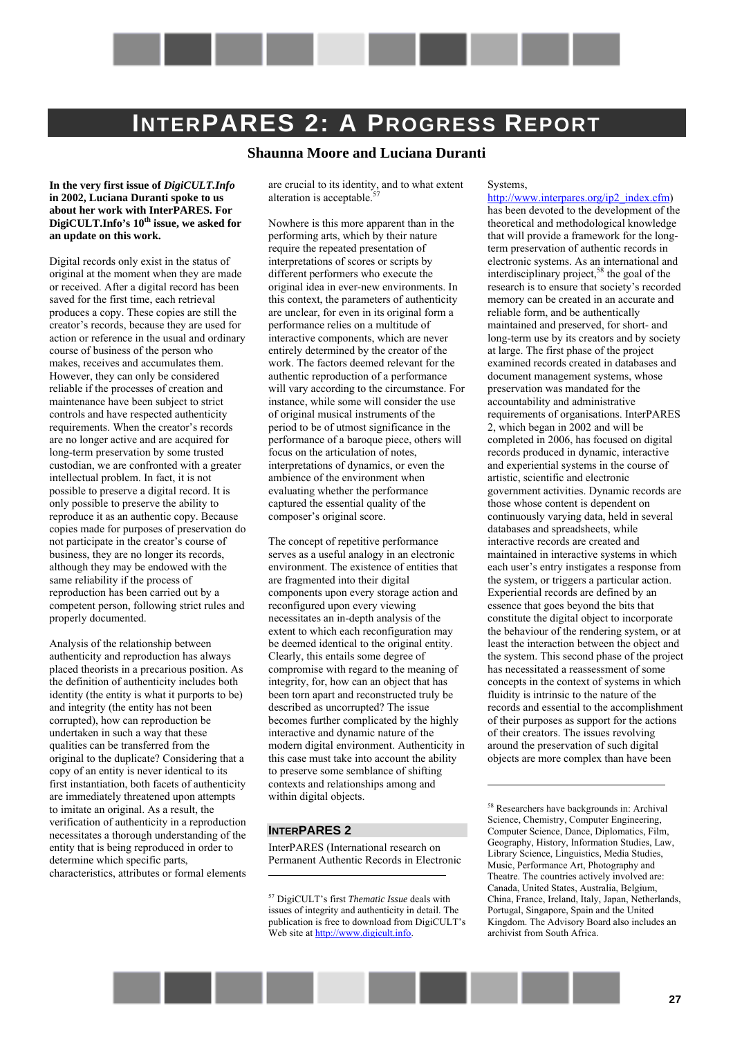

# <span id="page-26-0"></span>**INTERPARES 2: A PROGRESS REPORT**

# **Shaunna Moore and Luciana Duranti**

#### **In the very first issue of** *DigiCULT.Info* **in 2002, Luciana Duranti spoke to us about her work with InterPARES. For**  DigiCULT.Info's 10<sup>th</sup> issue, we asked for **an update on this work.**

Digital records only exist in the status of original at the moment when they are made or received. After a digital record has been saved for the first time, each retrieval produces a copy. These copies are still the creator's records, because they are used for action or reference in the usual and ordinary course of business of the person who makes, receives and accumulates them. However, they can only be considered reliable if the processes of creation and maintenance have been subject to strict controls and have respected authenticity requirements. When the creator's records are no longer active and are acquired for long-term preservation by some trusted custodian, we are confronted with a greater intellectual problem. In fact, it is not possible to preserve a digital record. It is only possible to preserve the ability to reproduce it as an authentic copy. Because copies made for purposes of preservation do not participate in the creator's course of business, they are no longer its records, although they may be endowed with the same reliability if the process of reproduction has been carried out by a competent person, following strict rules and properly documented.

Analysis of the relationship between authenticity and reproduction has always placed theorists in a precarious position. As the definition of authenticity includes both identity (the entity is what it purports to be) and integrity (the entity has not been corrupted), how can reproduction be undertaken in such a way that these qualities can be transferred from the original to the duplicate? Considering that a copy of an entity is never identical to its first instantiation, both facets of authenticity are immediately threatened upon attempts to imitate an original. As a result, the verification of authenticity in a reproduction necessitates a thorough understanding of the entity that is being reproduced in order to determine which specific parts, characteristics, attributes or formal elements

are crucial to its identity, and to what extent alteration is acceptable.<sup>57</sup>

Nowhere is this more apparent than in the performing arts, which by their nature require the repeated presentation of interpretations of scores or scripts by different performers who execute the original idea in ever-new environments. In this context, the parameters of authenticity are unclear, for even in its original form a performance relies on a multitude of interactive components, which are never entirely determined by the creator of the work. The factors deemed relevant for the authentic reproduction of a performance will vary according to the circumstance. For instance, while some will consider the use of original musical instruments of the period to be of utmost significance in the performance of a baroque piece, others will focus on the articulation of notes, interpretations of dynamics, or even the ambience of the environment when evaluating whether the performance captured the essential quality of the composer's original score.

The concept of repetitive performance serves as a useful analogy in an electronic environment. The existence of entities that are fragmented into their digital components upon every storage action and reconfigured upon every viewing necessitates an in-depth analysis of the extent to which each reconfiguration may be deemed identical to the original entity. Clearly, this entails some degree of compromise with regard to the meaning of integrity, for, how can an object that has been torn apart and reconstructed truly be described as uncorrupted? The issue becomes further complicated by the highly interactive and dynamic nature of the modern digital environment. Authenticity in this case must take into account the ability to preserve some semblance of shifting contexts and relationships among and within digital objects.

### **INTERPARES 2**

 $\overline{a}$ 

InterPARES (International research on Permanent Authentic Records in Electronic Systems,

[http://www.interpares.org/ip2\\_index.cfm\)](http://www.interpares.org/ip2_index.cfm) has been devoted to the development of the theoretical and methodological knowledge that will provide a framework for the longterm preservation of authentic records in electronic systems. As an international and interdisciplinary project,<sup>58</sup> the goal of the research is to ensure that society's recorded memory can be created in an accurate and reliable form, and be authentically maintained and preserved, for short- and long-term use by its creators and by society at large. The first phase of the project examined records created in databases and document management systems, whose preservation was mandated for the accountability and administrative requirements of organisations. InterPARES 2, which began in 2002 and will be completed in 2006, has focused on digital records produced in dynamic, interactive and experiential systems in the course of artistic, scientific and electronic government activities. Dynamic records are those whose content is dependent on continuously varying data, held in several databases and spreadsheets, while interactive records are created and maintained in interactive systems in which each user's entry instigates a response from the system, or triggers a particular action. Experiential records are defined by an essence that goes beyond the bits that constitute the digital object to incorporate the behaviour of the rendering system, or at least the interaction between the object and the system. This second phase of the project has necessitated a reassessment of some concepts in the context of systems in which fluidity is intrinsic to the nature of the records and essential to the accomplishment of their purposes as support for the actions of their creators. The issues revolving around the preservation of such digital objects are more complex than have been



<sup>&</sup>lt;sup>57</sup> DigiCULT's first *Thematic Issue* deals with issues of integrity and authenticity in detail. The publication is free to download from DigiCULT's Web site at http://www.digicult.info.

<sup>58</sup> Researchers have backgrounds in: Archival Science, Chemistry, Computer Engineering, Computer Science, Dance, Diplomatics, Film, Geography, History, Information Studies, Law, Library Science, Linguistics, Media Studies, Music, Performance Art, Photography and Theatre. The countries actively involved are: Canada, United States, Australia, Belgium, China, France, Ireland, Italy, Japan, Netherlands, Portugal, Singapore, Spain and the United Kingdom. The Advisory Board also includes an archivist from South Africa.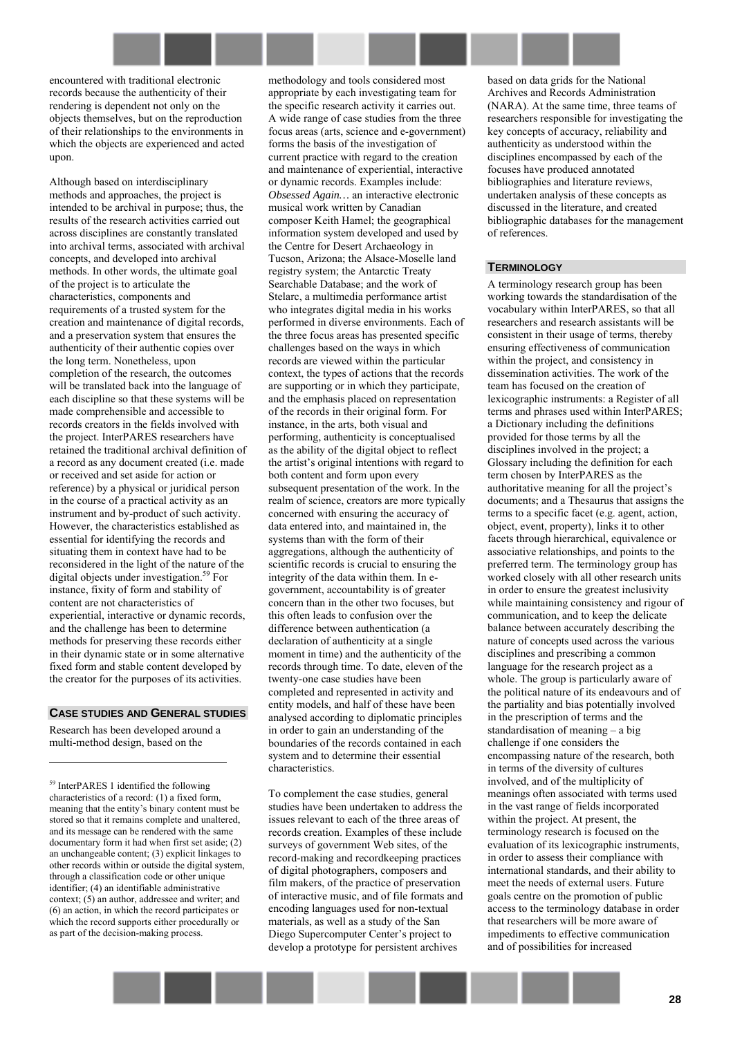

Although based on interdisciplinary methods and approaches, the project is intended to be archival in purpose; thus, the results of the research activities carried out across disciplines are constantly translated into archival terms, associated with archival concepts, and developed into archival methods. In other words, the ultimate goal of the project is to articulate the characteristics, components and requirements of a trusted system for the creation and maintenance of digital records, and a preservation system that ensures the authenticity of their authentic copies over the long term. Nonetheless, upon completion of the research, the outcomes will be translated back into the language of each discipline so that these systems will be made comprehensible and accessible to records creators in the fields involved with the project. InterPARES researchers have retained the traditional archival definition of a record as any document created (i.e. made or received and set aside for action or reference) by a physical or juridical person in the course of a practical activity as an instrument and by-product of such activity. However, the characteristics established as essential for identifying the records and situating them in context have had to be reconsidered in the light of the nature of the digital objects under investigation.<sup>59</sup> For instance, fixity of form and stability of content are not characteristics of experiential, interactive or dynamic records, and the challenge has been to determine methods for preserving these records either in their dynamic state or in some alternative fixed form and stable content developed by the creator for the purposes of its activities.

#### **CASE STUDIES AND GENERAL STUDIES**

Research has been developed around a multi-method design, based on the

 $\overline{a}$ 

59 InterPARES 1 identified the following characteristics of a record: (1) a fixed form, meaning that the entity's binary content must be stored so that it remains complete and unaltered, and its message can be rendered with the same documentary form it had when first set aside; (2) an unchangeable content; (3) explicit linkages to other records within or outside the digital system, through a classification code or other unique identifier; (4) an identifiable administrative context; (5) an author, addressee and writer; and (6) an action, in which the record participates or which the record supports either procedurally or as part of the decision-making process.

methodology and tools considered most appropriate by each investigating team for the specific research activity it carries out. A wide range of case studies from the three focus areas (arts, science and e-government) forms the basis of the investigation of current practice with regard to the creation and maintenance of experiential, interactive or dynamic records. Examples include: *Obsessed Again…* an interactive electronic musical work written by Canadian composer Keith Hamel; the geographical information system developed and used by the Centre for Desert Archaeology in Tucson, Arizona; the Alsace-Moselle land registry system; the Antarctic Treaty Searchable Database; and the work of Stelarc, a multimedia performance artist who integrates digital media in his works performed in diverse environments. Each of the three focus areas has presented specific challenges based on the ways in which records are viewed within the particular context, the types of actions that the records are supporting or in which they participate, and the emphasis placed on representation of the records in their original form. For instance, in the arts, both visual and performing, authenticity is conceptualised as the ability of the digital object to reflect the artist's original intentions with regard to both content and form upon every subsequent presentation of the work. In the realm of science, creators are more typically concerned with ensuring the accuracy of data entered into, and maintained in, the systems than with the form of their aggregations, although the authenticity of scientific records is crucial to ensuring the integrity of the data within them. In egovernment, accountability is of greater concern than in the other two focuses, but this often leads to confusion over the difference between authentication (a declaration of authenticity at a single moment in time) and the authenticity of the records through time. To date, eleven of the twenty-one case studies have been completed and represented in activity and entity models, and half of these have been analysed according to diplomatic principles in order to gain an understanding of the boundaries of the records contained in each system and to determine their essential characteristics.

To complement the case studies, general studies have been undertaken to address the issues relevant to each of the three areas of records creation. Examples of these include surveys of government Web sites, of the record-making and recordkeeping practices of digital photographers, composers and film makers, of the practice of preservation of interactive music, and of file formats and encoding languages used for non-textual materials, as well as a study of the San Diego Supercomputer Center's project to develop a prototype for persistent archives

based on data grids for the National Archives and Records Administration (NARA). At the same time, three teams of researchers responsible for investigating the key concepts of accuracy, reliability and authenticity as understood within the disciplines encompassed by each of the focuses have produced annotated bibliographies and literature reviews, undertaken analysis of these concepts as discussed in the literature, and created bibliographic databases for the management of references.

#### **TERMINOLOGY**

A terminology research group has been working towards the standardisation of the vocabulary within InterPARES, so that all researchers and research assistants will be consistent in their usage of terms, thereby ensuring effectiveness of communication within the project, and consistency in dissemination activities. The work of the team has focused on the creation of lexicographic instruments: a Register of all terms and phrases used within InterPARES; a Dictionary including the definitions provided for those terms by all the disciplines involved in the project; a Glossary including the definition for each term chosen by InterPARES as the authoritative meaning for all the project's documents; and a Thesaurus that assigns the terms to a specific facet (e.g. agent, action, object, event, property), links it to other facets through hierarchical, equivalence or associative relationships, and points to the preferred term. The terminology group has worked closely with all other research units in order to ensure the greatest inclusivity while maintaining consistency and rigour of communication, and to keep the delicate balance between accurately describing the nature of concepts used across the various disciplines and prescribing a common language for the research project as a whole. The group is particularly aware of the political nature of its endeavours and of the partiality and bias potentially involved in the prescription of terms and the standardisation of meaning  $-$  a big challenge if one considers the encompassing nature of the research, both in terms of the diversity of cultures involved, and of the multiplicity of meanings often associated with terms used in the vast range of fields incorporated within the project. At present, the terminology research is focused on the evaluation of its lexicographic instruments, in order to assess their compliance with international standards, and their ability to meet the needs of external users. Future goals centre on the promotion of public access to the terminology database in order that researchers will be more aware of impediments to effective communication and of possibilities for increased

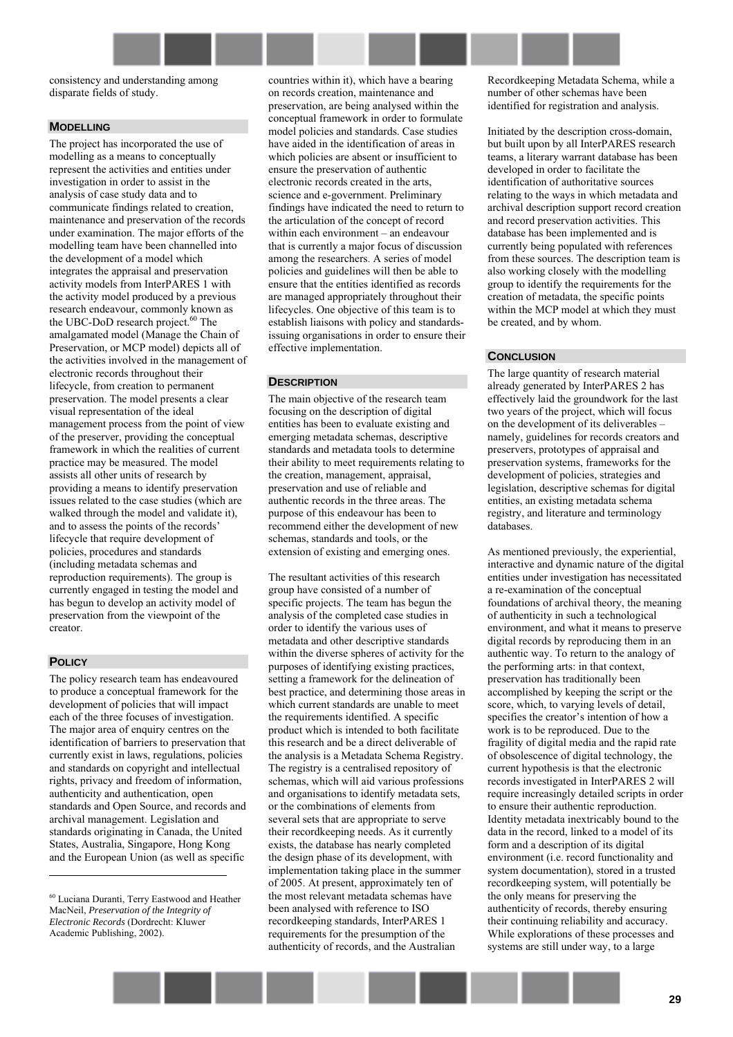consistency and understanding among disparate fields of study.

#### **MODELLING**

The project has incorporated the use of modelling as a means to conceptually represent the activities and entities under investigation in order to assist in the analysis of case study data and to communicate findings related to creation, maintenance and preservation of the records under examination. The major efforts of the modelling team have been channelled into the development of a model which integrates the appraisal and preservation activity models from InterPARES 1 with the activity model produced by a previous research endeavour, commonly known as the UBC-DoD research project.<sup>60</sup> The amalgamated model (Manage the Chain of Preservation, or MCP model) depicts all of the activities involved in the management of electronic records throughout their lifecycle, from creation to permanent preservation. The model presents a clear visual representation of the ideal management process from the point of view of the preserver, providing the conceptual framework in which the realities of current practice may be measured. The model assists all other units of research by providing a means to identify preservation issues related to the case studies (which are walked through the model and validate it), and to assess the points of the records' lifecycle that require development of policies, procedures and standards (including metadata schemas and reproduction requirements). The group is currently engaged in testing the model and has begun to develop an activity model of preservation from the viewpoint of the creator.

#### **POLICY**

 $\overline{a}$ 

The policy research team has endeavoured to produce a conceptual framework for the development of policies that will impact each of the three focuses of investigation. The major area of enquiry centres on the identification of barriers to preservation that currently exist in laws, regulations, policies and standards on copyright and intellectual rights, privacy and freedom of information, authenticity and authentication, open standards and Open Source, and records and archival management. Legislation and standards originating in Canada, the United States, Australia, Singapore, Hong Kong and the European Union (as well as specific

60 Luciana Duranti, Terry Eastwood and Heather MacNeil, *Preservation of the Integrity of Electronic Records* (Dordrecht: Kluwer Academic Publishing, 2002).

countries within it), which have a bearing on records creation, maintenance and preservation, are being analysed within the conceptual framework in order to formulate model policies and standards. Case studies have aided in the identification of areas in which policies are absent or insufficient to ensure the preservation of authentic electronic records created in the arts, science and e-government. Preliminary findings have indicated the need to return to the articulation of the concept of record within each environment - an endeavour that is currently a major focus of discussion among the researchers. A series of model policies and guidelines will then be able to ensure that the entities identified as records are managed appropriately throughout their lifecycles. One objective of this team is to establish liaisons with policy and standardsissuing organisations in order to ensure their effective implementation.

#### **DESCRIPTION**

The main objective of the research team focusing on the description of digital entities has been to evaluate existing and emerging metadata schemas, descriptive standards and metadata tools to determine their ability to meet requirements relating to the creation, management, appraisal, preservation and use of reliable and authentic records in the three areas. The purpose of this endeavour has been to recommend either the development of new schemas, standards and tools, or the extension of existing and emerging ones.

The resultant activities of this research group have consisted of a number of specific projects. The team has begun the analysis of the completed case studies in order to identify the various uses of metadata and other descriptive standards within the diverse spheres of activity for the purposes of identifying existing practices, setting a framework for the delineation of best practice, and determining those areas in which current standards are unable to meet the requirements identified. A specific product which is intended to both facilitate this research and be a direct deliverable of the analysis is a Metadata Schema Registry. The registry is a centralised repository of schemas, which will aid various professions and organisations to identify metadata sets, or the combinations of elements from several sets that are appropriate to serve their recordkeeping needs. As it currently exists, the database has nearly completed the design phase of its development, with implementation taking place in the summer of 2005. At present, approximately ten of the most relevant metadata schemas have been analysed with reference to ISO recordkeeping standards, InterPARES 1 requirements for the presumption of the authenticity of records, and the Australian

Recordkeeping Metadata Schema, while a number of other schemas have been identified for registration and analysis.

Initiated by the description cross-domain, but built upon by all InterPARES research teams, a literary warrant database has been developed in order to facilitate the identification of authoritative sources relating to the ways in which metadata and archival description support record creation and record preservation activities. This database has been implemented and is currently being populated with references from these sources. The description team is also working closely with the modelling group to identify the requirements for the creation of metadata, the specific points within the MCP model at which they must be created, and by whom.

### **CONCLUSION**

The large quantity of research material already generated by InterPARES 2 has effectively laid the groundwork for the last two years of the project, which will focus on the development of its deliverables namely, guidelines for records creators and preservers, prototypes of appraisal and preservation systems, frameworks for the development of policies, strategies and legislation, descriptive schemas for digital entities, an existing metadata schema registry, and literature and terminology databases.

As mentioned previously, the experiential, interactive and dynamic nature of the digital entities under investigation has necessitated a re-examination of the conceptual foundations of archival theory, the meaning of authenticity in such a technological environment, and what it means to preserve digital records by reproducing them in an authentic way. To return to the analogy of the performing arts: in that context, preservation has traditionally been accomplished by keeping the script or the score, which, to varying levels of detail, specifies the creator's intention of how a work is to be reproduced. Due to the fragility of digital media and the rapid rate of obsolescence of digital technology, the current hypothesis is that the electronic records investigated in InterPARES 2 will require increasingly detailed scripts in order to ensure their authentic reproduction. Identity metadata inextricably bound to the data in the record, linked to a model of its form and a description of its digital environment (i.e. record functionality and system documentation), stored in a trusted recordkeeping system, will potentially be the only means for preserving the authenticity of records, thereby ensuring their continuing reliability and accuracy. While explorations of these processes and systems are still under way, to a large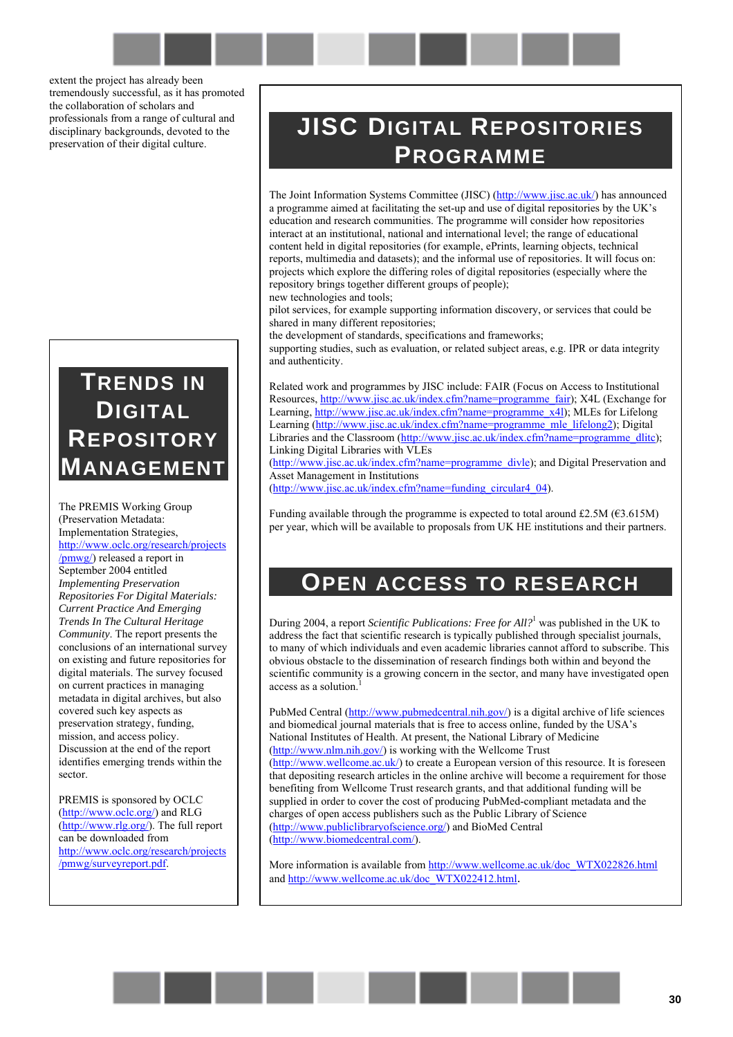extent the project has already been tremendously successful, as it has promoted the collaboration of scholars and professionals from a range of cultural and disciplinary backgrounds, devoted to the preservation of their digital culture.

# **TRENDS IN DIGITAL REPOSITORY MANAGEMENT**

The PREMIS Working Group (Preservation Metadata: Implementation Strategies, [http://www.oclc.org/research/projects](http://www.oclc.org/research/projects/pmwg/) [/pmwg/\)](http://www.oclc.org/research/projects/pmwg/) released a report in September 2004 entitled *Implementing Preservation Repositories For Digital Materials: Current Practice And Emerging Trends In The Cultural Heritage Community*. The report presents the conclusions of an international survey on existing and future repositories for digital materials. The survey focused on current practices in managing metadata in digital archives, but also covered such key aspects as preservation strategy, funding, mission, and access policy. Discussion at the end of the report identifies emerging trends within the sector.

PREMIS is sponsored by OCLC ([http://www.oclc.org/\)](http://www.oclc.org/) and RLG ([http://www.rlg.org/\)](http://www.rlg.org/). The full report can be downloaded from [http://www.oclc.org/research/projects](http://www.oclc.org/research/projects/pmwg/surveyreport.pdf) [/pmwg/surveyreport.pdf.](http://www.oclc.org/research/projects/pmwg/surveyreport.pdf) 

# **JISC DIGITAL REPOSITORIES PROGRAMME**

The Joint Information Systems Committee (JISC) ([http://www.jisc.ac.uk/\)](http://www.jisc.ac.uk/) has announced a programme aimed at facilitating the set-up and use of digital repositories by the UK's education and research communities. The programme will consider how repositories interact at an institutional, national and international level; the range of educational content held in digital repositories (for example, ePrints, learning objects, technical reports, multimedia and datasets); and the informal use of repositories. It will focus on: projects which explore the differing roles of digital repositories (especially where the repository brings together different groups of people); new technologies and tools;

pilot services, for example supporting information discovery, or services that could be shared in many different repositories;

the development of standards, specifications and frameworks;

supporting studies, such as evaluation, or related subject areas, e.g. IPR or data integrity and authenticity.

Related work and programmes by JISC include: FAIR (Focus on Access to Institutional Resources, [http://www.jisc.ac.uk/index.cfm?name=programme\\_fair\)](http://www.jisc.ac.uk/index.cfm?name=programme_fair); X4L (Exchange for Learning, [http://www.jisc.ac.uk/index.cfm?name=programme\\_x4l\)](http://www.jisc.ac.uk/index.cfm?name=programme_x4l); MLEs for Lifelong Learning [\(http://www.jisc.ac.uk/index.cfm?name=programme\\_mle\\_lifelong2\)](http://www.jisc.ac.uk/index.cfm?name=programme_mle_lifelong2); Digital Libraries and the Classroom ([http://www.jisc.ac.uk/index.cfm?name=programme\\_dlitc\)](http://www.jisc.ac.uk/index.cfm?name=programme_dlitc); Linking Digital Libraries with VLEs

([http://www.jisc.ac.uk/index.cfm?name=programme\\_divle\)](http://www.jisc.ac.uk/index.cfm?name=programme_divle); and Digital Preservation and Asset Management in Institutions

([http://www.jisc.ac.uk/index.cfm?name=funding\\_circular4\\_04\)](http://www.jisc.ac.uk/index.cfm?name=funding_circular4_04).

Funding available through the programme is expected to total around £2.5M ( $\epsilon$ 3.615M) per year, which will be available to proposals from UK HE institutions and their partners.

# **OPEN ACCESS TO RESEARCH**

During 2004, a report *Scientific Publications: Free for All?*<sup>1</sup> was published in the UK to address the fact that scientific research is typically published through specialist journals, to many of which individuals and even academic libraries cannot afford to subscribe. This obvious obstacle to the dissemination of research findings both within and beyond the scientific community is a growing concern in the sector, and many have investigated open access as a solution.

PubMed Central ([http://www.pubmedcentral.nih.gov/\)](http://www.pubmedcentral.nih.gov/) is a digital archive of life sciences and biomedical journal materials that is free to access online, funded by the USA's National Institutes of Health. At present, the National Library of Medicine ([http://www.nlm.nih.gov/\)](http://www.nlm.nih.gov/) is working with the Wellcome Trust ([http://www.wellcome.ac.uk/\)](http://www.wellcome.ac.uk/) to create a European version of this resource. It is foreseen that depositing research articles in the online archive will become a requirement for those

benefiting from Wellcome Trust research grants, and that additional funding will be supplied in order to cover the cost of producing PubMed-compliant metadata and the charges of open access publishers such as the Public Library of Science ([http://www.publiclibraryofscience.org/\)](http://www.publiclibraryofscience.org/) and BioMed Central ([http://www.biomedcentral.com/\)](http://www.biomedcentral.com/).

More information is available from [http://www.wellcome.ac.uk/doc\\_WTX022826.html](http://www.wellcome.ac.uk/doc_WTX022826.html) and http://www.wellcome.ac.uk/doc\_WTX022412.html.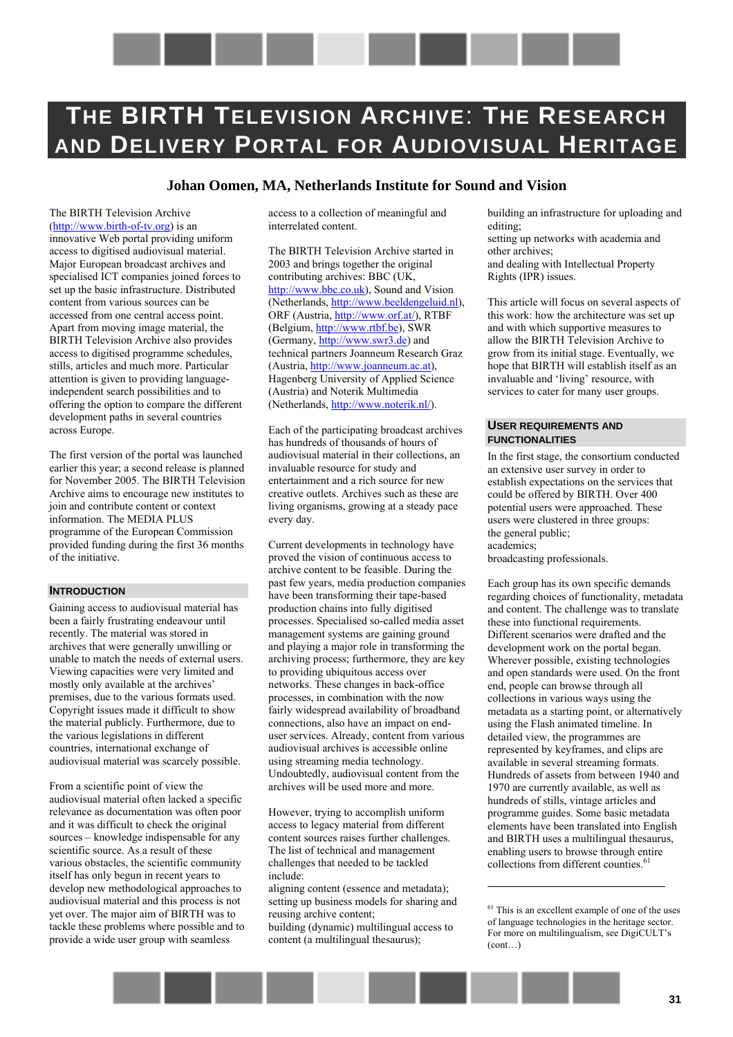# <span id="page-30-0"></span>**THE BIRTH TELEVISION ARCHIVE**: **THE RESEARCH AND DELIVERY PORTAL FOR AUDIOVISUAL HERITAGE**

## **Johan Oomen, MA, Netherlands Institute for Sound and Vision**

The BIRTH Television Archive (http://[www.birth-of-tv.org\)](http://www.birth-of-tv.org/) is an innovative Web portal providing uniform access to digitised audiovisual material. Major European broadcast archives and specialised ICT companies joined forces to set up the basic infrastructure. Distributed content from various sources can be accessed from one central access point. Apart from moving image material, the BIRTH Television Archive also provides access to digitised programme schedules, stills, articles and much more. Particular attention is given to providing languageindependent search possibilities and to offering the option to compare the different development paths in several countries across Europe.

The first version of the portal was launched earlier this year; a second release is planned for November 2005. The BIRTH Television Archive aims to encourage new institutes to join and contribute content or context information. The MEDIA PLUS programme of the European Commission provided funding during the first 36 months of the initiative.

#### **INTRODUCTION**

Gaining access to audiovisual material has been a fairly frustrating endeavour until recently. The material was stored in archives that were generally unwilling or unable to match the needs of external users. Viewing capacities were very limited and mostly only available at the archives<sup>3</sup> premises, due to the various formats used. Copyright issues made it difficult to show the material publicly. Furthermore, due to the various legislations in different countries, international exchange of audiovisual material was scarcely possible.

From a scientific point of view the audiovisual material often lacked a specific relevance as documentation was often poor and it was difficult to check the original sources – knowledge indispensable for any scientific source. As a result of these various obstacles, the scientific community itself has only begun in recent years to develop new methodological approaches to audiovisual material and this process is not yet over. The major aim of BIRTH was to tackle these problems where possible and to provide a wide user group with seamless

access to a collection of meaningful and interrelated content.

The BIRTH Television Archive started in 2003 and brings together the original contributing archives: BBC (UK, [http://www.bbc.co.uk\)](http://www.bbc.co.uk/), Sound and Vision (Netherlands, [http://www.beeldengeluid.nl\)](http://www.beeldengeluid.nl/), ORF (Austria, [http://www.orf.at/\),](http://www.orf.at/) RTBF (Belgium, [http://www.rtbf.be\)](http://www.rtbf.be/), SWR (Germany, [http://www.swr3.de\)](http://www.swr3.de/) and technical partners Joanneum Research Graz (Austria, [http://www.joanneum.ac.at\)](http://www.joanneum.ac.at/), Hagenberg University of Applied Science (Austria) and Noterik Multimedia (Netherlands, [http://www.noterik.nl/\)](http://www.noterik.nl/).

Each of the participating broadcast archives has hundreds of thousands of hours of audiovisual material in their collections, an invaluable resource for study and entertainment and a rich source for new creative outlets. Archives such as these are living organisms, growing at a steady pace every day.

Current developments in technology have proved the vision of continuous access to archive content to be feasible. During the past few years, media production companies have been transforming their tape-based production chains into fully digitised processes. Specialised so-called media asset management systems are gaining ground and playing a major role in transforming the archiving process; furthermore, they are key to providing ubiquitous access over networks. These changes in back-office processes, in combination with the now fairly widespread availability of broadband connections, also have an impact on enduser services. Already, content from various audiovisual archives is accessible online using streaming media technology. Undoubtedly, audiovisual content from the archives will be used more and more.

However, trying to accomplish uniform access to legacy material from different content sources raises further challenges. The list of technical and management challenges that needed to be tackled include:

aligning content (essence and metadata); setting up business models for sharing and reusing archive content; building (dynamic) multilingual access to content (a multilingual thesaurus);

building an infrastructure for uploading and editing;

setting up networks with academia and other archives; and dealing with Intellectual Property Rights (IPR) issues.

This article will focus on several aspects of this work: how the architecture was set up and with which supportive measures to allow the BIRTH Television Archive to grow from its initial stage. Eventually, we hope that BIRTH will establish itself as an invaluable and 'living' resource, with services to cater for many user groups.

#### **USER REQUIREMENTS AND FUNCTIONALITIES**

In the first stage, the consortium conducted an extensive user survey in order to establish expectations on the services that could be offered by BIRTH. Over 400 potential users were approached. These users were clustered in three groups: the general public; academics;

broadcasting professionals.

Each group has its own specific demands regarding choices of functionality, metadata and content. The challenge was to translate these into functional requirements. Different scenarios were drafted and the development work on the portal began. Wherever possible, existing technologies and open standards were used. On the front end, people can browse through all collections in various ways using the metadata as a starting point, or alternatively using the Flash animated timeline. In detailed view, the programmes are represented by keyframes, and clips are available in several streaming formats. Hundreds of assets from between 1940 and 1970 are currently available, as well as hundreds of stills, vintage articles and programme guides. Some basic metadata elements have been translated into English and BIRTH uses a multilingual thesaurus, enabling users to browse through entire collections from different counties.<sup>61</sup>



 $61$  This is an excellent example of one of the uses of language technologies in the heritage sector. For more on multilingualism, see DigiCULT's  $(cont)$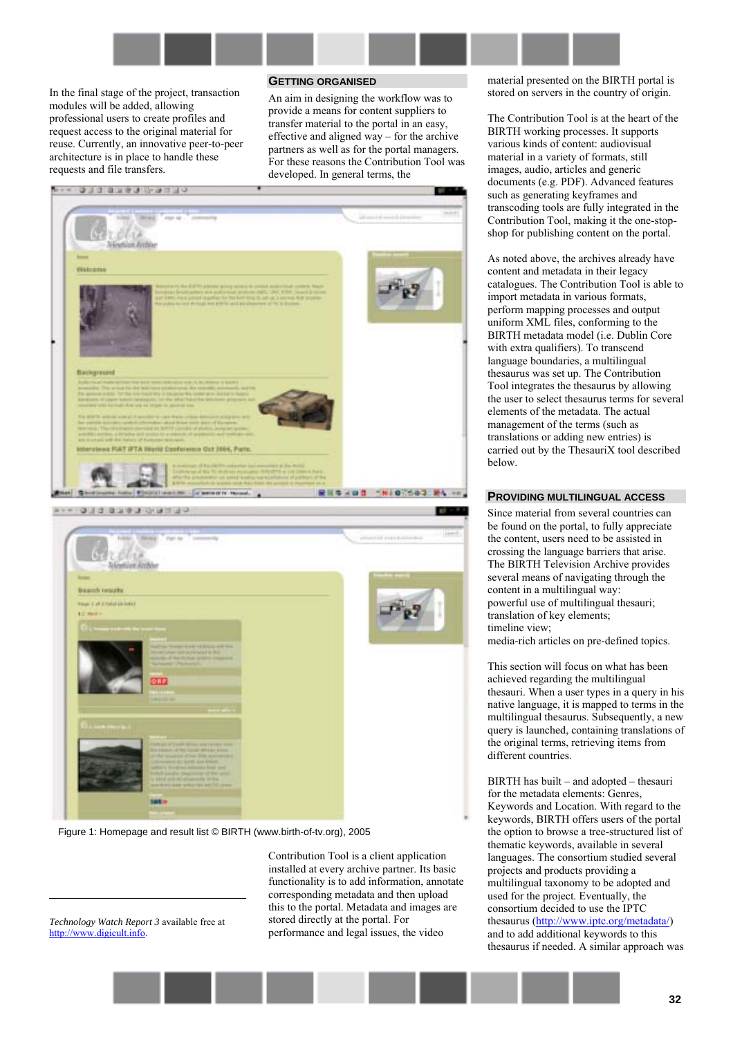

In the final stage of the project, transaction modules will be added, allowing professional users to create profiles and request access to the original material for reuse. Currently, an innovative peer-to-peer architecture is in place to handle these requests and file transfers.

#### **GETTING ORGANISED**

An aim in designing the workflow was to provide a means for content suppliers to transfer material to the portal in an easy, effective and aligned way  $-$  for the archive partners as well as for the portal managers. For these reasons the Contribution Tool was developed. In general terms, the



Figure 1: Homepage and result list © BIRTH (www.birth-of-tv.org), 2005

*Technology Watch Report 3* available free at http://www.digicult.info.

1

Contribution Tool is a client application installed at every archive partner. Its basic functionality is to add information, annotate corresponding metadata and then upload this to the portal. Metadata and images are stored directly at the portal. For performance and legal issues, the video

material presented on the BIRTH portal is stored on servers in the country of origin.

The Contribution Tool is at the heart of the BIRTH working processes. It supports various kinds of content: audiovisual material in a variety of formats, still images, audio, articles and generic documents (e.g. PDF). Advanced features such as generating keyframes and transcoding tools are fully integrated in the Contribution Tool, making it the one-stopshop for publishing content on the portal.

As noted above, the archives already have content and metadata in their legacy catalogues. The Contribution Tool is able to import metadata in various formats, perform mapping processes and output uniform XML files, conforming to the BIRTH metadata model (i.e. Dublin Core with extra qualifiers). To transcend language boundaries, a multilingual thesaurus was set up. The Contribution Tool integrates the thesaurus by allowing the user to select thesaurus terms for several elements of the metadata. The actual management of the terms (such as translations or adding new entries) is carried out by the ThesauriX tool described below.

#### **PROVIDING MULTILINGUAL ACCESS**

Since material from several countries can be found on the portal, to fully appreciate the content, users need to be assisted in crossing the language barriers that arise. The BIRTH Television Archive provides several means of navigating through the content in a multilingual way: powerful use of multilingual thesauri; translation of key elements; timeline view;

media-rich articles on pre-defined topics.

This section will focus on what has been achieved regarding the multilingual thesauri. When a user types in a query in his native language, it is mapped to terms in the multilingual thesaurus. Subsequently, a new query is launched, containing translations of the original terms, retrieving items from different countries.

BIRTH has built  $-$  and adopted  $-$  thesauri for the metadata elements: Genres, Keywords and Location. With regard to the keywords, BIRTH offers users of the portal the option to browse a tree-structured list of thematic keywords, available in several languages. The consortium studied several projects and products providing a multilingual taxonomy to be adopted and used for the project. Eventually, the consortium decided to use the IPTC thesaurus ([http://www.iptc.org/metadata/\)](http://www.iptc.org/metadata/) and to add additional keywords to this thesaurus if needed. A similar approach was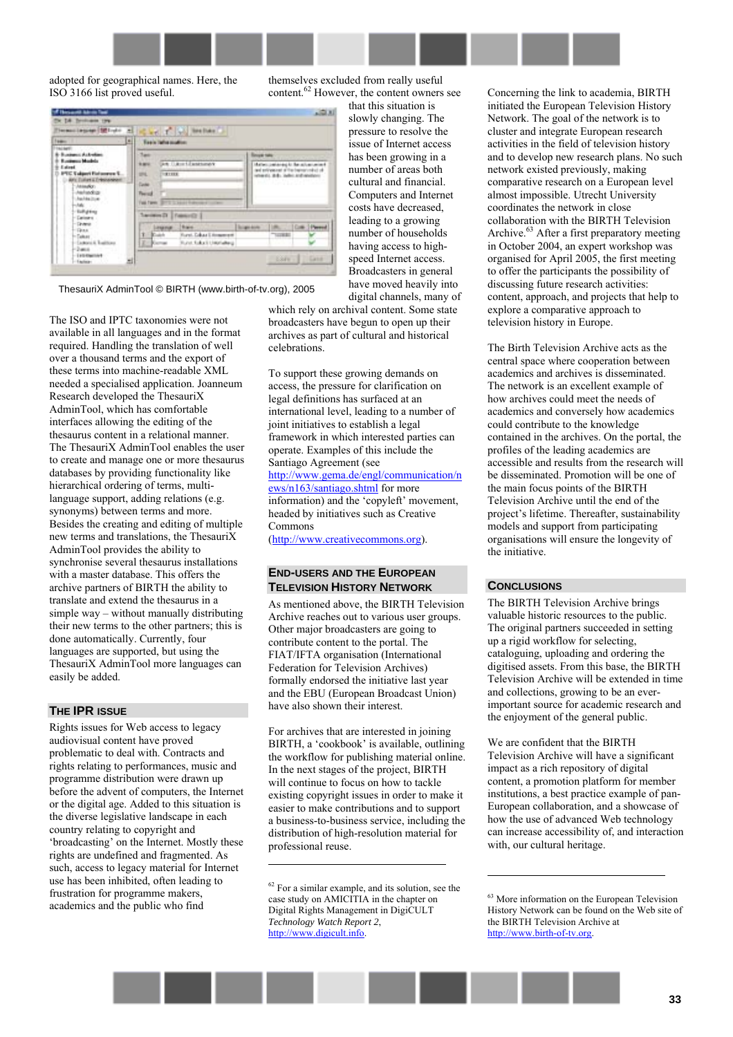

that this situation is slowly changing. The pressure to resolve the issue of Internet access has been growing in a number of areas both cultural and financial. Computers and Internet costs have decreased, leading to a growing number of households having access to highspeed Internet access. Broadcasters in general have moved heavily into digital channels, many of

adopted for geographical names. Here, the ISO 3166 list proved useful.

themselves excluded from really useful content.62 However, the content owners see

| Termoniagoge (Mil-de al                                                                                                                                                        | Carl I al mehasik                                                                                                                             |                                                                                                               |
|--------------------------------------------------------------------------------------------------------------------------------------------------------------------------------|-----------------------------------------------------------------------------------------------------------------------------------------------|---------------------------------------------------------------------------------------------------------------|
| <b>Team</b>                                                                                                                                                                    | 쁴<br>Tools light modes:                                                                                                                       |                                                                                                               |
| TALME<br>8-Business Astrolom                                                                                                                                                   | <b>Tank</b>                                                                                                                                   | <b>Bengal take</b>                                                                                            |
| <b>Russianus Models</b><br>Estret<br><b>IPTC Takpert Fiel source S</b><br>APL Dates a Dressween<br>Atlanta .<br>- Awhendote<br>Auchine Division<br><b>HANG</b><br>- Euffighing | <b>An Illust Expressor</b><br><b>SHOW</b><br><b>UNI</b><br><b>HETERE</b><br><b>Castro</b><br><b>Paint</b><br>Fast Farm: BIFTI 3. June 1 Admin | Materialenhold for all accessed<br>and entirement of the training collect of<br><b>MAGE ACAMPTED MOVEMENT</b> |
| - Carinaro                                                                                                                                                                     | Transmitt Passed)                                                                                                                             |                                                                                                               |
| $-$ Druman<br>$-$ Gras<br>- Taker<br>- Cachoro & Traditions<br>2-2-month<br>$-1 + 0$ discribed                                                                                 | <b>Baker</b><br><b>Impmut</b><br><b>Colch</b><br>Foret, Eduar Literature #<br><b>Rund folks &amp; Union alteral</b><br><b>Kiemas</b>          | Science-Anne<br>Cow-<br>1 Parent<br>×<br>TAXABLE IN                                                           |

ThesauriX AdminTool © BIRTH (www.birth-of-tv.org), 2005

The ISO and IPTC taxonomies were not available in all languages and in the format required. Handling the translation of well over a thousand terms and the export of these terms into machine-readable XML needed a specialised application. Joanneum Research developed the ThesauriX AdminTool, which has comfortable interfaces allowing the editing of the thesaurus content in a relational manner. The ThesauriX AdminTool enables the user to create and manage one or more thesaurus databases by providing functionality like hierarchical ordering of terms, multilanguage support, adding relations (e.g. synonyms) between terms and more. Besides the creating and editing of multiple new terms and translations, the ThesauriX AdminTool provides the ability to synchronise several thesaurus installations with a master database. This offers the archive partners of BIRTH the ability to translate and extend the thesaurus in a simple way  $-$  without manually distributing their new terms to the other partners; this is done automatically. Currently, four languages are supported, but using the ThesauriX AdminTool more languages can easily be added.

#### **THE IPR ISSUE**

Rights issues for Web access to legacy audiovisual content have proved problematic to deal with. Contracts and rights relating to performances, music and programme distribution were drawn up before the advent of computers, the Internet or the digital age. Added to this situation is the diverse legislative landscape in each country relating to copyright and 'broadcasting' on the Internet. Mostly these rights are undefined and fragmented. As such, access to legacy material for Internet use has been inhibited, often leading to frustration for programme makers, academics and the public who find

which rely on archival content. Some state broadcasters have begun to open up their archives as part of cultural and historical celebrations.

To support these growing demands on access, the pressure for clarification on legal definitions has surfaced at an international level, leading to a number of joint initiatives to establish a legal framework in which interested parties can operate. Examples of this include the Santiago Agreement (see [http://www.gema.de/engl/communication/n](http://www.gema.de/engl/communication/news/n163/santiago.shtml) [ews/n163/santiago.shtml](http://www.gema.de/engl/communication/news/n163/santiago.shtml) for more information) and the 'copyleft' movement, headed by initiatives such as Creative Commons

([http://www.creativecommons.org\)](http://www.creativecommons.org/).

#### **END-USERS AND THE EUROPEAN TELEVISION HISTORY NETWORK**

As mentioned above, the BIRTH Television Archive reaches out to various user groups. Other major broadcasters are going to contribute content to the portal. The FIAT/IFTA organisation (International Federation for Television Archives) formally endorsed the initiative last year and the EBU (European Broadcast Union) have also shown their interest.

For archives that are interested in joining BIRTH, a 'cookbook' is available, outlining the workflow for publishing material online. In the next stages of the project, BIRTH will continue to focus on how to tackle existing copyright issues in order to make it easier to make contributions and to support a business-to-business service, including the distribution of high-resolution material for professional reuse.

 $\overline{a}$ 

Concerning the link to academia, BIRTH initiated the European Television History Network. The goal of the network is to cluster and integrate European research activities in the field of television history and to develop new research plans. No such network existed previously, making comparative research on a European level almost impossible. Utrecht University coordinates the network in close collaboration with the BIRTH Television Archive.<sup>63</sup> After a first preparatory meeting in October 2004, an expert workshop was organised for April 2005, the first meeting to offer the participants the possibility of discussing future research activities: content, approach, and projects that help to explore a comparative approach to television history in Europe.

The Birth Television Archive acts as the central space where cooperation between academics and archives is disseminated. The network is an excellent example of how archives could meet the needs of academics and conversely how academics could contribute to the knowledge contained in the archives. On the portal, the profiles of the leading academics are accessible and results from the research will be disseminated. Promotion will be one of the main focus points of the BIRTH Television Archive until the end of the project's lifetime. Thereafter, sustainability models and support from participating organisations will ensure the longevity of the initiative.

# **CONCLUSIONS**

 $\overline{a}$ 

The BIRTH Television Archive brings valuable historic resources to the public. The original partners succeeded in setting up a rigid workflow for selecting, cataloguing, uploading and ordering the digitised assets. From this base, the BIRTH Television Archive will be extended in time and collections, growing to be an everimportant source for academic research and the enjoyment of the general public.

We are confident that the BIRTH Television Archive will have a significant impact as a rich repository of digital content, a promotion platform for member institutions, a best practice example of pan-European collaboration, and a showcase of how the use of advanced Web technology can increase accessibility of, and interaction with, our cultural heritage.

<sup>63</sup> More information on the European Television History Network can be found on the Web site of the BIRTH Television Archive at http://www.birth-of-tv.org.



<sup>62</sup> For a similar example, and its solution, see the case study on AMICITIA in the chapter on Digital Rights Management in DigiCULT *Technology Watch Report 2*, http://www.digicult.info.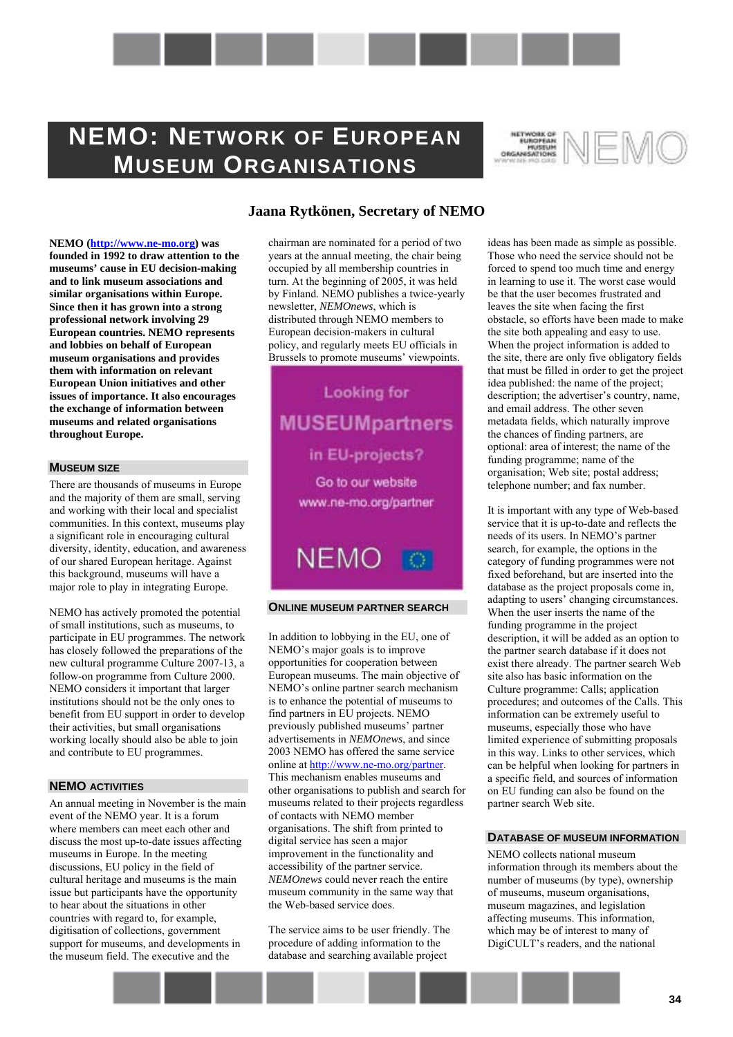# <span id="page-33-0"></span>**NEMO: NETWORK OF EUROPEAN MUSEUM ORGANISATIONS**



**NEMO [\(http://www.ne-mo.org\)](http://www.ne-mo.org/) was founded in 1992 to draw attention to the museums' cause in EU decision-making and to link museum associations and similar organisations within Europe. Since then it has grown into a strong professional network involving 29 European countries. NEMO represents and lobbies on behalf of European museum organisations and provides them with information on relevant European Union initiatives and other issues of importance. It also encourages the exchange of information between museums and related organisations throughout Europe.** 

#### **MUSEUM SIZE**

There are thousands of museums in Europe and the majority of them are small, serving and working with their local and specialist communities. In this context, museums play a significant role in encouraging cultural diversity, identity, education, and awareness of our shared European heritage. Against this background, museums will have a major role to play in integrating Europe.

NEMO has actively promoted the potential of small institutions, such as museums, to participate in EU programmes. The network has closely followed the preparations of the new cultural programme Culture 2007-13, a follow-on programme from Culture 2000. NEMO considers it important that larger institutions should not be the only ones to benefit from EU support in order to develop their activities, but small organisations working locally should also be able to join and contribute to EU programmes.

### **NEMO ACTIVITIES**

An annual meeting in November is the main event of the NEMO year. It is a forum where members can meet each other and discuss the most up-to-date issues affecting museums in Europe. In the meeting discussions, EU policy in the field of cultural heritage and museums is the main issue but participants have the opportunity to hear about the situations in other countries with regard to, for example, digitisation of collections, government support for museums, and developments in the museum field. The executive and the

# **Jaana Rytkönen, Secretary of NEMO**

chairman are nominated for a period of two years at the annual meeting, the chair being occupied by all membership countries in turn. At the beginning of 2005, it was held by Finland. NEMO publishes a twice-yearly newsletter, *NEMOnews*, which is distributed through NEMO members to European decision-makers in cultural policy, and regularly meets EU officials in Brussels to promote museums' viewpoints.

**Looking for MUSEUMpartners** in EU-projects? Go to our website www.ne-mo.org/partner

#### **ONLINE MUSEUM PARTNER SEARCH**

**NEMO** 

In addition to lobbying in the EU, one of NEMO's major goals is to improve opportunities for cooperation between European museums. The main objective of NEMO's online partner search mechanism is to enhance the potential of museums to find partners in EU projects. NEMO previously published museums' partner advertisements in *NEMOnews*, and since 2003 NEMO has offered the same service online at [http://www.ne-mo.org/partner.](http://www.ne-mo.org/partner) This mechanism enables museums and other organisations to publish and search for museums related to their projects regardless of contacts with NEMO member organisations. The shift from printed to digital service has seen a major improvement in the functionality and accessibility of the partner service. *NEMOnews* could never reach the entire museum community in the same way that the Web-based service does.

The service aims to be user friendly. The procedure of adding information to the database and searching available project

ideas has been made as simple as possible. Those who need the service should not be forced to spend too much time and energy in learning to use it. The worst case would be that the user becomes frustrated and leaves the site when facing the first obstacle, so efforts have been made to make the site both appealing and easy to use. When the project information is added to the site, there are only five obligatory fields that must be filled in order to get the project idea published: the name of the project; description; the advertiser's country, name, and email address. The other seven metadata fields, which naturally improve the chances of finding partners, are optional: area of interest; the name of the funding programme; name of the organisation; Web site; postal address; telephone number; and fax number.

It is important with any type of Web-based service that it is up-to-date and reflects the needs of its users. In NEMO's partner search, for example, the options in the category of funding programmes were not fixed beforehand, but are inserted into the database as the project proposals come in, adapting to users' changing circumstances. When the user inserts the name of the funding programme in the project description, it will be added as an option to the partner search database if it does not exist there already. The partner search Web site also has basic information on the Culture programme: Calls; application procedures; and outcomes of the Calls. This information can be extremely useful to museums, especially those who have limited experience of submitting proposals in this way. Links to other services, which can be helpful when looking for partners in a specific field, and sources of information on EU funding can also be found on the partner search Web site.

#### **DATABASE OF MUSEUM INFORMATION**

NEMO collects national museum information through its members about the number of museums (by type), ownership of museums, museum organisations, museum magazines, and legislation affecting museums. This information, which may be of interest to many of DigiCULT's readers, and the national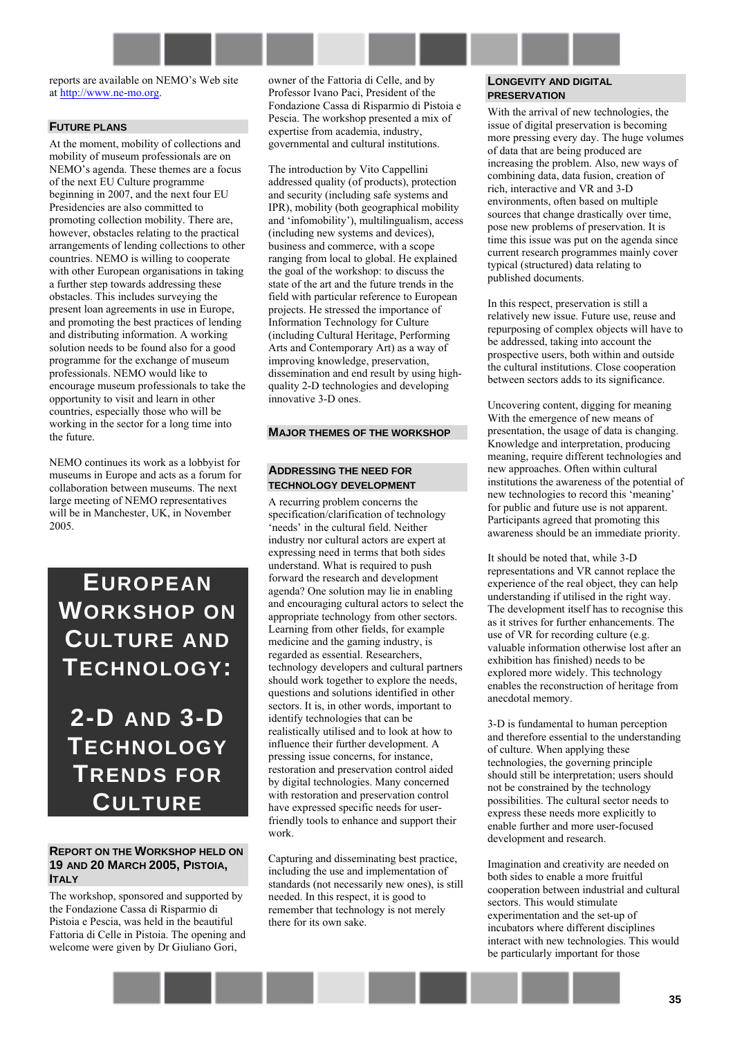reports are available on NEMO's Web site at [http://www.ne-mo.org.](http://www.ne-mo.org/)

### **FUTURE PLANS**

At the moment, mobility of collections and mobility of museum professionals are on NEMO's agenda. These themes are a focus of the next EU Culture programme beginning in 2007, and the next four EU Presidencies are also committed to promoting collection mobility. There are, however, obstacles relating to the practical arrangements of lending collections to other countries. NEMO is willing to cooperate with other European organisations in taking a further step towards addressing these obstacles. This includes surveying the present loan agreements in use in Europe, and promoting the best practices of lending and distributing information. A working solution needs to be found also for a good programme for the exchange of museum professionals. NEMO would like to encourage museum professionals to take the opportunity to visit and learn in other countries, especially those who will be working in the sector for a long time into the future.

NEMO continues its work as a lobbyist for museums in Europe and acts as a forum for collaboration between museums. The next large meeting of NEMO representatives will be in Manchester, UK, in November 2005.

# <span id="page-34-0"></span>**EUROPEAN WORKSHOP ON CULTURE AND TECHNOLOGY:**

<span id="page-34-1"></span>**2-D AND 3-D TECHNOLOGY TRENDS FOR CULTURE**

# **REPORT ON THE WORKSHOP HELD ON 19 AND 20 MARCH 2005, PISTOIA, ITALY**

The workshop, sponsored and supported by the Fondazione Cassa di Risparmio di Pistoia e Pescia, was held in the beautiful Fattoria di Celle in Pistoia. The opening and welcome were given by Dr Giuliano Gori,

owner of the Fattoria di Celle, and by Professor Ivano Paci, President of the Fondazione Cassa di Risparmio di Pistoia e Pescia. The workshop presented a mix of expertise from academia, industry, governmental and cultural institutions.

The introduction by Vito Cappellini addressed quality (of products), protection and security (including safe systems and IPR), mobility (both geographical mobility and 'infomobility'), multilingualism, access (including new systems and devices), business and commerce, with a scope ranging from local to global. He explained the goal of the workshop: to discuss the state of the art and the future trends in the field with particular reference to European projects. He stressed the importance of Information Technology for Culture (including Cultural Heritage, Performing Arts and Contemporary Art) as a way of improving knowledge, preservation, dissemination and end result by using highquality 2-D technologies and developing innovative 3-D ones.

#### **MAJOR THEMES OF THE WORKSHOP**

#### **ADDRESSING THE NEED FOR TECHNOLOGY DEVELOPMENT**

A recurring problem concerns the specification/clarification of technology 'needs' in the cultural field. Neither industry nor cultural actors are expert at expressing need in terms that both sides understand. What is required to push forward the research and development agenda? One solution may lie in enabling and encouraging cultural actors to select the appropriate technology from other sectors. Learning from other fields, for example medicine and the gaming industry, is regarded as essential. Researchers, technology developers and cultural partners should work together to explore the needs, questions and solutions identified in other sectors. It is, in other words, important to identify technologies that can be realistically utilised and to look at how to influence their further development. A pressing issue concerns, for instance, restoration and preservation control aided by digital technologies. Many concerned with restoration and preservation control have expressed specific needs for userfriendly tools to enhance and support their work.

Capturing and disseminating best practice, including the use and implementation of standards (not necessarily new ones), is still needed. In this respect, it is good to remember that technology is not merely there for its own sake.

#### **LONGEVITY AND DIGITAL PRESERVATION**

With the arrival of new technologies, the issue of digital preservation is becoming more pressing every day. The huge volumes of data that are being produced are increasing the problem. Also, new ways of combining data, data fusion, creation of rich, interactive and VR and 3-D environments, often based on multiple sources that change drastically over time, pose new problems of preservation. It is time this issue was put on the agenda since current research programmes mainly cover typical (structured) data relating to published documents.

In this respect, preservation is still a relatively new issue. Future use, reuse and repurposing of complex objects will have to be addressed, taking into account the prospective users, both within and outside the cultural institutions. Close cooperation between sectors adds to its significance.

Uncovering content, digging for meaning With the emergence of new means of presentation, the usage of data is changing. Knowledge and interpretation, producing meaning, require different technologies and new approaches. Often within cultural institutions the awareness of the potential of new technologies to record this 'meaning' for public and future use is not apparent. Participants agreed that promoting this awareness should be an immediate priority.

It should be noted that, while 3-D representations and VR cannot replace the experience of the real object, they can help understanding if utilised in the right way. The development itself has to recognise this as it strives for further enhancements. The use of VR for recording culture (e.g. valuable information otherwise lost after an exhibition has finished) needs to be explored more widely. This technology enables the reconstruction of heritage from anecdotal memory.

3-D is fundamental to human perception and therefore essential to the understanding of culture. When applying these technologies, the governing principle should still be interpretation; users should not be constrained by the technology possibilities. The cultural sector needs to express these needs more explicitly to enable further and more user-focused development and research.

Imagination and creativity are needed on both sides to enable a more fruitful cooperation between industrial and cultural sectors. This would stimulate experimentation and the set-up of incubators where different disciplines interact with new technologies. This would be particularly important for those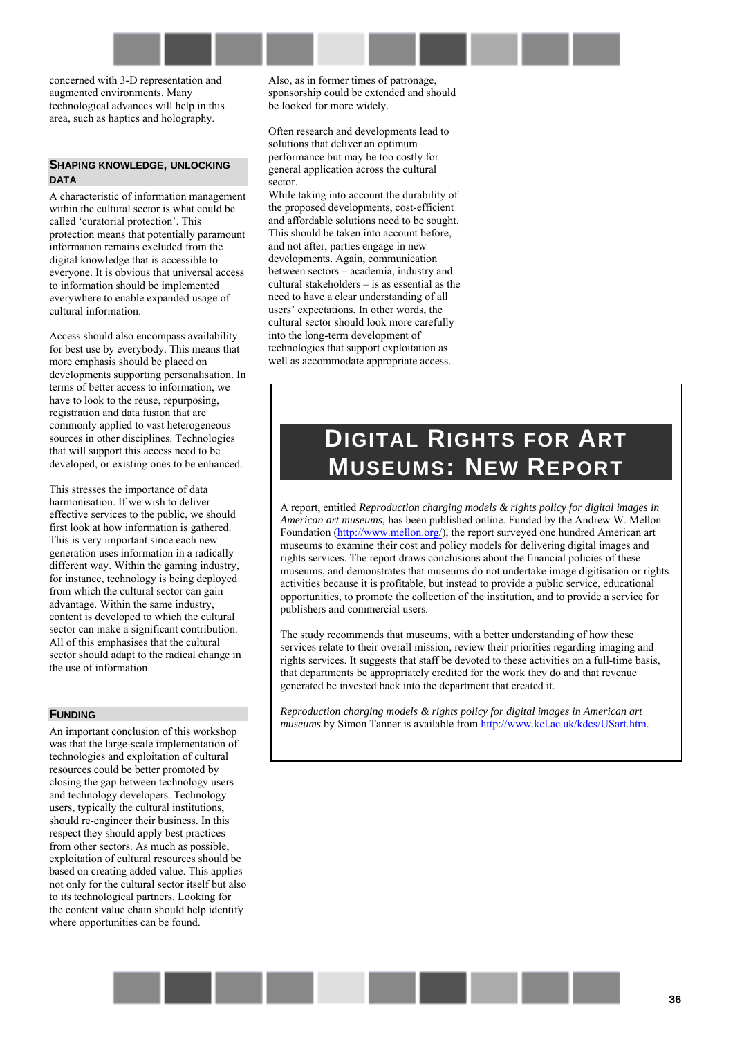concerned with 3-D representation and augmented environments. Many technological advances will help in this area, such as haptics and holography.

#### **SHAPING KNOWLEDGE, UNLOCKING DATA**

A characteristic of information management within the cultural sector is what could be called 'curatorial protection'. This protection means that potentially paramount information remains excluded from the digital knowledge that is accessible to everyone. It is obvious that universal access to information should be implemented everywhere to enable expanded usage of cultural information.

Access should also encompass availability for best use by everybody. This means that more emphasis should be placed on developments supporting personalisation. In terms of better access to information, we have to look to the reuse, repurposing, registration and data fusion that are commonly applied to vast heterogeneous sources in other disciplines. Technologies that will support this access need to be developed, or existing ones to be enhanced.

This stresses the importance of data harmonisation. If we wish to deliver effective services to the public, we should first look at how information is gathered. This is very important since each new generation uses information in a radically different way. Within the gaming industry, for instance, technology is being deployed from which the cultural sector can gain advantage. Within the same industry, content is developed to which the cultural sector can make a significant contribution. All of this emphasises that the cultural sector should adapt to the radical change in the use of information.

#### **FUNDING**

An important conclusion of this workshop was that the large-scale implementation of technologies and exploitation of cultural resources could be better promoted by closing the gap between technology users and technology developers. Technology users, typically the cultural institutions, should re-engineer their business. In this respect they should apply best practices from other sectors. As much as possible, exploitation of cultural resources should be based on creating added value. This applies not only for the cultural sector itself but also to its technological partners. Looking for the content value chain should help identify where opportunities can be found.

Also, as in former times of patronage, sponsorship could be extended and should be looked for more widely.

Often research and developments lead to solutions that deliver an optimum performance but may be too costly for general application across the cultural sector.

While taking into account the durability of the proposed developments, cost-efficient and affordable solutions need to be sought. This should be taken into account before, and not after, parties engage in new developments. Again, communication between sectors – academia, industry and cultural stakeholders  $-$  is as essential as the need to have a clear understanding of all users' expectations. In other words, the cultural sector should look more carefully into the long-term development of technologies that support exploitation as well as accommodate appropriate access.

# **DIGITAL RIGHTS FOR ART MUSEUMS: NEW REPORT**

A report, entitled *Reproduction charging models & rights policy for digital images in American art museums,* has been published online. Funded by the Andrew W. Mellon Foundation ([http://www.mellon.org/\)](http://www.mellon.org/), the report surveyed one hundred American art museums to examine their cost and policy models for delivering digital images and rights services. The report draws conclusions about the financial policies of these museums, and demonstrates that museums do not undertake image digitisation or rights activities because it is profitable, but instead to provide a public service, educational opportunities, to promote the collection of the institution, and to provide a service for publishers and commercial users.

The study recommends that museums, with a better understanding of how these services relate to their overall mission, review their priorities regarding imaging and rights services. It suggests that staff be devoted to these activities on a full-time basis, that departments be appropriately credited for the work they do and that revenue generated be invested back into the department that created it.

*Reproduction charging models & rights policy for digital images in American art museums* by Simon Tanner is available from http://www.kcl.ac.uk/kdcs/USart.htm.

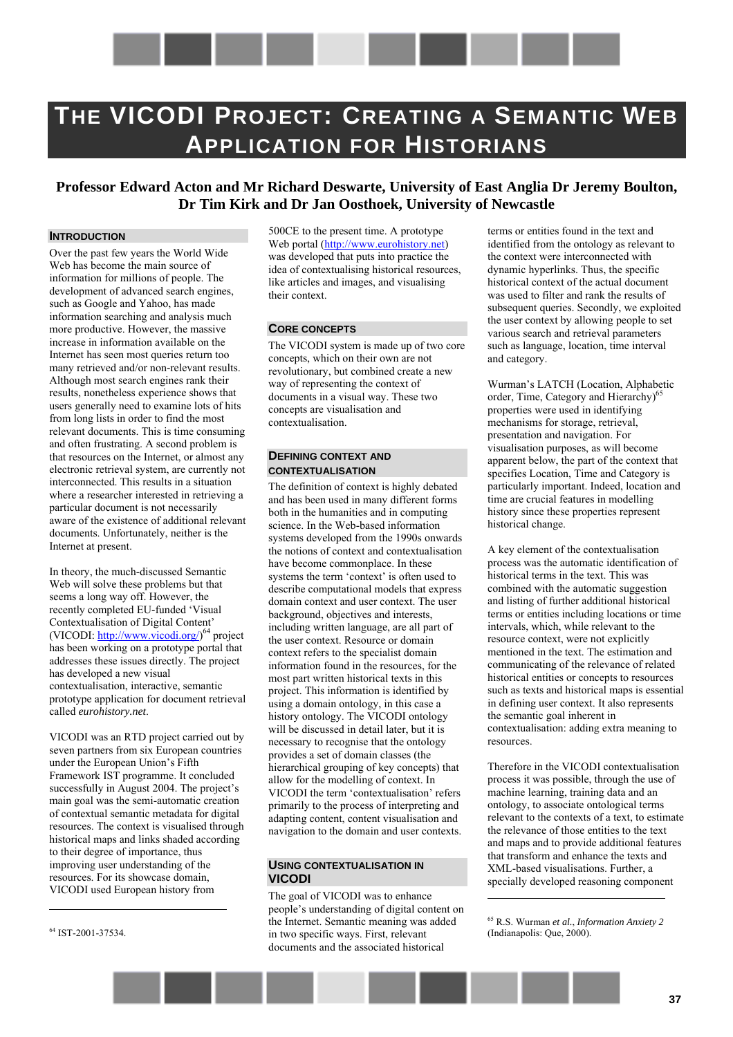

# <span id="page-36-0"></span>**THE VICODI PROJECT: CREATING A SEMANTIC WEB APPLICATION FOR HISTORIANS**

# **Professor Edward Acton and Mr Richard Deswarte, University of East Anglia Dr Jeremy Boulton, Dr Tim Kirk and Dr Jan Oosthoek, University of Newcastle**

# **INTRODUCTION**

Over the past few years the World Wide Web has become the main source of information for millions of people. The development of advanced search engines, such as Google and Yahoo, has made information searching and analysis much more productive. However, the massive increase in information available on the Internet has seen most queries return too many retrieved and/or non-relevant results. Although most search engines rank their results, nonetheless experience shows that users generally need to examine lots of hits from long lists in order to find the most relevant documents. This is time consuming and often frustrating. A second problem is that resources on the Internet, or almost any electronic retrieval system, are currently not interconnected. This results in a situation where a researcher interested in retrieving a particular document is not necessarily aware of the existence of additional relevant documents. Unfortunately, neither is the Internet at present.

In theory, the much-discussed Semantic Web will solve these problems but that seems a long way off. However, the recently completed EU-funded 'Visual Contextualisation of Digital Content' (VICODI: [http://www.vicodi.org/\)](http://www.vicodi.org/)<sup>64</sup> project has been working on a prototype portal that addresses these issues directly. The project has developed a new visual contextualisation, interactive, semantic prototype application for document retrieval called *eurohistory.net*.

VICODI was an RTD project carried out by seven partners from six European countries under the European Union's Fifth Framework IST programme. It concluded successfully in August  $2004$ . The project's main goal was the semi-automatic creation of contextual semantic metadata for digital resources. The context is visualised through historical maps and links shaded according to their degree of importance, thus improving user understanding of the resources. For its showcase domain, VICODI used European history from

64 IST-2001-37534.

 $\overline{a}$ 

500CE to the present time. A prototype Web portal ([http://www.eurohistory.net\)](http://www.eurohistory.net/)  was developed that puts into practice the idea of contextualising historical resources, like articles and images, and visualising their context.

## **CORE CONCEPTS**

The VICODI system is made up of two core concepts, which on their own are not revolutionary, but combined create a new way of representing the context of documents in a visual way. These two concepts are visualisation and contextualisation.

## **DEFINING CONTEXT AND CONTEXTUALISATION**

The definition of context is highly debated and has been used in many different forms both in the humanities and in computing science. In the Web-based information systems developed from the 1990s onwards the notions of context and contextualisation have become commonplace. In these systems the term 'context' is often used to describe computational models that express domain context and user context. The user background, objectives and interests, including written language, are all part of the user context. Resource or domain context refers to the specialist domain information found in the resources, for the most part written historical texts in this project. This information is identified by using a domain ontology, in this case a history ontology. The VICODI ontology will be discussed in detail later, but it is necessary to recognise that the ontology provides a set of domain classes (the hierarchical grouping of key concepts) that allow for the modelling of context. In VICODI the term 'contextualisation' refers primarily to the process of interpreting and adapting content, content visualisation and navigation to the domain and user contexts.

## **USING CONTEXTUALISATION IN VICODI**

The goal of VICODI was to enhance people's understanding of digital content on the Internet. Semantic meaning was added in two specific ways. First, relevant documents and the associated historical

terms or entities found in the text and identified from the ontology as relevant to the context were interconnected with dynamic hyperlinks. Thus, the specific historical context of the actual document was used to filter and rank the results of subsequent queries. Secondly, we exploited the user context by allowing people to set various search and retrieval parameters such as language, location, time interval and category.

Wurman's LATCH (Location, Alphabetic order, Time, Category and Hierarchy)<sup>65</sup> properties were used in identifying mechanisms for storage, retrieval, presentation and navigation. For visualisation purposes, as will become apparent below, the part of the context that specifies Location, Time and Category is particularly important. Indeed, location and time are crucial features in modelling history since these properties represent historical change.

A key element of the contextualisation process was the automatic identification of historical terms in the text. This was combined with the automatic suggestion and listing of further additional historical terms or entities including locations or time intervals, which, while relevant to the resource context, were not explicitly mentioned in the text. The estimation and communicating of the relevance of related historical entities or concepts to resources such as texts and historical maps is essential in defining user context. It also represents the semantic goal inherent in contextualisation: adding extra meaning to resources.

Therefore in the VICODI contextualisation process it was possible, through the use of machine learning, training data and an ontology, to associate ontological terms relevant to the contexts of a text, to estimate the relevance of those entities to the text and maps and to provide additional features that transform and enhance the texts and XML-based visualisations. Further, a specially developed reasoning component

65 R.S. Wurman *et al.*, *Information Anxiety 2* (Indianapolis: Que, 2000).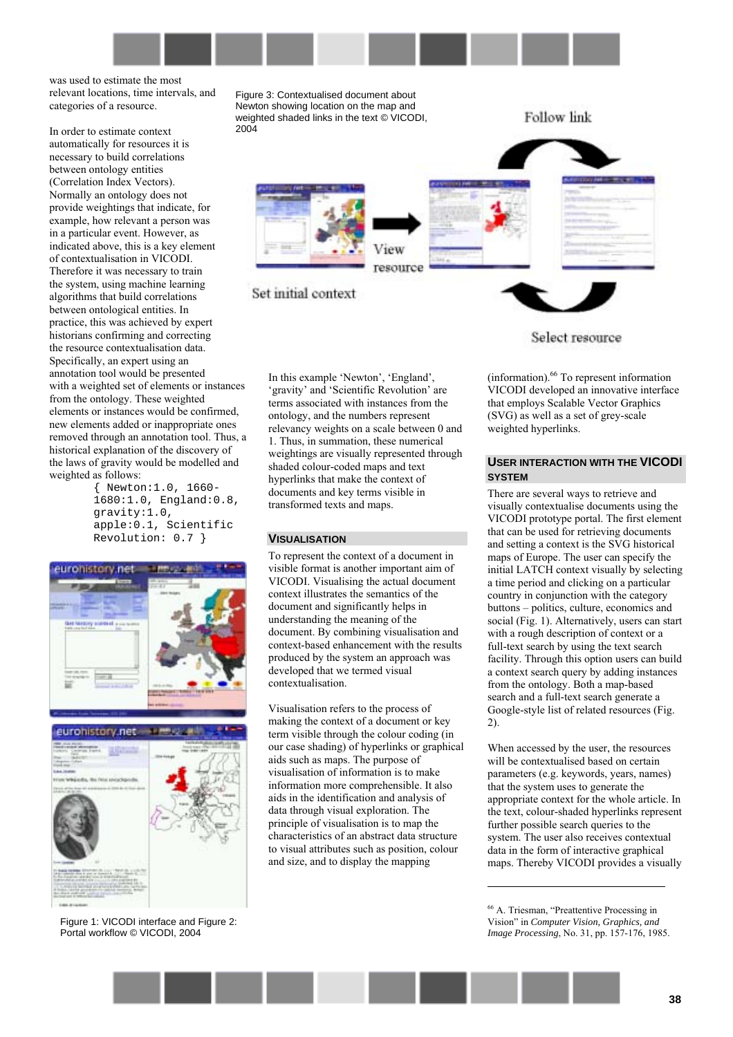

was used to estimate the most relevant locations, time intervals, and categories of a resource.

In order to estimate context automatically for resources it is necessary to build correlations between ontology entities (Correlation Index Vectors). Normally an ontology does not provide weightings that indicate, for example, how relevant a person was in a particular event. However, as indicated above, this is a key element of contextualisation in VICODI. Therefore it was necessary to train the system, using machine learning algorithms that build correlations between ontological entities. In practice, this was achieved by expert historians confirming and correcting the resource contextualisation data. Specifically, an expert using an annotation tool would be presented with a weighted set of elements or instances from the ontology. These weighted elements or instances would be confirmed, new elements added or inappropriate ones removed through an annotation tool. Thus, a historical explanation of the discovery of the laws of gravity would be modelled and weighted as follows:

{ Newton:1.0, 1660- 1680:1.0, England:0.8, gravity:1.0, apple:0.1, Scientific Revolution: 0.7 }





Figure 1: VICODI interface and Figure 2: Portal workflow © VICODI, 2004

Figure 3: Contextualised document about Newton showing location on the map and weighted shaded links in the text © VICODI, 2004



Set initial context

In this example 'Newton', 'England', 'gravity' and 'Scientific Revolution' are terms associated with instances from the ontology, and the numbers represent relevancy weights on a scale between 0 and 1. Thus, in summation, these numerical weightings are visually represented through shaded colour-coded maps and text hyperlinks that make the context of documents and key terms visible in transformed texts and maps.

#### **VISUALISATION**

To represent the context of a document in visible format is another important aim of VICODI. Visualising the actual document context illustrates the semantics of the document and significantly helps in understanding the meaning of the document. By combining visualisation and context-based enhancement with the results produced by the system an approach was developed that we termed visual contextualisation.

Visualisation refers to the process of making the context of a document or key term visible through the colour coding (in our case shading) of hyperlinks or graphical aids such as maps. The purpose of visualisation of information is to make information more comprehensible. It also aids in the identification and analysis of data through visual exploration. The principle of visualisation is to map the characteristics of an abstract data structure to visual attributes such as position, colour and size, and to display the mapping

Select resource

**Follow link** 

 $(information)$ .<sup>66</sup> To represent information VICODI developed an innovative interface that employs Scalable Vector Graphics (SVG) as well as a set of grey-scale weighted hyperlinks.

#### **USER INTERACTION WITH THE VICODI SYSTEM**

There are several ways to retrieve and visually contextualise documents using the VICODI prototype portal. The first element that can be used for retrieving documents and setting a context is the SVG historical maps of Europe. The user can specify the initial LATCH context visually by selecting a time period and clicking on a particular country in conjunction with the category buttons – politics, culture, economics and social (Fig. 1). Alternatively, users can start with a rough description of context or a full-text search by using the text search facility. Through this option users can build a context search query by adding instances from the ontology. Both a map-based search and a full-text search generate a Google-style list of related resources (Fig. 2).

When accessed by the user, the resources will be contextualised based on certain parameters (e.g. keywords, years, names) that the system uses to generate the appropriate context for the whole article. In the text, colour-shaded hyperlinks represent further possible search queries to the system. The user also receives contextual data in the form of interactive graphical maps. Thereby VICODI provides a visually

<sup>&</sup>lt;sup>66</sup> A. Triesman, "Preattentive Processing in Visionî in *Computer Vision, Graphics, and Image Processing*, No. 31, pp. 157-176, 1985.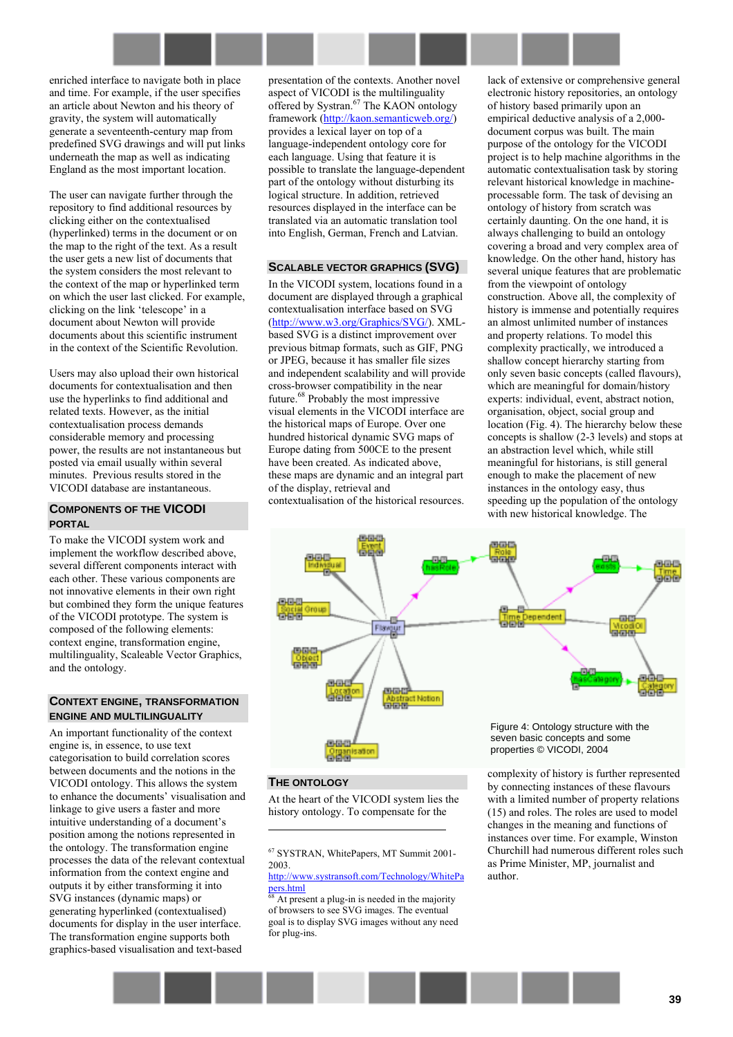

enriched interface to navigate both in place and time. For example, if the user specifies an article about Newton and his theory of gravity, the system will automatically generate a seventeenth-century map from predefined SVG drawings and will put links underneath the map as well as indicating England as the most important location.

The user can navigate further through the repository to find additional resources by clicking either on the contextualised (hyperlinked) terms in the document or on the map to the right of the text. As a result the user gets a new list of documents that the system considers the most relevant to the context of the map or hyperlinked term on which the user last clicked. For example, clicking on the link 'telescope' in a document about Newton will provide documents about this scientific instrument in the context of the Scientific Revolution.

Users may also upload their own historical documents for contextualisation and then use the hyperlinks to find additional and related texts. However, as the initial contextualisation process demands considerable memory and processing power, the results are not instantaneous but posted via email usually within several minutes. Previous results stored in the VICODI database are instantaneous.

### **COMPONENTS OF THE VICODI PORTAL**

To make the VICODI system work and implement the workflow described above, several different components interact with each other. These various components are not innovative elements in their own right but combined they form the unique features of the VICODI prototype. The system is composed of the following elements: context engine, transformation engine, multilinguality, Scaleable Vector Graphics, and the ontology.

## **CONTEXT ENGINE, TRANSFORMATION ENGINE AND MULTILINGUALITY**

An important functionality of the context engine is, in essence, to use text categorisation to build correlation scores between documents and the notions in the VICODI ontology. This allows the system to enhance the documents' visualisation and linkage to give users a faster and more intuitive understanding of a document's position among the notions represented in the ontology. The transformation engine processes the data of the relevant contextual information from the context engine and outputs it by either transforming it into SVG instances (dynamic maps) or generating hyperlinked (contextualised) documents for display in the user interface. The transformation engine supports both graphics-based visualisation and text-based

presentation of the contexts. Another novel aspect of VICODI is the multilinguality offered by Systran.<sup>67</sup> The KAON ontology framework ([http://kaon.semanticweb.org/\)](http://kaon.semanticweb.org/) provides a lexical layer on top of a language-independent ontology core for each language. Using that feature it is possible to translate the language-dependent part of the ontology without disturbing its logical structure. In addition, retrieved resources displayed in the interface can be translated via an automatic translation tool into English, German, French and Latvian.

# **SCALABLE VECTOR GRAPHICS (SVG)**

In the VICODI system, locations found in a document are displayed through a graphical contextualisation interface based on SVG ([http://www.w3.org/Graphics/SVG/\)](http://www.w3.org/Graphics/SVG/). XMLbased SVG is a distinct improvement over previous bitmap formats, such as GIF, PNG or JPEG, because it has smaller file sizes and independent scalability and will provide cross-browser compatibility in the near future.68 Probably the most impressive visual elements in the VICODI interface are the historical maps of Europe. Over one hundred historical dynamic SVG maps of Europe dating from 500CE to the present have been created. As indicated above, these maps are dynamic and an integral part of the display, retrieval and

contextualisation of the historical resources.

lack of extensive or comprehensive general electronic history repositories, an ontology of history based primarily upon an empirical deductive analysis of a 2,000 document corpus was built. The main purpose of the ontology for the VICODI project is to help machine algorithms in the automatic contextualisation task by storing relevant historical knowledge in machineprocessable form. The task of devising an ontology of history from scratch was certainly daunting. On the one hand, it is always challenging to build an ontology covering a broad and very complex area of knowledge. On the other hand, history has several unique features that are problematic from the viewpoint of ontology construction. Above all, the complexity of history is immense and potentially requires an almost unlimited number of instances and property relations. To model this complexity practically, we introduced a shallow concept hierarchy starting from only seven basic concepts (called flavours), which are meaningful for domain/history experts: individual, event, abstract notion, organisation, object, social group and location (Fig. 4). The hierarchy below these concepts is shallow (2-3 levels) and stops at an abstraction level which, while still meaningful for historians, is still general enough to make the placement of new instances in the ontology easy, thus speeding up the population of the ontology

with new historical knowledge. The



#### **THE ONTOLOGY**

 $\overline{a}$ 

At the heart of the VICODI system lies the history ontology. To compensate for the

complexity of history is further represented by connecting instances of these flavours with a limited number of property relations (15) and roles. The roles are used to model changes in the meaning and functions of instances over time. For example, Winston Churchill had numerous different roles such as Prime Minister, MP, journalist and author.

<sup>67</sup> SYSTRAN, WhitePapers, MT Summit 2001- 2003.

http://www.systransoft.com/Technology/WhitePa  $pers.html  
<sub>68</sub>$ </u>

At present a plug-in is needed in the majority of browsers to see SVG images. The eventual goal is to display SVG images without any need for plug-ins.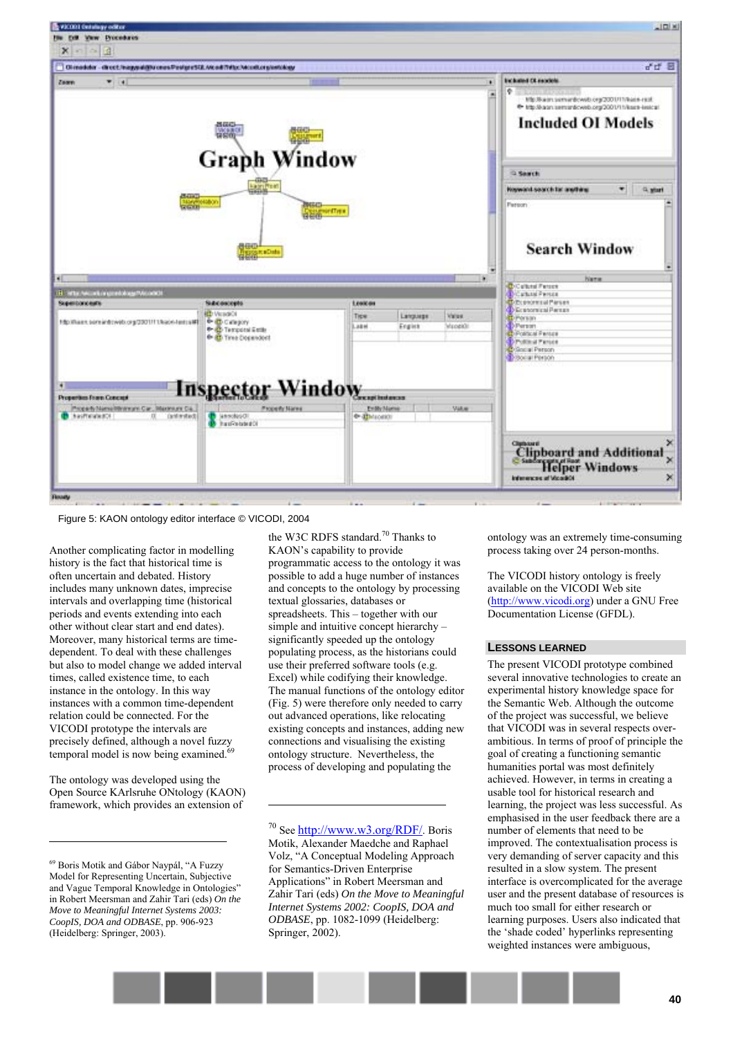

Figure 5: KAON ontology editor interface © VICODI, 2004

Another complicating factor in modelling history is the fact that historical time is often uncertain and debated. History includes many unknown dates, imprecise intervals and overlapping time (historical periods and events extending into each other without clear start and end dates). Moreover, many historical terms are timedependent. To deal with these challenges but also to model change we added interval times, called existence time, to each instance in the ontology. In this way instances with a common time-dependent relation could be connected. For the VICODI prototype the intervals are precisely defined, although a novel fuzzy temporal model is now being examined.

The ontology was developed using the Open Source KArlsruhe ONtology (KAON) framework, which provides an extension of

 $\overline{a}$ 

the W3C RDFS standard.<sup>70</sup> Thanks to KAON's capability to provide programmatic access to the ontology it was possible to add a huge number of instances and concepts to the ontology by processing textual glossaries, databases or spreadsheets. This  $-$  together with our simple and intuitive concept hierarchy  $$ significantly speeded up the ontology populating process, as the historians could use their preferred software tools (e.g. Excel) while codifying their knowledge. The manual functions of the ontology editor (Fig. 5) were therefore only needed to carry out advanced operations, like relocating existing concepts and instances, adding new connections and visualising the existing ontology structure. Nevertheless, the process of developing and populating the

 $70$  See http://www.w3.org/RDF/. Boris Motik, Alexander Maedche and Raphael Volz, "A Conceptual Modeling Approach for Semantics-Driven Enterprise Applications" in Robert Meersman and Zahir Tari (eds) *On the Move to Meaningful Internet Systems 2002: CoopIS, DOA and ODBASE*, pp. 1082-1099 (Heidelberg: Springer, 2002).

 $\overline{a}$ 

ontology was an extremely time-consuming process taking over 24 person-months.

The VICODI history ontology is freely available on the VICODI Web site ([http://www.vicodi.org\)](http://www.vicodi.org/) under a GNU Free Documentation License (GFDL).

#### **LESSONS LEARNED**

The present VICODI prototype combined several innovative technologies to create an experimental history knowledge space for the Semantic Web. Although the outcome of the project was successful, we believe that VICODI was in several respects overambitious. In terms of proof of principle the goal of creating a functioning semantic humanities portal was most definitely achieved. However, in terms in creating a usable tool for historical research and learning, the project was less successful. As emphasised in the user feedback there are a number of elements that need to be improved. The contextualisation process is very demanding of server capacity and this resulted in a slow system. The present interface is overcomplicated for the average user and the present database of resources is much too small for either research or learning purposes. Users also indicated that the 'shade coded' hyperlinks representing weighted instances were ambiguous,

 $^{69}$  Boris Motik and Gábor Naypál, "A Fuzzy Model for Representing Uncertain, Subjective and Vague Temporal Knowledge in Ontologies" in Robert Meersman and Zahir Tari (eds) *On the Move to Meaningful Internet Systems 2003: CoopIS, DOA and ODBASE*, pp. 906-923 (Heidelberg: Springer, 2003).